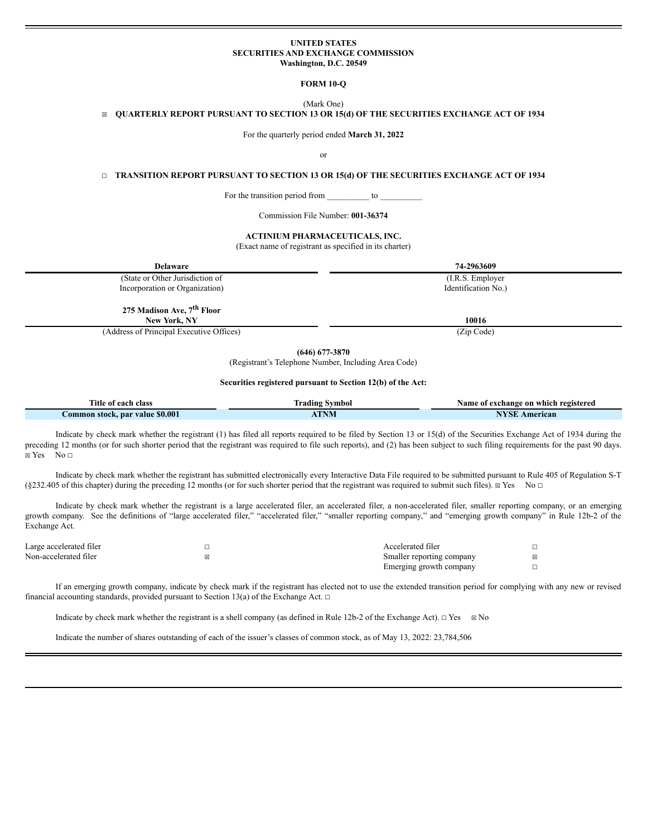#### **UNITED STATES SECURITIES AND EXCHANGE COMMISSION Washington, D.C. 20549**

**FORM 10-Q**

(Mark One)

☒ **QUARTERLY REPORT PURSUANT TO SECTION 13 OR 15(d) OF THE SECURITIES EXCHANGE ACT OF 1934**

For the quarterly period ended **March 31, 2022**

or

☐ **TRANSITION REPORT PURSUANT TO SECTION 13 OR 15(d) OF THE SECURITIES EXCHANGE ACT OF 1934**

For the transition period from to

Commission File Number: **001-36374**

## **ACTINIUM PHARMACEUTICALS, INC.**

(Exact name of registrant as specified in its charter)

| <b>Delaware</b>                          | 74-2963609          |  |  |  |
|------------------------------------------|---------------------|--|--|--|
| (State or Other Jurisdiction of          | (I.R.S. Employer)   |  |  |  |
| Incorporation or Organization)           | Identification No.) |  |  |  |
| 275 Madison Ave, 7 <sup>th</sup> Floor   |                     |  |  |  |
| <b>New York, NY</b>                      | 10016               |  |  |  |
| (Address of Principal Executive Offices) | (Zip Code)          |  |  |  |
| $(646)$ 677-3870                         |                     |  |  |  |

(Registrant's Telephone Number, Including Area Code)

#### **Securities registered pursuant to Section 12(b) of the Act:**

| Title of each class       | ' rading<br>Nymbor | <b>Name of exchange on</b><br>`registereo<br>which |
|---------------------------|--------------------|----------------------------------------------------|
| \$0.001                   | $\sim$             | American                                           |
| Common stock, par value ' | AUNIVI             | ы                                                  |

Indicate by check mark whether the registrant (1) has filed all reports required to be filed by Section 13 or 15(d) of the Securities Exchange Act of 1934 during the preceding 12 months (or for such shorter period that the registrant was required to file such reports), and (2) has been subject to such filing requirements for the past 90 days. ☒ Yes No ☐

Indicate by check mark whether the registrant has submitted electronically every Interactive Data File required to be submitted pursuant to Rule 405 of Regulation S-T  $(\$232.405$  of this chapter) during the preceding 12 months (or for such shorter period that the registrant was required to submit such files). ⊠ Yes No □

Indicate by check mark whether the registrant is a large accelerated filer, an accelerated filer, a non-accelerated filer, smaller reporting company, or an emerging growth company. See the definitions of "large accelerated filer," "accelerated filer," "smaller reporting company," and "emerging growth company" in Rule 12b-2 of the Exchange Act.

| Large accelerated filer | Accelerated filer         |  |
|-------------------------|---------------------------|--|
| Non-accelerated filer   | Smaller reporting company |  |
|                         | Emerging growth company   |  |

If an emerging growth company, indicate by check mark if the registrant has elected not to use the extended transition period for complying with any new or revised financial accounting standards, provided pursuant to Section 13(a) of the Exchange Act.  $\Box$ 

Indicate by check mark whether the registrant is a shell company (as defined in Rule 12b-2 of the Exchange Act). □ Yes  $\boxtimes$  No

Indicate the number of shares outstanding of each of the issuer's classes of common stock, as of May 13, 2022: 23,784,506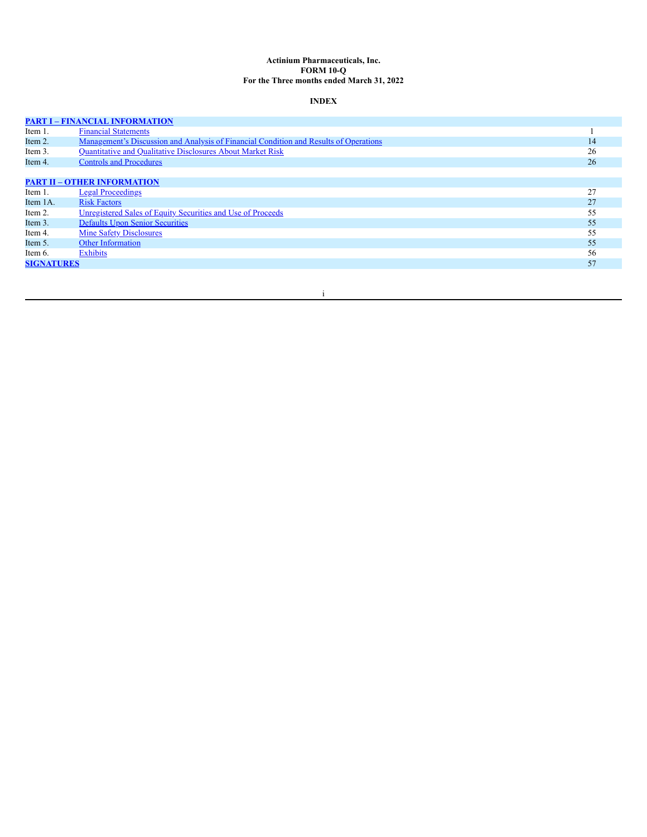#### **Actinium Pharmaceuticals, Inc. FORM 10-Q For the Three months ended March 31, 2022**

## **INDEX**

|                   | <b>PART I - FINANCIAL INFORMATION</b>                                                 |    |
|-------------------|---------------------------------------------------------------------------------------|----|
| Item 1.           | <b>Financial Statements</b>                                                           |    |
| Item 2.           | Management's Discussion and Analysis of Financial Condition and Results of Operations | 14 |
| Item 3.           | <b>Quantitative and Qualitative Disclosures About Market Risk</b>                     | 26 |
| Item 4.           | <b>Controls and Procedures</b>                                                        | 26 |
|                   |                                                                                       |    |
|                   | <b>PART II - OTHER INFORMATION</b>                                                    |    |
| Item 1.           | <b>Legal Proceedings</b>                                                              | 27 |
| Item 1A.          | <b>Risk Factors</b>                                                                   | 27 |
| Item 2.           | Unregistered Sales of Equity Securities and Use of Proceeds                           | 55 |
| Item 3.           | <b>Defaults Upon Senior Securities</b>                                                | 55 |
| Item 4.           | <b>Mine Safety Disclosures</b>                                                        | 55 |
| Item 5.           | Other Information                                                                     | 55 |
| Item 6.           | <b>Exhibits</b>                                                                       | 56 |
| <b>SIGNATURES</b> |                                                                                       | 57 |
|                   |                                                                                       |    |

i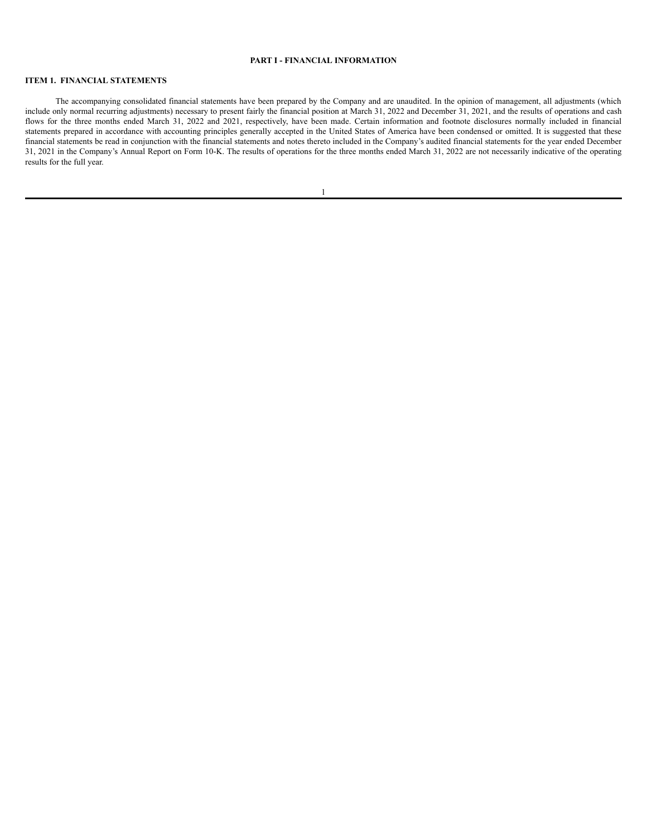## **PART I - FINANCIAL INFORMATION**

## <span id="page-2-1"></span><span id="page-2-0"></span>**ITEM 1. FINANCIAL STATEMENTS**

The accompanying consolidated financial statements have been prepared by the Company and are unaudited. In the opinion of management, all adjustments (which include only normal recurring adjustments) necessary to present fairly the financial position at March 31, 2022 and December 31, 2021, and the results of operations and cash flows for the three months ended March 31, 2022 and 2021, respectively, have been made. Certain information and footnote disclosures normally included in financial statements prepared in accordance with accounting principles generally accepted in the United States of America have been condensed or omitted. It is suggested that these financial statements be read in conjunction with the financial statements and notes thereto included in the Company's audited financial statements for the year ended December 31, 2021 in the Company's Annual Report on Form 10-K. The results of operations for the three months ended March 31, 2022 are not necessarily indicative of the operating results for the full year.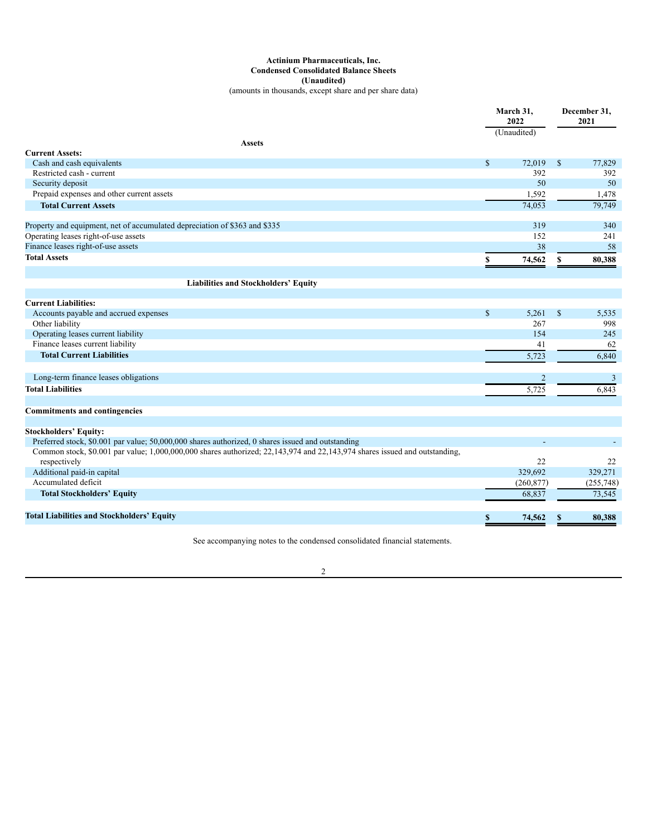## **Actinium Pharmaceuticals, Inc. Condensed Consolidated Balance Sheets (Unaudited)** (amounts in thousands, except share and per share data)

|                                                                                                                            | March 31,<br>2022<br>(Unaudited) |                | December 31,<br>2021 |           |
|----------------------------------------------------------------------------------------------------------------------------|----------------------------------|----------------|----------------------|-----------|
| <b>Assets</b>                                                                                                              |                                  |                |                      |           |
| <b>Current Assets:</b>                                                                                                     |                                  |                |                      |           |
| Cash and cash equivalents                                                                                                  | \$                               | 72,019         | \$                   | 77,829    |
| Restricted cash - current                                                                                                  |                                  | 392            |                      | 392       |
| Security deposit                                                                                                           |                                  | 50             |                      | 50        |
| Prepaid expenses and other current assets                                                                                  |                                  | 1,592          |                      | 1,478     |
| <b>Total Current Assets</b>                                                                                                |                                  | 74.053         |                      | 79,749    |
| Property and equipment, net of accumulated depreciation of \$363 and \$335                                                 |                                  | 319            |                      | 340       |
| Operating leases right-of-use assets                                                                                       |                                  | 152            |                      | 241       |
| Finance leases right-of-use assets                                                                                         |                                  | 38             |                      | 58        |
| <b>Total Assets</b>                                                                                                        | \$                               | 74,562         | S                    | 80.388    |
|                                                                                                                            |                                  |                |                      |           |
| Liabilities and Stockholders' Equity                                                                                       |                                  |                |                      |           |
| <b>Current Liabilities:</b>                                                                                                |                                  |                |                      |           |
| Accounts payable and accrued expenses                                                                                      | \$                               | 5,261          | \$                   | 5,535     |
| Other liability                                                                                                            |                                  | 267            |                      | 998       |
| Operating leases current liability                                                                                         |                                  | 154            |                      | 245       |
| Finance leases current liability                                                                                           |                                  | 41             |                      | 62        |
| <b>Total Current Liabilities</b>                                                                                           |                                  | 5,723          |                      | 6,840     |
| Long-term finance leases obligations                                                                                       |                                  | $\overline{2}$ |                      | 3         |
| <b>Total Liabilities</b>                                                                                                   |                                  | 5,725          |                      | 6,843     |
|                                                                                                                            |                                  |                |                      |           |
| <b>Commitments and contingencies</b>                                                                                       |                                  |                |                      |           |
| <b>Stockholders' Equity:</b>                                                                                               |                                  |                |                      |           |
| Preferred stock, \$0.001 par value; 50,000,000 shares authorized, 0 shares issued and outstanding                          |                                  |                |                      |           |
| Common stock, \$0.001 par value; 1,000,000,000 shares authorized; 22,143,974 and 22,143,974 shares issued and outstanding, |                                  |                |                      |           |
| respectively                                                                                                               |                                  | 22             |                      | 22        |
| Additional paid-in capital                                                                                                 |                                  | 329,692        |                      | 329,271   |
| Accumulated deficit                                                                                                        |                                  | (260, 877)     |                      | (255,748) |
| <b>Total Stockholders' Equity</b>                                                                                          |                                  | 68,837         |                      | 73,545    |
|                                                                                                                            |                                  |                |                      |           |
| <b>Total Liabilities and Stockholders' Equity</b>                                                                          | \$                               | 74,562         | \$                   | 80,388    |

See accompanying notes to the condensed consolidated financial statements.

2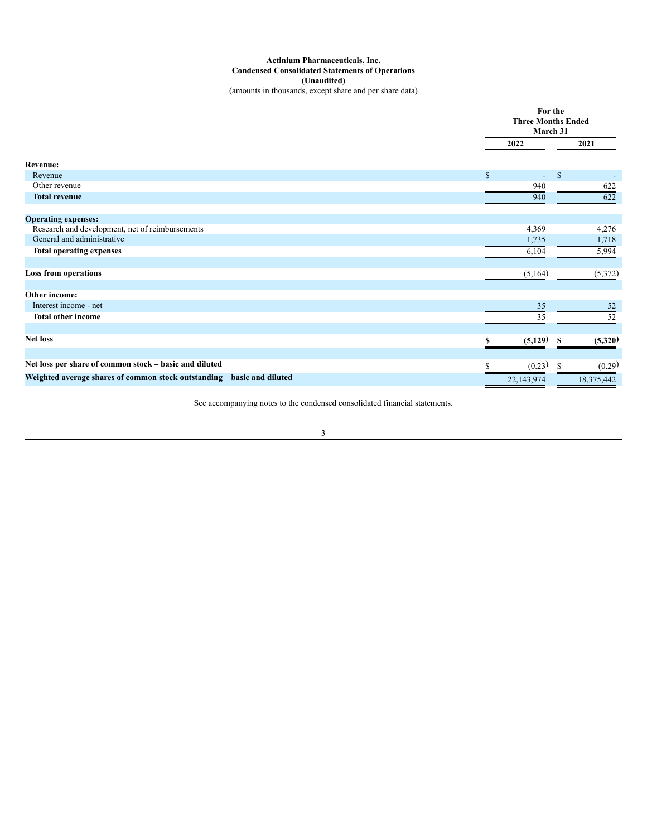## **Actinium Pharmaceuticals, Inc. Condensed Consolidated Statements of Operations (Unaudited)** (amounts in thousands, except share and per share data)

|                                                                         |                                | For the<br><b>Three Months Ended</b><br>March 31 |
|-------------------------------------------------------------------------|--------------------------------|--------------------------------------------------|
|                                                                         | 2022                           | 2021                                             |
| Revenue:                                                                |                                |                                                  |
| Revenue                                                                 | $\mathbb{S}$<br>$\blacksquare$ | $\mathcal{S}$                                    |
| Other revenue                                                           | 940                            | 622                                              |
| <b>Total revenue</b>                                                    | 940                            | 622                                              |
| <b>Operating expenses:</b>                                              |                                |                                                  |
| Research and development, net of reimbursements                         | 4,369                          | 4,276                                            |
| General and administrative                                              | 1,735                          | 1,718                                            |
| <b>Total operating expenses</b>                                         | 6,104                          | 5,994                                            |
| <b>Loss from operations</b>                                             | (5,164)                        | (5,372)                                          |
| Other income:                                                           |                                |                                                  |
| Interest income - net                                                   | 35                             | 52                                               |
| <b>Total other income</b>                                               | 35                             | $\overline{52}$                                  |
| <b>Net loss</b>                                                         | (5,129)<br>ς                   | (5,320)<br>S                                     |
| Net loss per share of common stock - basic and diluted                  |                                |                                                  |
|                                                                         | (0.23)                         | (0.29)                                           |
| Weighted average shares of common stock outstanding - basic and diluted | 22,143,974                     | 18,375,442                                       |

See accompanying notes to the condensed consolidated financial statements.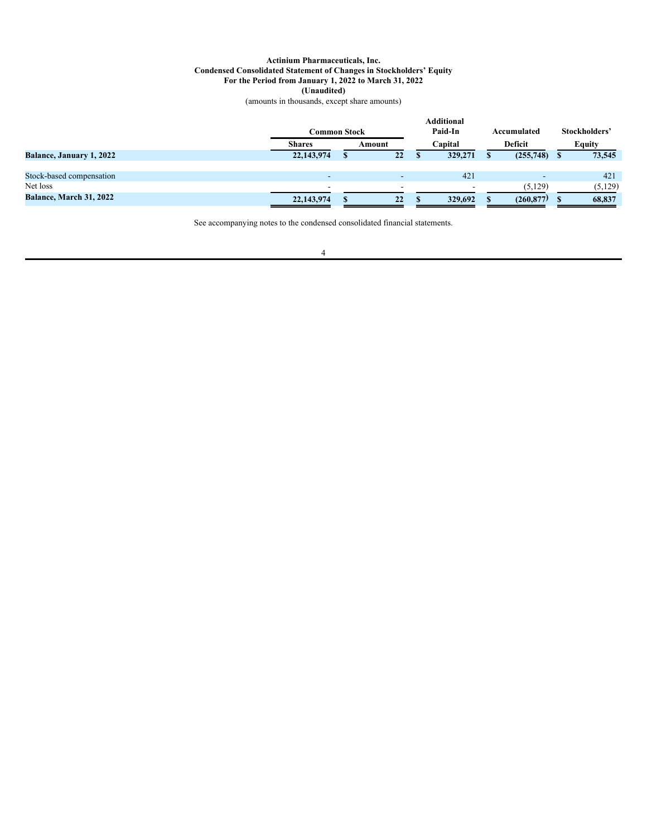## **Actinium Pharmaceuticals, Inc. Condensed Consolidated Statement of Changes in Stockholders' Equity For the Period from January 1, 2022 to March 31, 2022 (Unaudited)**

(amounts in thousands, except share amounts)

|                                 | Common Stock                  |                          | <b>Additional</b><br>Paid-In | Accumulated | Stockholders' |
|---------------------------------|-------------------------------|--------------------------|------------------------------|-------------|---------------|
|                                 | <b>Shares</b>                 | Amount                   | Capital                      | Deficit     | Equity        |
| <b>Balance, January 1, 2022</b> | 22,143,974                    | 22                       | 329,271                      | (255,748)   | 73,545        |
| Stock-based compensation        |                               |                          | 421                          |             | 421           |
| Net loss                        | -<br>$\overline{\phantom{0}}$ | $\overline{\phantom{0}}$ | $\sim$                       | (5,129)     | (5,129)       |
| <b>Balance, March 31, 2022</b>  | 22,143,974                    | 22 <sub>1</sub>          | 329,692                      | (260.877)   | 68,837        |

See accompanying notes to the condensed consolidated financial statements.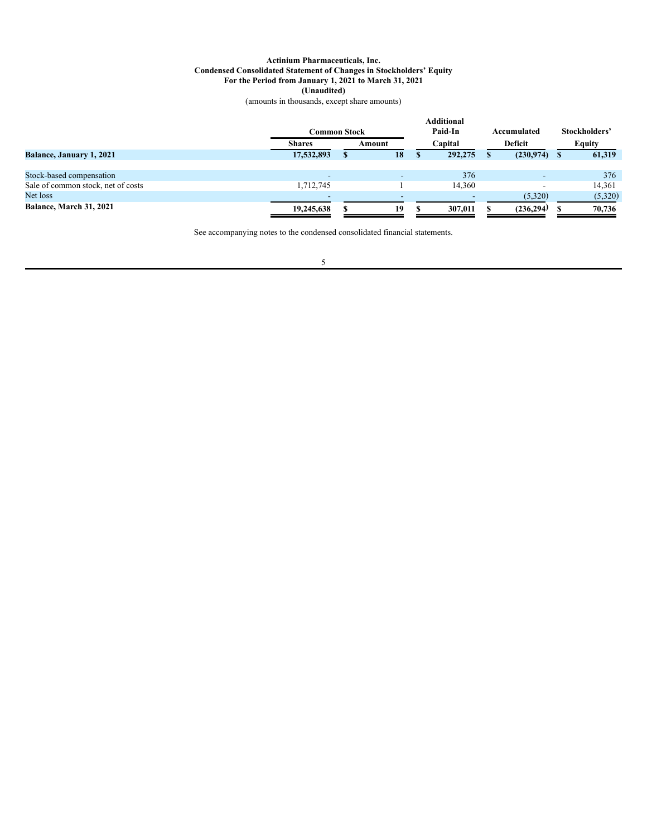## **Actinium Pharmaceuticals, Inc. Condensed Consolidated Statement of Changes in Stockholders' Equity For the Period from January 1, 2021 to March 31, 2021 (Unaudited)**

(amounts in thousands, except share amounts)

|                          |   |        |              | Paid-In    |                   |           |             | Stockholders' |
|--------------------------|---|--------|--------------|------------|-------------------|-----------|-------------|---------------|
| <b>Shares</b>            |   | Amount |              | Capital    |                   | Deficit   |             | <b>Equity</b> |
| 17,532,893               | s | 18     |              | 292,275    |                   | (230,974) |             | 61,319        |
|                          |   |        |              |            |                   |           |             |               |
| ۰                        |   |        |              | 376        |                   |           |             | 376           |
| 1,712,745                |   |        |              | 14,360     |                   | -         |             | 14,361        |
| $\overline{\phantom{a}}$ |   |        |              | <b>COL</b> |                   | (5,320)   |             | (5,320)       |
| 19,245,638               |   | 19     |              | 307,011    |                   | (236,294) |             | 70,736        |
|                          |   |        | Common Stock |            | <b>Additional</b> |           | Accumulated |               |

See accompanying notes to the condensed consolidated financial statements.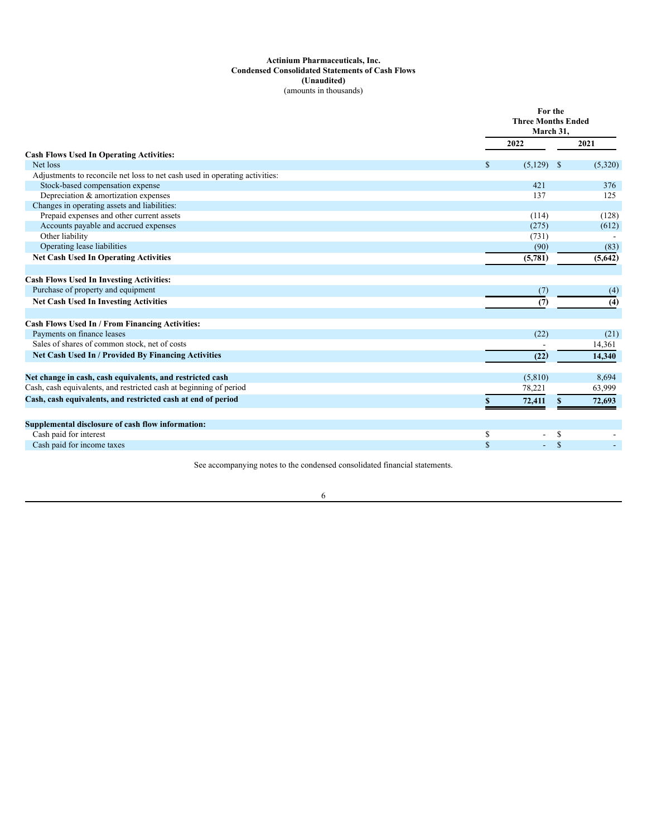## **Actinium Pharmaceuticals, Inc. Condensed Consolidated Statements of Cash Flows (Unaudited)** (amounts in thousands)

|                                                                             |               | For the<br><b>Three Months Ended</b><br>March 31, |
|-----------------------------------------------------------------------------|---------------|---------------------------------------------------|
|                                                                             | 2022          | 2021                                              |
| <b>Cash Flows Used In Operating Activities:</b>                             |               |                                                   |
| Net loss                                                                    | (5,129)<br>S. | <sup>\$</sup><br>(5,320)                          |
| Adjustments to reconcile net loss to net cash used in operating activities: |               |                                                   |
| Stock-based compensation expense                                            | 421           | 376                                               |
| Depreciation & amortization expenses                                        | 137           | 125                                               |
| Changes in operating assets and liabilities:                                |               |                                                   |
| Prepaid expenses and other current assets                                   | (114)         | (128)                                             |
| Accounts payable and accrued expenses                                       | (275)         | (612)                                             |
| Other liability                                                             | (731)         |                                                   |
| Operating lease liabilities                                                 | (90)          | (83)                                              |
| <b>Net Cash Used In Operating Activities</b>                                | (5,781)       | (5,642)                                           |
|                                                                             |               |                                                   |
| <b>Cash Flows Used In Investing Activities:</b>                             |               |                                                   |
| Purchase of property and equipment                                          | (7)           | (4)                                               |
| <b>Net Cash Used In Investing Activities</b>                                | (7)           | $\overline{(4)}$                                  |
|                                                                             |               |                                                   |
| Cash Flows Used In / From Financing Activities:                             |               |                                                   |
| Payments on finance leases                                                  | (22)          | (21)                                              |
| Sales of shares of common stock, net of costs                               |               | 14,361                                            |
| Net Cash Used In / Provided By Financing Activities                         | (22)          | 14,340                                            |
| Net change in cash, cash equivalents, and restricted cash                   | (5,810)       | 8,694                                             |
| Cash, cash equivalents, and restricted cash at beginning of period          | 78,221        | 63,999                                            |
| Cash, cash equivalents, and restricted cash at end of period                |               |                                                   |
|                                                                             | 72,411<br>\$  | 72,693                                            |
| Supplemental disclosure of cash flow information:                           |               |                                                   |
| Cash paid for interest                                                      | \$            | \$                                                |
| Cash paid for income taxes                                                  | $\mathbf S$   | $\mathbf S$                                       |
|                                                                             |               |                                                   |

See accompanying notes to the condensed consolidated financial statements.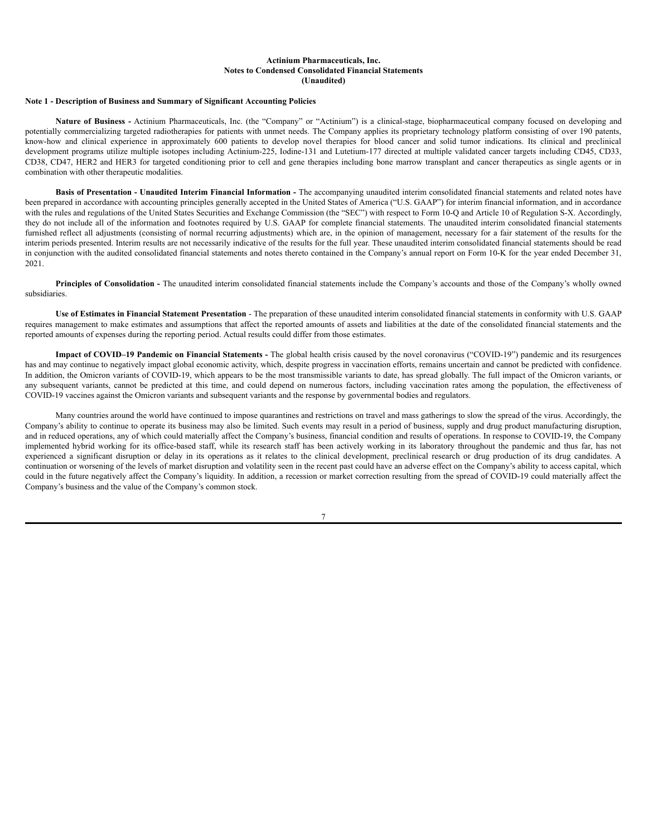#### **Actinium Pharmaceuticals, Inc. Notes to Condensed Consolidated Financial Statements (Unaudited)**

## **Note 1 - Description of Business and Summary of Significant Accounting Policies**

**Nature of Business -** Actinium Pharmaceuticals, Inc. (the "Company" or "Actinium") is a clinical-stage, biopharmaceutical company focused on developing and potentially commercializing targeted radiotherapies for patients with unmet needs. The Company applies its proprietary technology platform consisting of over 190 patents, know-how and clinical experience in approximately 600 patients to develop novel therapies for blood cancer and solid tumor indications. Its clinical and preclinical development programs utilize multiple isotopes including Actinium-225, Iodine-131 and Lutetium-177 directed at multiple validated cancer targets including CD45, CD33, CD38, CD47, HER2 and HER3 for targeted conditioning prior to cell and gene therapies including bone marrow transplant and cancer therapeutics as single agents or in combination with other therapeutic modalities.

**Basis of Presentation - Unaudited Interim Financial Information -** The accompanying unaudited interim consolidated financial statements and related notes have been prepared in accordance with accounting principles generally accepted in the United States of America ("U.S. GAAP") for interim financial information, and in accordance with the rules and regulations of the United States Securities and Exchange Commission (the "SEC") with respect to Form 10-Q and Article 10 of Regulation S-X. Accordingly, they do not include all of the information and footnotes required by U.S. GAAP for complete financial statements. The unaudited interim consolidated financial statements furnished reflect all adjustments (consisting of normal recurring adjustments) which are, in the opinion of management, necessary for a fair statement of the results for the interim periods presented. Interim results are not necessarily indicative of the results for the full year. These unaudited interim consolidated financial statements should be read in conjunction with the audited consolidated financial statements and notes thereto contained in the Company's annual report on Form 10-K for the year ended December 31, 2021.

**Principles of Consolidation -** The unaudited interim consolidated financial statements include the Company's accounts and those of the Company's wholly owned subsidiaries.

**Use of Estimates in Financial Statement Presentation** - The preparation of these unaudited interim consolidated financial statements in conformity with U.S. GAAP requires management to make estimates and assumptions that affect the reported amounts of assets and liabilities at the date of the consolidated financial statements and the reported amounts of expenses during the reporting period. Actual results could differ from those estimates.

**Impact of COVID–19 Pandemic on Financial Statements -** The global health crisis caused by the novel coronavirus ("COVID-19") pandemic and its resurgences has and may continue to negatively impact global economic activity, which, despite progress in vaccination efforts, remains uncertain and cannot be predicted with confidence. In addition, the Omicron variants of COVID-19, which appears to be the most transmissible variants to date, has spread globally. The full impact of the Omicron variants, or any subsequent variants, cannot be predicted at this time, and could depend on numerous factors, including vaccination rates among the population, the effectiveness of COVID-19 vaccines against the Omicron variants and subsequent variants and the response by governmental bodies and regulators.

Many countries around the world have continued to impose quarantines and restrictions on travel and mass gatherings to slow the spread of the virus. Accordingly, the Company's ability to continue to operate its business may also be limited. Such events may result in a period of business, supply and drug product manufacturing disruption, and in reduced operations, any of which could materially affect the Company's business, financial condition and results of operations. In response to COVID-19, the Company implemented hybrid working for its office-based staff, while its research staff has been actively working in its laboratory throughout the pandemic and thus far, has not experienced a significant disruption or delay in its operations as it relates to the clinical development, preclinical research or drug production of its drug candidates. A continuation or worsening of the levels of market disruption and volatility seen in the recent past could have an adverse effect on the Company's ability to access capital, which could in the future negatively affect the Company's liquidity. In addition, a recession or market correction resulting from the spread of COVID-19 could materially affect the Company's business and the value of the Company's common stock.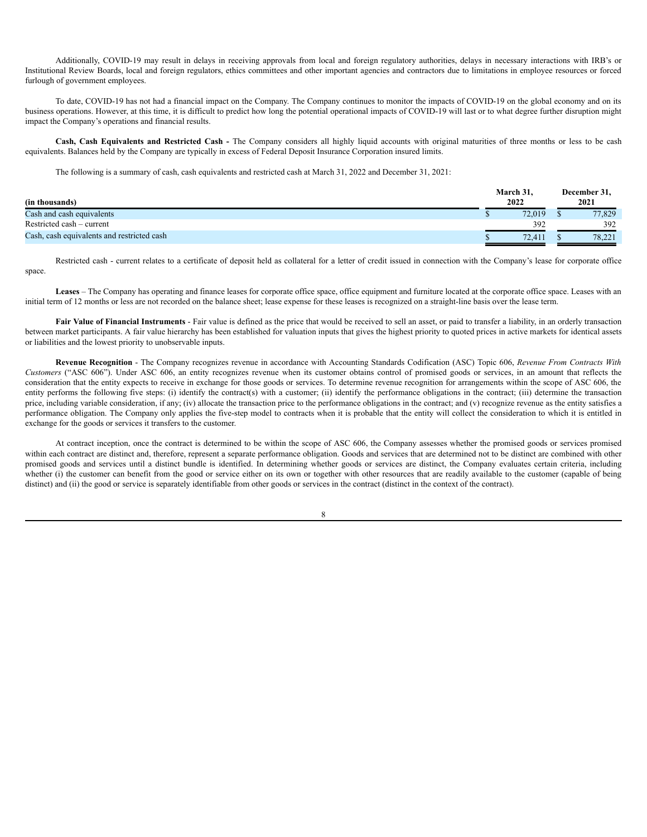Additionally, COVID-19 may result in delays in receiving approvals from local and foreign regulatory authorities, delays in necessary interactions with IRB's or Institutional Review Boards, local and foreign regulators, ethics committees and other important agencies and contractors due to limitations in employee resources or forced furlough of government employees.

To date, COVID-19 has not had a financial impact on the Company. The Company continues to monitor the impacts of COVID-19 on the global economy and on its business operations. However, at this time, it is difficult to predict how long the potential operational impacts of COVID-19 will last or to what degree further disruption might impact the Company's operations and financial results.

**Cash, Cash Equivalents and Restricted Cash -** The Company considers all highly liquid accounts with original maturities of three months or less to be cash equivalents. Balances held by the Company are typically in excess of Federal Deposit Insurance Corporation insured limits.

The following is a summary of cash, cash equivalents and restricted cash at March 31, 2022 and December 31, 2021:

| (in thousands)                             | March 31,<br>2022 |        | December 31,<br>2021 |        |
|--------------------------------------------|-------------------|--------|----------------------|--------|
| Cash and cash equivalents                  |                   | 72,019 |                      | 77,829 |
| Restricted cash – current                  |                   | 392    |                      | 392    |
| Cash, cash equivalents and restricted cash |                   | 72.411 |                      | 78,221 |

Restricted cash - current relates to a certificate of deposit held as collateral for a letter of credit issued in connection with the Company's lease for corporate office space.

**Leases** – The Company has operating and finance leases for corporate office space, office equipment and furniture located at the corporate office space. Leases with an initial term of 12 months or less are not recorded on the balance sheet; lease expense for these leases is recognized on a straight-line basis over the lease term.

**Fair Value of Financial Instruments** - Fair value is defined as the price that would be received to sell an asset, or paid to transfer a liability, in an orderly transaction between market participants. A fair value hierarchy has been established for valuation inputs that gives the highest priority to quoted prices in active markets for identical assets or liabilities and the lowest priority to unobservable inputs.

**Revenue Recognition** - The Company recognizes revenue in accordance with Accounting Standards Codification (ASC) Topic 606, *Revenue From Contracts With Customers* ("ASC 606"). Under ASC 606, an entity recognizes revenue when its customer obtains control of promised goods or services, in an amount that reflects the consideration that the entity expects to receive in exchange for those goods or services. To determine revenue recognition for arrangements within the scope of ASC 606, the entity performs the following five steps: (i) identify the contract(s) with a customer; (ii) identify the performance obligations in the contract; (iii) determine the transaction price, including variable consideration, if any; (iv) allocate the transaction price to the performance obligations in the contract; and (v) recognize revenue as the entity satisfies a performance obligation. The Company only applies the five-step model to contracts when it is probable that the entity will collect the consideration to which it is entitled in exchange for the goods or services it transfers to the customer.

At contract inception, once the contract is determined to be within the scope of ASC 606, the Company assesses whether the promised goods or services promised within each contract are distinct and, therefore, represent a separate performance obligation. Goods and services that are determined not to be distinct are combined with other promised goods and services until a distinct bundle is identified. In determining whether goods or services are distinct, the Company evaluates certain criteria, including whether (i) the customer can benefit from the good or service either on its own or together with other resources that are readily available to the customer (capable of being distinct) and (ii) the good or service is separately identifiable from other goods or services in the contract (distinct in the contract of the contract).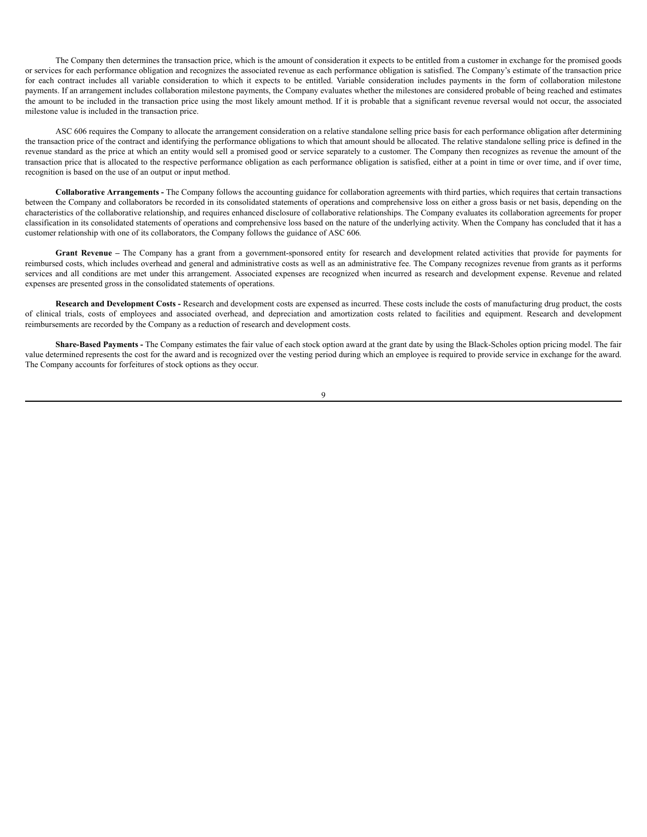The Company then determines the transaction price, which is the amount of consideration it expects to be entitled from a customer in exchange for the promised goods or services for each performance obligation and recognizes the associated revenue as each performance obligation is satisfied. The Company's estimate of the transaction price for each contract includes all variable consideration to which it expects to be entitled. Variable consideration includes payments in the form of collaboration milestone payments. If an arrangement includes collaboration milestone payments, the Company evaluates whether the milestones are considered probable of being reached and estimates the amount to be included in the transaction price using the most likely amount method. If it is probable that a significant revenue reversal would not occur, the associated milestone value is included in the transaction price.

ASC 606 requires the Company to allocate the arrangement consideration on a relative standalone selling price basis for each performance obligation after determining the transaction price of the contract and identifying the performance obligations to which that amount should be allocated. The relative standalone selling price is defined in the revenue standard as the price at which an entity would sell a promised good or service separately to a customer. The Company then recognizes as revenue the amount of the transaction price that is allocated to the respective performance obligation as each performance obligation is satisfied, either at a point in time or over time, and if over time, recognition is based on the use of an output or input method.

**Collaborative Arrangements -** The Company follows the accounting guidance for collaboration agreements with third parties, which requires that certain transactions between the Company and collaborators be recorded in its consolidated statements of operations and comprehensive loss on either a gross basis or net basis, depending on the characteristics of the collaborative relationship, and requires enhanced disclosure of collaborative relationships. The Company evaluates its collaboration agreements for proper classification in its consolidated statements of operations and comprehensive loss based on the nature of the underlying activity. When the Company has concluded that it has a customer relationship with one of its collaborators, the Company follows the guidance of ASC 606*.*

**Grant Revenue** *–* The Company has a grant from a government-sponsored entity for research and development related activities that provide for payments for reimbursed costs, which includes overhead and general and administrative costs as well as an administrative fee. The Company recognizes revenue from grants as it performs services and all conditions are met under this arrangement. Associated expenses are recognized when incurred as research and development expense. Revenue and related expenses are presented gross in the consolidated statements of operations.

**Research and Development Costs -** Research and development costs are expensed as incurred. These costs include the costs of manufacturing drug product, the costs of clinical trials, costs of employees and associated overhead, and depreciation and amortization costs related to facilities and equipment. Research and development reimbursements are recorded by the Company as a reduction of research and development costs.

**Share-Based Payments -** The Company estimates the fair value of each stock option award at the grant date by using the Black-Scholes option pricing model. The fair value determined represents the cost for the award and is recognized over the vesting period during which an employee is required to provide service in exchange for the award. The Company accounts for forfeitures of stock options as they occur.

 $\alpha$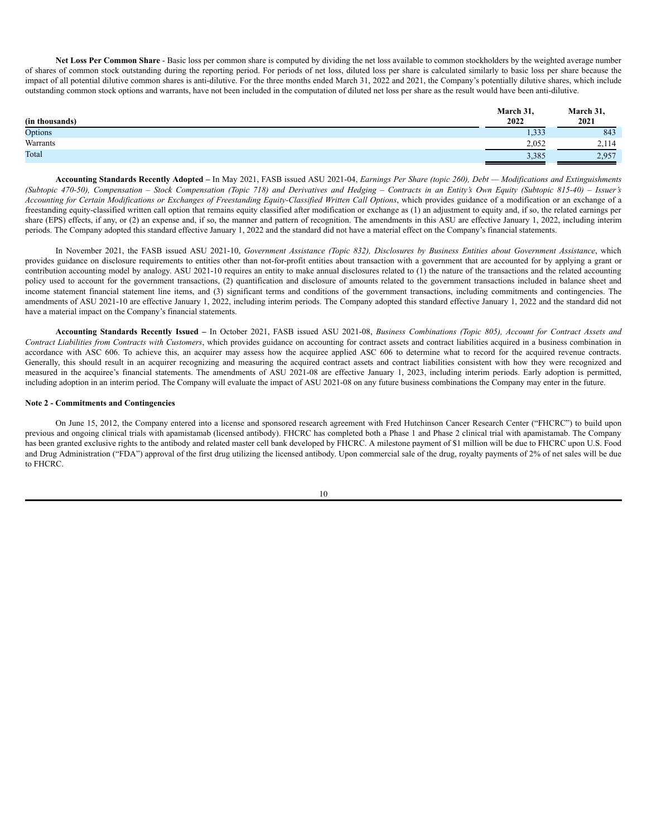**Net Loss Per Common Share** - Basic loss per common share is computed by dividing the net loss available to common stockholders by the weighted average number of shares of common stock outstanding during the reporting period. For periods of net loss, diluted loss per share is calculated similarly to basic loss per share because the impact of all potential dilutive common shares is anti-dilutive. For the three months ended March 31, 2022 and 2021, the Company's potentially dilutive shares, which include outstanding common stock options and warrants, have not been included in the computation of diluted net loss per share as the result would have been anti-dilutive.

|                | March 31, | March 31, |
|----------------|-----------|-----------|
| (in thousands) | 2022      | 2021      |
| Options        | 1,333     | 843       |
| Warrants       | 2,052     | 2,114     |
| Total          | 3,385     | 2,957     |

Accounting Standards Recently Adopted - In May 2021, FASB issued ASU 2021-04, Earnings Per Share (topic 260), Debt - Modifications and Extinguishments (Subtopic 470-50), Compensation – Stock Compensation (Topic 718) and Derivatives and Hedging – Contracts in an Entity's Own Equity (Subtopic 815-40) – Issuer's Accounting for Certain Modifications or Exchanges of Freestanding Equity-Classified Written Call Options, which provides guidance of a modification or an exchange of a freestanding equity-classified written call option that remains equity classified after modification or exchange as (1) an adjustment to equity and, if so, the related earnings per share (EPS) effects, if any, or (2) an expense and, if so, the manner and pattern of recognition. The amendments in this ASU are effective January 1, 2022, including interim periods. The Company adopted this standard effective January 1, 2022 and the standard did not have a material effect on the Company's financial statements.

In November 2021, the FASB issued ASU 2021-10, Government Assistance (Topic 832), Disclosures by Business Entities about Government Assistance, which provides guidance on disclosure requirements to entities other than not-for-profit entities about transaction with a government that are accounted for by applying a grant or contribution accounting model by analogy. ASU 2021-10 requires an entity to make annual disclosures related to (1) the nature of the transactions and the related accounting policy used to account for the government transactions, (2) quantification and disclosure of amounts related to the government transactions included in balance sheet and income statement financial statement line items, and (3) significant terms and conditions of the government transactions, including commitments and contingencies. The amendments of ASU 2021-10 are effective January 1, 2022, including interim periods. The Company adopted this standard effective January 1, 2022 and the standard did not have a material impact on the Company's financial statements.

Accounting Standards Recently Issued - In October 2021, FASB issued ASU 2021-08, Business Combinations (Topic 805), Account for Contract Assets and *Contract Liabilities from Contracts with Customers*, which provides guidance on accounting for contract assets and contract liabilities acquired in a business combination in accordance with ASC 606. To achieve this, an acquirer may assess how the acquiree applied ASC 606 to determine what to record for the acquired revenue contracts. Generally, this should result in an acquirer recognizing and measuring the acquired contract assets and contract liabilities consistent with how they were recognized and measured in the acquiree's financial statements. The amendments of ASU 2021-08 are effective January 1, 2023, including interim periods. Early adoption is permitted, including adoption in an interim period. The Company will evaluate the impact of ASU 2021-08 on any future business combinations the Company may enter in the future.

## **Note 2 - Commitments and Contingencies**

On June 15, 2012, the Company entered into a license and sponsored research agreement with Fred Hutchinson Cancer Research Center ("FHCRC") to build upon previous and ongoing clinical trials with apamistamab (licensed antibody). FHCRC has completed both a Phase 1 and Phase 2 clinical trial with apamistamab. The Company has been granted exclusive rights to the antibody and related master cell bank developed by FHCRC. A milestone payment of \$1 million will be due to FHCRC upon U.S. Food and Drug Administration ("FDA") approval of the first drug utilizing the licensed antibody. Upon commercial sale of the drug, royalty payments of 2% of net sales will be due to FHCRC.

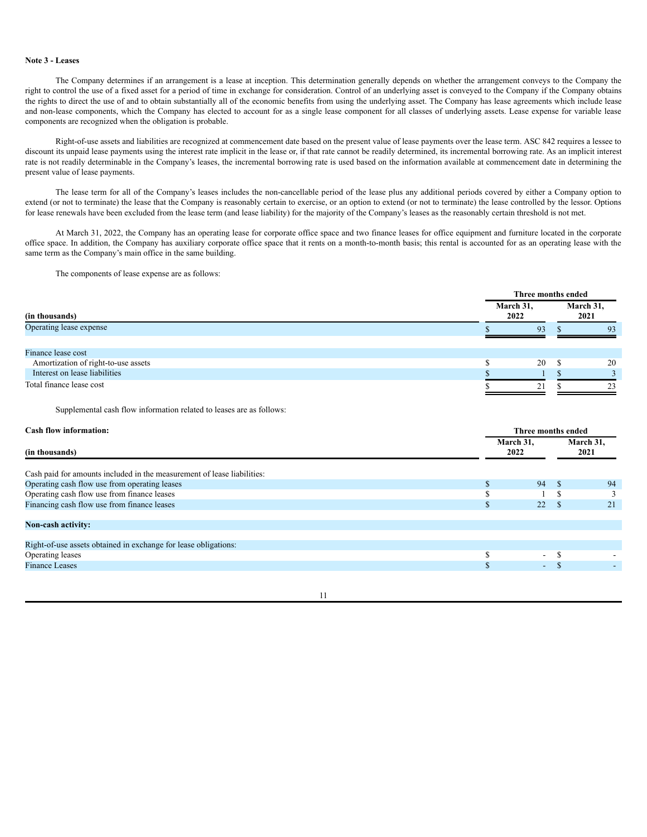#### **Note 3 - Leases**

The Company determines if an arrangement is a lease at inception. This determination generally depends on whether the arrangement conveys to the Company the right to control the use of a fixed asset for a period of time in exchange for consideration. Control of an underlying asset is conveyed to the Company if the Company obtains the rights to direct the use of and to obtain substantially all of the economic benefits from using the underlying asset. The Company has lease agreements which include lease and non-lease components, which the Company has elected to account for as a single lease component for all classes of underlying assets. Lease expense for variable lease components are recognized when the obligation is probable.

Right-of-use assets and liabilities are recognized at commencement date based on the present value of lease payments over the lease term. ASC 842 requires a lessee to discount its unpaid lease payments using the interest rate implicit in the lease or, if that rate cannot be readily determined, its incremental borrowing rate. As an implicit interest rate is not readily determinable in the Company's leases, the incremental borrowing rate is used based on the information available at commencement date in determining the present value of lease payments.

The lease term for all of the Company's leases includes the non-cancellable period of the lease plus any additional periods covered by either a Company option to extend (or not to terminate) the lease that the Company is reasonably certain to exercise, or an option to extend (or not to terminate) the lease controlled by the lessor. Options for lease renewals have been excluded from the lease term (and lease liability) for the majority of the Company's leases as the reasonably certain threshold is not met.

At March 31, 2022, the Company has an operating lease for corporate office space and two finance leases for office equipment and furniture located in the corporate office space. In addition, the Company has auxiliary corporate office space that it rents on a month-to-month basis; this rental is accounted for as an operating lease with the same term as the Company's main office in the same building.

The components of lease expense are as follows:

|                                     | Three months ended |  |                   |  |  |  |  |
|-------------------------------------|--------------------|--|-------------------|--|--|--|--|
| (in thousands)                      | March 31,<br>2022  |  | March 31,<br>2021 |  |  |  |  |
| Operating lease expense             | 93                 |  | 93                |  |  |  |  |
| Finance lease cost                  |                    |  |                   |  |  |  |  |
| Amortization of right-to-use assets | 20                 |  | 20                |  |  |  |  |
| Interest on lease liabilities       |                    |  |                   |  |  |  |  |
| Total finance lease cost            | $^{\circ}$ 1<br>4. |  | 23                |  |  |  |  |

Supplemental cash flow information related to leases are as follows:

## **Cash flow information: Three months ended**

| (in thousands)                                                          | March 31,<br>2022 | March 31,<br>2021 |
|-------------------------------------------------------------------------|-------------------|-------------------|
| Cash paid for amounts included in the measurement of lease liabilities: |                   |                   |
| Operating cash flow use from operating leases                           | 94                | 94                |
| Operating cash flow use from finance leases                             |                   |                   |
| Financing cash flow use from finance leases                             | 22<br>J.          | 21                |
|                                                                         |                   |                   |
| <b>Non-cash activity:</b>                                               |                   |                   |
|                                                                         |                   |                   |
| Right-of-use assets obtained in exchange for lease obligations:         |                   |                   |
| Operating leases                                                        | $\sim$            |                   |
| <b>Finance Leases</b>                                                   | $\blacksquare$    |                   |
|                                                                         |                   |                   |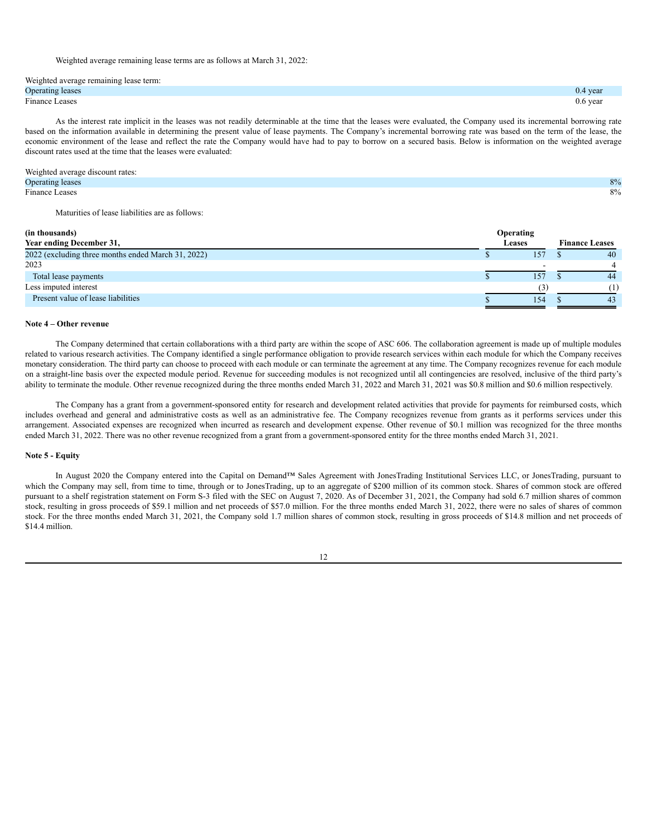#### Weighted average remaining lease terms are as follows at March 31, 2022:

#### Weighted average remaining lease term: Operating leases 0.4 year

Finance Leases 0.6 year 0.6 year 0.6 year

As the interest rate implicit in the leases was not readily determinable at the time that the leases were evaluated, the Company used its incremental borrowing rate based on the information available in determining the present value of lease payments. The Company's incremental borrowing rate was based on the term of the lease, the economic environment of the lease and reflect the rate the Company would have had to pay to borrow on a secured basis. Below is information on the weighted average discount rates used at the time that the leases were evaluated:

| Weighted average discount rates: |    |
|----------------------------------|----|
| Operating leases                 | 8% |
| Finance Leases                   | 8% |

Maturities of lease liabilities are as follows:

| (in thousands)                                     | Operating      |                       |  |
|----------------------------------------------------|----------------|-----------------------|--|
| Year ending December 31,                           | <b>Leases</b>  | <b>Finance Leases</b> |  |
| 2022 (excluding three months ended March 31, 2022) | 157            | 40                    |  |
| 2023                                               |                |                       |  |
| Total lease payments                               | 157            | 44                    |  |
| Less imputed interest                              | $^{\prime}$ 31 |                       |  |
| Present value of lease liabilities                 | 154            | 43                    |  |

#### **Note 4 – Other revenue**

The Company determined that certain collaborations with a third party are within the scope of ASC 606. The collaboration agreement is made up of multiple modules related to various research activities. The Company identified a single performance obligation to provide research services within each module for which the Company receives monetary consideration. The third party can choose to proceed with each module or can terminate the agreement at any time. The Company recognizes revenue for each module on a straight-line basis over the expected module period. Revenue for succeeding modules is not recognized until all contingencies are resolved, inclusive of the third party's ability to terminate the module. Other revenue recognized during the three months ended March 31, 2022 and March 31, 2021 was \$0.8 million and \$0.6 million respectively.

The Company has a grant from a government-sponsored entity for research and development related activities that provide for payments for reimbursed costs, which includes overhead and general and administrative costs as well as an administrative fee. The Company recognizes revenue from grants as it performs services under this arrangement. Associated expenses are recognized when incurred as research and development expense. Other revenue of \$0.1 million was recognized for the three months ended March 31, 2022. There was no other revenue recognized from a grant from a government-sponsored entity for the three months ended March 31, 2021.

## **Note 5 - Equity**

In August 2020 the Company entered into the Capital on Demand™ Sales Agreement with JonesTrading Institutional Services LLC, or JonesTrading, pursuant to which the Company may sell, from time to time, through or to JonesTrading, up to an aggregate of \$200 million of its common stock. Shares of common stock are offered pursuant to a shelf registration statement on Form S-3 filed with the SEC on August 7, 2020. As of December 31, 2021, the Company had sold 6.7 million shares of common stock, resulting in gross proceeds of \$59.1 million and net proceeds of \$57.0 million. For the three months ended March 31, 2022, there were no sales of shares of common stock. For the three months ended March 31, 2021, the Company sold 1.7 million shares of common stock, resulting in gross proceeds of \$14.8 million and net proceeds of \$14.4 million.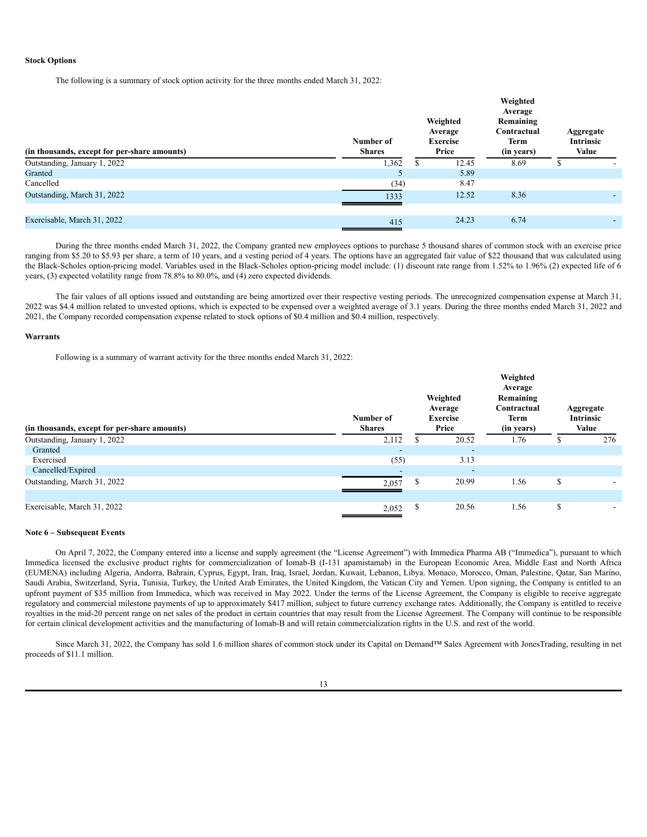#### **Stock Options**

The following is a summary of stock option activity for the three months ended March 31, 2022:

| (in thousands, except for per-share amounts) | Number of<br><b>Shares</b> |   | Weighted<br>Average<br>Exercise<br>Price | Weighted<br>Average<br>Remaining<br>Contractual<br><b>Term</b><br>(in years) | Aggregate<br><b>Intrinsic</b><br><b>Value</b> |
|----------------------------------------------|----------------------------|---|------------------------------------------|------------------------------------------------------------------------------|-----------------------------------------------|
| Outstanding, January 1, 2022                 | 1,362                      | S | 12.45                                    | 8.69                                                                         |                                               |
| Granted                                      |                            |   | 5.89                                     |                                                                              |                                               |
| Cancelled                                    | (34)                       |   | 8.47                                     |                                                                              |                                               |
| Outstanding, March 31, 2022                  | 1333                       |   | 12.52                                    | 8.36                                                                         |                                               |
|                                              |                            |   |                                          |                                                                              |                                               |
| Exercisable, March 31, 2022                  | 415                        |   | 24.23                                    | 6.74                                                                         |                                               |

During the three months ended March 31, 2022, the Company granted new employees options to purchase 5 thousand shares of common stock with an exercise price ranging from \$5.20 to \$5.93 per share, a term of 10 years, and a vesting period of 4 years. The options have an aggregated fair value of \$22 thousand that was calculated using the Black-Scholes option-pricing model. Variables used in the Black-Scholes option-pricing model include: (1) discount rate range from 1.52% to 1.96% (2) expected life of 6 years, (3) expected volatility range from 78.8% to 80.0%, and (4) zero expected dividends.

The fair values of all options issued and outstanding are being amortized over their respective vesting periods. The unrecognized compensation expense at March 31, 2022 was \$4.4 million related to unvested options, which is expected to be expensed over a weighted average of 3.1 years. During the three months ended March 31, 2022 and 2021, the Company recorded compensation expense related to stock options of \$0.4 million and \$0.4 million, respectively.

#### **Warrants**

Following is a summary of warrant activity for the three months ended March 31, 2022:

| (in thousands, except for per-share amounts) | Number of<br><b>Shares</b> | Weighted<br>Average<br><b>Exercise</b><br>Price | Weighted<br>Average<br>Remaining<br>Contractual<br>Term<br>(in years) |    | Aggregate<br>Intrinsic<br>Value |
|----------------------------------------------|----------------------------|-------------------------------------------------|-----------------------------------------------------------------------|----|---------------------------------|
| Outstanding, January 1, 2022                 | 2,112                      | \$<br>20.52                                     | 1.76                                                                  |    | 276                             |
| Granted                                      | -                          | $\overline{\phantom{a}}$                        |                                                                       |    |                                 |
| Exercised                                    | (55)                       | 3.13                                            |                                                                       |    |                                 |
| Cancelled/Expired                            |                            | $\overline{\phantom{a}}$                        |                                                                       |    |                                 |
| Outstanding, March 31, 2022                  | 2,057                      | \$<br>20.99                                     | 1.56                                                                  | ۰. |                                 |
|                                              |                            |                                                 |                                                                       |    |                                 |
| Exercisable, March 31, 2022                  | 2,052                      | \$<br>20.56                                     | 1.56                                                                  | J. |                                 |

#### **Note 6 – Subsequent Events**

On April 7, 2022, the Company entered into a license and supply agreement (the "License Agreement") with Immedica Pharma AB ("Immedica"), pursuant to which Immedica licensed the exclusive product rights for commercialization of Iomab-B (I-131 apamistamab) in the European Economic Area, Middle East and North Africa (EUMENA) including Algeria, Andorra, Bahrain, Cyprus, Egypt, Iran, Iraq, Israel, Jordan, Kuwait, Lebanon, Libya. Monaco, Morocco, Oman, Palestine, Qatar, San Marino, Saudi Arabia, Switzerland, Syria, Tunisia, Turkey, the United Arab Emirates, the United Kingdom, the Vatican City and Yemen. Upon signing, the Company is entitled to an upfront payment of \$35 million from Immedica, which was received in May 2022. Under the terms of the License Agreement, the Company is eligible to receive aggregate regulatory and commercial milestone payments of up to approximately \$417 million, subject to future currency exchange rates. Additionally, the Company is entitled to receive royalties in the mid-20 percent range on net sales of the product in certain countries that may result from the License Agreement. The Company will continue to be responsible for certain clinical development activities and the manufacturing of Iomab-B and will retain commercialization rights in the U.S. and rest of the world.

Since March 31, 2022, the Company has sold 1.6 million shares of common stock under its Capital on Demand™ Sales Agreement with JonesTrading, resulting in net proceeds of \$11.1 million.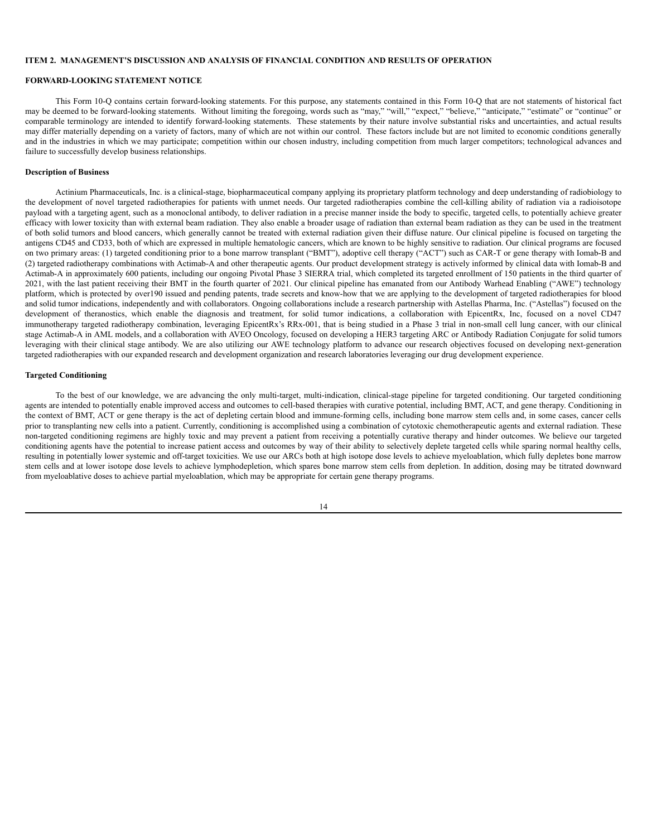# <span id="page-15-0"></span>**ITEM 2. MANAGEMENT'S DISCUSSION AND ANALYSIS OF FINANCIAL CONDITION AND RESULTS OF OPERATION**

#### **FORWARD-LOOKING STATEMENT NOTICE**

This Form 10-Q contains certain forward-looking statements. For this purpose, any statements contained in this Form 10-Q that are not statements of historical fact may be deemed to be forward-looking statements. Without limiting the foregoing, words such as "may," "will," "expect," "believe," "anticipate," "estimate" or "continue" or comparable terminology are intended to identify forward-looking statements. These statements by their nature involve substantial risks and uncertainties, and actual results may differ materially depending on a variety of factors, many of which are not within our control. These factors include but are not limited to economic conditions generally and in the industries in which we may participate; competition within our chosen industry, including competition from much larger competitors; technological advances and failure to successfully develop business relationships.

#### **Description of Business**

Actinium Pharmaceuticals, Inc. is a clinical-stage, biopharmaceutical company applying its proprietary platform technology and deep understanding of radiobiology to the development of novel targeted radiotherapies for patients with unmet needs. Our targeted radiotherapies combine the cell-killing ability of radiation via a radioisotope payload with a targeting agent, such as a monoclonal antibody, to deliver radiation in a precise manner inside the body to specific, targeted cells, to potentially achieve greater efficacy with lower toxicity than with external beam radiation. They also enable a broader usage of radiation than external beam radiation as they can be used in the treatment of both solid tumors and blood cancers, which generally cannot be treated with external radiation given their diffuse nature. Our clinical pipeline is focused on targeting the antigens CD45 and CD33, both of which are expressed in multiple hematologic cancers, which are known to be highly sensitive to radiation. Our clinical programs are focused on two primary areas: (1) targeted conditioning prior to a bone marrow transplant ("BMT"), adoptive cell therapy ("ACT") such as CAR-T or gene therapy with Iomab-B and (2) targeted radiotherapy combinations with Actimab-A and other therapeutic agents. Our product development strategy is actively informed by clinical data with Iomab-B and Actimab-A in approximately 600 patients, including our ongoing Pivotal Phase 3 SIERRA trial, which completed its targeted enrollment of 150 patients in the third quarter of 2021, with the last patient receiving their BMT in the fourth quarter of 2021. Our clinical pipeline has emanated from our Antibody Warhead Enabling ("AWE") technology platform, which is protected by over190 issued and pending patents, trade secrets and know-how that we are applying to the development of targeted radiotherapies for blood and solid tumor indications, independently and with collaborators. Ongoing collaborations include a research partnership with Astellas Pharma, Inc. ("Astellas") focused on the development of theranostics, which enable the diagnosis and treatment, for solid tumor indications, a collaboration with EpicentRx, Inc, focused on a novel CD47 immunotherapy targeted radiotherapy combination, leveraging EpicentRx's RRx-001, that is being studied in a Phase 3 trial in non-small cell lung cancer, with our clinical stage Actimab-A in AML models, and a collaboration with AVEO Oncology, focused on developing a HER3 targeting ARC or Antibody Radiation Conjugate for solid tumors leveraging with their clinical stage antibody. We are also utilizing our AWE technology platform to advance our research objectives focused on developing next-generation targeted radiotherapies with our expanded research and development organization and research laboratories leveraging our drug development experience.

#### **Targeted Conditioning**

To the best of our knowledge, we are advancing the only multi-target, multi-indication, clinical-stage pipeline for targeted conditioning. Our targeted conditioning agents are intended to potentially enable improved access and outcomes to cell-based therapies with curative potential, including BMT, ACT, and gene therapy. Conditioning in the context of BMT, ACT or gene therapy is the act of depleting certain blood and immune-forming cells, including bone marrow stem cells and, in some cases, cancer cells prior to transplanting new cells into a patient. Currently, conditioning is accomplished using a combination of cytotoxic chemotherapeutic agents and external radiation. These non-targeted conditioning regimens are highly toxic and may prevent a patient from receiving a potentially curative therapy and hinder outcomes. We believe our targeted conditioning agents have the potential to increase patient access and outcomes by way of their ability to selectively deplete targeted cells while sparing normal healthy cells, resulting in potentially lower systemic and off-target toxicities. We use our ARCs both at high isotope dose levels to achieve myeloablation, which fully depletes bone marrow stem cells and at lower isotope dose levels to achieve lymphodepletion, which spares bone marrow stem cells from depletion. In addition, dosing may be titrated downward from myeloablative doses to achieve partial myeloablation, which may be appropriate for certain gene therapy programs.

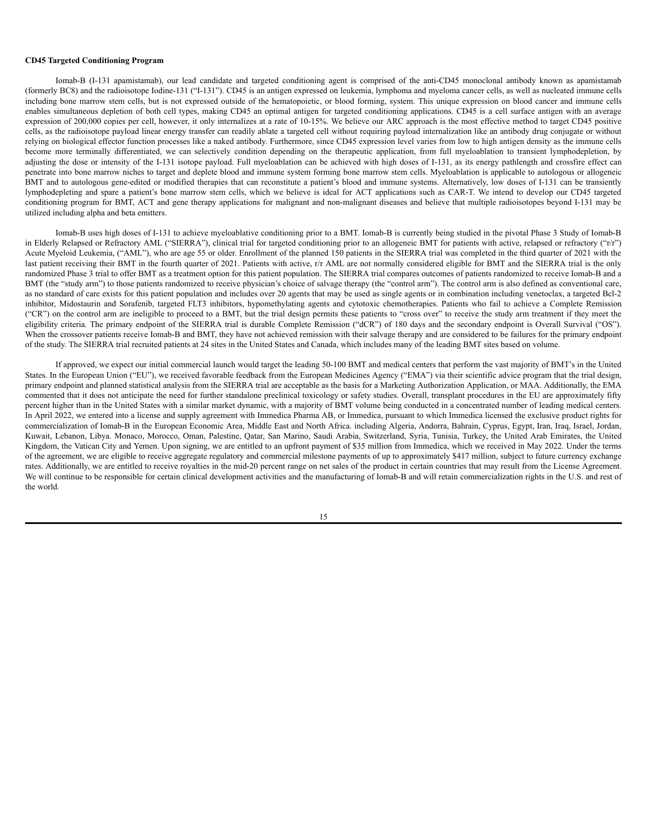#### **CD45 Targeted Conditioning Program**

Iomab-B (I-131 apamistamab), our lead candidate and targeted conditioning agent is comprised of the anti-CD45 monoclonal antibody known as apamistamab (formerly BC8) and the radioisotope Iodine-131 ("I-131"). CD45 is an antigen expressed on leukemia, lymphoma and myeloma cancer cells, as well as nucleated immune cells including bone marrow stem cells, but is not expressed outside of the hematopoietic, or blood forming, system. This unique expression on blood cancer and immune cells enables simultaneous depletion of both cell types, making CD45 an optimal antigen for targeted conditioning applications. CD45 is a cell surface antigen with an average expression of 200,000 copies per cell, however, it only internalizes at a rate of 10-15%. We believe our ARC approach is the most effective method to target CD45 positive cells, as the radioisotope payload linear energy transfer can readily ablate a targeted cell without requiring payload internalization like an antibody drug conjugate or without relying on biological effector function processes like a naked antibody. Furthermore, since CD45 expression level varies from low to high antigen density as the immune cells become more terminally differentiated, we can selectively condition depending on the therapeutic application, from full myeloablation to transient lymphodepletion, by adjusting the dose or intensity of the I-131 isotope payload. Full myeloablation can be achieved with high doses of I-131, as its energy pathlength and crossfire effect can penetrate into bone marrow niches to target and deplete blood and immune system forming bone marrow stem cells. Myeloablation is applicable to autologous or allogeneic BMT and to autologous gene-edited or modified therapies that can reconstitute a patient's blood and immune systems. Alternatively, low doses of I-131 can be transiently lymphodepleting and spare a patient's bone marrow stem cells, which we believe is ideal for ACT applications such as CAR-T. We intend to develop our CD45 targeted conditioning program for BMT, ACT and gene therapy applications for malignant and non-malignant diseases and believe that multiple radioisotopes beyond I-131 may be utilized including alpha and beta emitters.

Iomab-B uses high doses of I-131 to achieve myeloablative conditioning prior to a BMT. Iomab-B is currently being studied in the pivotal Phase 3 Study of Iomab-B in Elderly Relapsed or Refractory AML ("SIERRA"), clinical trial for targeted conditioning prior to an allogeneic BMT for patients with active, relapsed or refractory ("r/r") Acute Myeloid Leukemia, ("AML"), who are age 55 or older. Enrollment of the planned 150 patients in the SIERRA trial was completed in the third quarter of 2021 with the last patient receiving their BMT in the fourth quarter of 2021. Patients with active, r/r AML are not normally considered eligible for BMT and the SIERRA trial is the only randomized Phase 3 trial to offer BMT as a treatment option for this patient population. The SIERRA trial compares outcomes of patients randomized to receive Iomab-B and a BMT (the "study arm") to those patients randomized to receive physician's choice of salvage therapy (the "control arm"). The control arm is also defined as conventional care, as no standard of care exists for this patient population and includes over 20 agents that may be used as single agents or in combination including venetoclax, a targeted Bcl-2 inhibitor, Midostaurin and Sorafenib, targeted FLT3 inhibitors, hypomethylating agents and cytotoxic chemotherapies. Patients who fail to achieve a Complete Remission ("CR") on the control arm are ineligible to proceed to a BMT, but the trial design permits these patients to "cross over" to receive the study arm treatment if they meet the eligibility criteria. The primary endpoint of the SIERRA trial is durable Complete Remission ("dCR") of 180 days and the secondary endpoint is Overall Survival ("OS"). When the crossover patients receive Iomab-B and BMT, they have not achieved remission with their salvage therapy and are considered to be failures for the primary endpoint of the study. The SIERRA trial recruited patients at 24 sites in the United States and Canada, which includes many of the leading BMT sites based on volume.

If approved, we expect our initial commercial launch would target the leading 50-100 BMT and medical centers that perform the vast majority of BMT's in the United States. In the European Union ("EU"), we received favorable feedback from the European Medicines Agency ("EMA") via their scientific advice program that the trial design, primary endpoint and planned statistical analysis from the SIERRA trial are acceptable as the basis for a Marketing Authorization Application, or MAA. Additionally, the EMA commented that it does not anticipate the need for further standalone preclinical toxicology or safety studies. Overall, transplant procedures in the EU are approximately fifty percent higher than in the United States with a similar market dynamic, with a majority of BMT volume being conducted in a concentrated number of leading medical centers. In April 2022, we entered into a license and supply agreement with Immedica Pharma AB, or Immedica, pursuant to which Immedica licensed the exclusive product rights for commercialization of Iomab-B in the European Economic Area, Middle East and North Africa. including Algeria, Andorra, Bahrain, Cyprus, Egypt, Iran, Iraq, Israel, Jordan, Kuwait, Lebanon, Libya. Monaco, Morocco, Oman, Palestine, Qatar, San Marino, Saudi Arabia, Switzerland, Syria, Tunisia, Turkey, the United Arab Emirates, the United Kingdom, the Vatican City and Yemen. Upon signing, we are entitled to an upfront payment of \$35 million from Immedica, which we received in May 2022. Under the terms of the agreement, we are eligible to receive aggregate regulatory and commercial milestone payments of up to approximately \$417 million, subject to future currency exchange rates. Additionally, we are entitled to receive royalties in the mid-20 percent range on net sales of the product in certain countries that may result from the License Agreement. We will continue to be responsible for certain clinical development activities and the manufacturing of Iomab-B and will retain commercialization rights in the U.S. and rest of the world.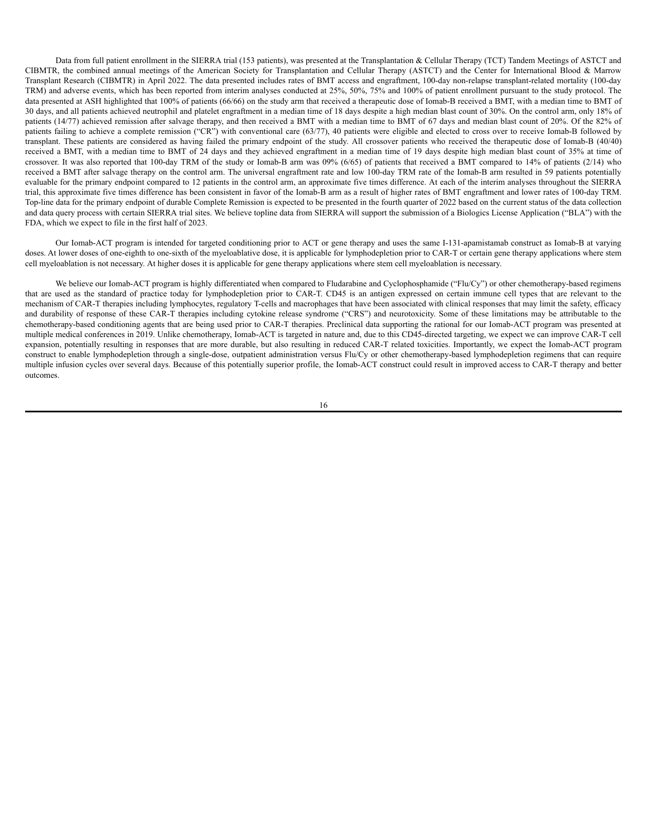Data from full patient enrollment in the SIERRA trial (153 patients), was presented at the Transplantation & Cellular Therapy (TCT) Tandem Meetings of ASTCT and CIBMTR, the combined annual meetings of the American Society for Transplantation and Cellular Therapy (ASTCT) and the Center for International Blood & Marrow Transplant Research (CIBMTR) in April 2022. The data presented includes rates of BMT access and engraftment, 100-day non-relapse transplant-related mortality (100-day TRM) and adverse events, which has been reported from interim analyses conducted at 25%, 50%, 75% and 100% of patient enrollment pursuant to the study protocol. The data presented at ASH highlighted that 100% of patients (66/66) on the study arm that received a therapeutic dose of Iomab-B received a BMT, with a median time to BMT of 30 days, and all patients achieved neutrophil and platelet engraftment in a median time of 18 days despite a high median blast count of 30%. On the control arm, only 18% of patients (14/77) achieved remission after salvage therapy, and then received a BMT with a median time to BMT of 67 days and median blast count of 20%. Of the 82% of patients failing to achieve a complete remission ("CR") with conventional care (63/77), 40 patients were eligible and elected to cross over to receive Iomab-B followed by transplant. These patients are considered as having failed the primary endpoint of the study. All crossover patients who received the therapeutic dose of Iomab-B (40/40) received a BMT, with a median time to BMT of 24 days and they achieved engraftment in a median time of 19 days despite high median blast count of 35% at time of crossover. It was also reported that 100-day TRM of the study or Iomab-B arm was 09% (6/65) of patients that received a BMT compared to 14% of patients (2/14) who received a BMT after salvage therapy on the control arm. The universal engraftment rate and low 100-day TRM rate of the Iomab-B arm resulted in 59 patients potentially evaluable for the primary endpoint compared to 12 patients in the control arm, an approximate five times difference. At each of the interim analyses throughout the SIERRA trial, this approximate five times difference has been consistent in favor of the Iomab-B arm as a result of higher rates of BMT engraftment and lower rates of 100-day TRM. Top-line data for the primary endpoint of durable Complete Remission is expected to be presented in the fourth quarter of 2022 based on the current status of the data collection and data query process with certain SIERRA trial sites. We believe topline data from SIERRA will support the submission of a Biologics License Application ("BLA") with the FDA, which we expect to file in the first half of 2023.

Our Iomab-ACT program is intended for targeted conditioning prior to ACT or gene therapy and uses the same I-131-apamistamab construct as Iomab-B at varying doses. At lower doses of one-eighth to one-sixth of the myeloablative dose, it is applicable for lymphodepletion prior to CAR-T or certain gene therapy applications where stem cell myeloablation is not necessary. At higher doses it is applicable for gene therapy applications where stem cell myeloablation is necessary.

We believe our Iomab-ACT program is highly differentiated when compared to Fludarabine and Cyclophosphamide ("Flu/Cy") or other chemotherapy-based regimens that are used as the standard of practice today for lymphodepletion prior to CAR-T. CD45 is an antigen expressed on certain immune cell types that are relevant to the mechanism of CAR-T therapies including lymphocytes, regulatory T-cells and macrophages that have been associated with clinical responses that may limit the safety, efficacy and durability of response of these CAR-T therapies including cytokine release syndrome ("CRS") and neurotoxicity. Some of these limitations may be attributable to the chemotherapy-based conditioning agents that are being used prior to CAR-T therapies. Preclinical data supporting the rational for our Iomab-ACT program was presented at multiple medical conferences in 2019. Unlike chemotherapy, Iomab-ACT is targeted in nature and, due to this CD45-directed targeting, we expect we can improve CAR-T cell expansion, potentially resulting in responses that are more durable, but also resulting in reduced CAR-T related toxicities. Importantly, we expect the Iomab-ACT program construct to enable lymphodepletion through a single-dose, outpatient administration versus Flu/Cy or other chemotherapy-based lymphodepletion regimens that can require multiple infusion cycles over several days. Because of this potentially superior profile, the Iomab-ACT construct could result in improved access to CAR-T therapy and better outcomes.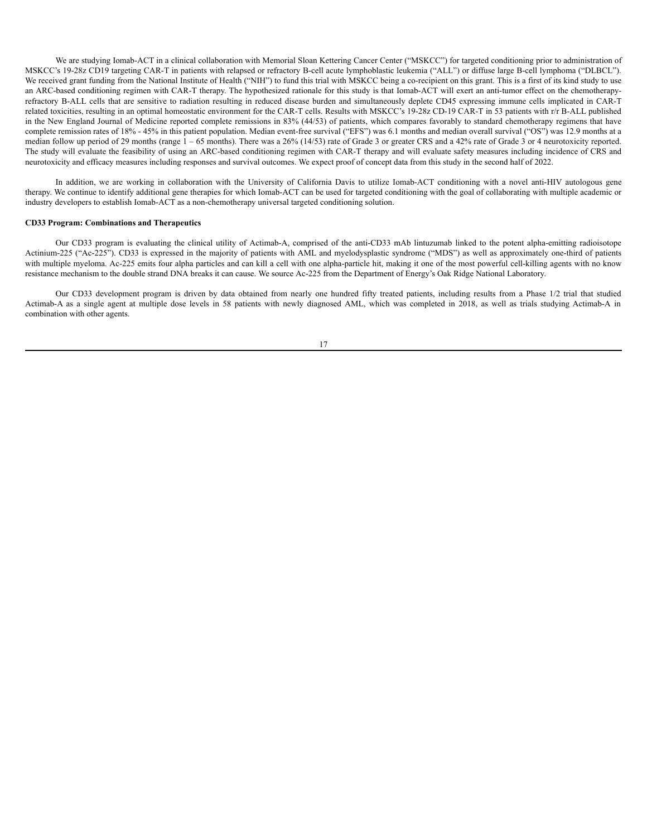We are studying Iomab-ACT in a clinical collaboration with Memorial Sloan Kettering Cancer Center ("MSKCC") for targeted conditioning prior to administration of MSKCC's 19-28z CD19 targeting CAR-T in patients with relapsed or refractory B-cell acute lymphoblastic leukemia ("ALL") or diffuse large B-cell lymphoma ("DLBCL"). We received grant funding from the National Institute of Health ("NIH") to fund this trial with MSKCC being a co-recipient on this grant. This is a first of its kind study to use an ARC-based conditioning regimen with CAR-T therapy. The hypothesized rationale for this study is that Iomab-ACT will exert an anti-tumor effect on the chemotherapyrefractory B-ALL cells that are sensitive to radiation resulting in reduced disease burden and simultaneously deplete CD45 expressing immune cells implicated in CAR-T related toxicities, resulting in an optimal homeostatic environment for the CAR-T cells. Results with MSKCC's 19-28z CD-19 CAR-T in 53 patients with r/r B-ALL published in the New England Journal of Medicine reported complete remissions in 83% (44/53) of patients, which compares favorably to standard chemotherapy regimens that have complete remission rates of 18% - 45% in this patient population. Median event-free survival ("EFS") was 6.1 months and median overall survival ("OS") was 12.9 months at a median follow up period of 29 months (range  $1 - 65$  months). There was a 26% (14/53) rate of Grade 3 or greater CRS and a 42% rate of Grade 3 or 4 neurotoxicity reported. The study will evaluate the feasibility of using an ARC-based conditioning regimen with CAR-T therapy and will evaluate safety measures including incidence of CRS and neurotoxicity and efficacy measures including responses and survival outcomes. We expect proof of concept data from this study in the second half of 2022.

In addition, we are working in collaboration with the University of California Davis to utilize Iomab-ACT conditioning with a novel anti-HIV autologous gene therapy. We continue to identify additional gene therapies for which Iomab-ACT can be used for targeted conditioning with the goal of collaborating with multiple academic or industry developers to establish Iomab-ACT as a non-chemotherapy universal targeted conditioning solution.

#### **CD33 Program: Combinations and Therapeutics**

Our CD33 program is evaluating the clinical utility of Actimab-A, comprised of the anti-CD33 mAb lintuzumab linked to the potent alpha-emitting radioisotope Actinium-225 ("Ac-225"). CD33 is expressed in the majority of patients with AML and myelodysplastic syndrome ("MDS") as well as approximately one-third of patients with multiple myeloma. Ac-225 emits four alpha particles and can kill a cell with one alpha-particle hit, making it one of the most powerful cell-killing agents with no know resistance mechanism to the double strand DNA breaks it can cause. We source Ac-225 from the Department of Energy's Oak Ridge National Laboratory.

Our CD33 development program is driven by data obtained from nearly one hundred fifty treated patients, including results from a Phase 1/2 trial that studied Actimab-A as a single agent at multiple dose levels in 58 patients with newly diagnosed AML, which was completed in 2018, as well as trials studying Actimab-A in combination with other agents.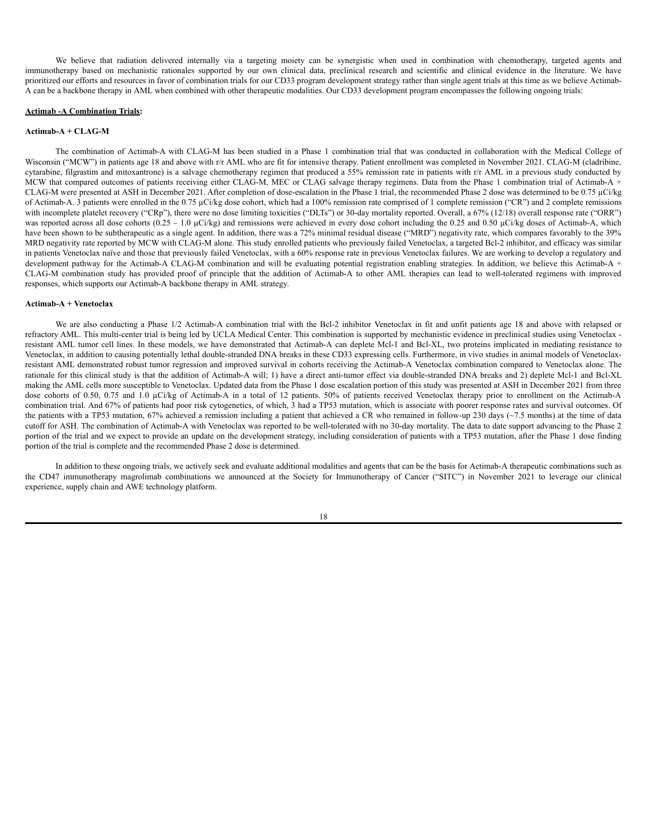We believe that radiation delivered internally via a targeting moiety can be synergistic when used in combination with chemotherapy, targeted agents and immunotherapy based on mechanistic rationales supported by our own clinical data, preclinical research and scientific and clinical evidence in the literature. We have prioritized our efforts and resources in favor of combination trials for our CD33 program development strategy rather than single agent trials at this time as we believe Actimab-A can be a backbone therapy in AML when combined with other therapeutic modalities. Our CD33 development program encompasses the following ongoing trials:

#### **Actimab -A Combination Trials:**

#### **Actimab-A + CLAG-M**

The combination of Actimab-A with CLAG-M has been studied in a Phase 1 combination trial that was conducted in collaboration with the Medical College of Wisconsin ("MCW") in patients age 18 and above with r/r AML who are fit for intensive therapy. Patient enrollment was completed in November 2021. CLAG-M (cladribine, cytarabine, filgrastim and mitoxantrone) is a salvage chemotherapy regimen that produced a 55% remission rate in patients with r/r AML in a previous study conducted by MCW that compared outcomes of patients receiving either CLAG-M, MEC or CLAG salvage therapy regimens. Data from the Phase 1 combination trial of Actimab-A + CLAG-M were presented at ASH in December 2021. After completion of dose-escalation in the Phase 1 trial, the recommended Phase 2 dose was determined to be 0.75 µCi/kg of Actimab-A. 3 patients were enrolled in the 0.75 µCi/kg dose cohort, which had a 100% remission rate comprised of 1 complete remission ("CR") and 2 complete remissions with incomplete platelet recovery ("CRp"), there were no dose limiting toxicities ("DLTs") or 30-day mortality reported. Overall, a 67% (12/18) overall response rate ("ORR") was reported across all dose cohorts (0.25 – 1.0 µCi/kg) and remissions were achieved in every dose cohort including the 0.25 and 0.50 µCi/kg doses of Actimab-A, which have been shown to be subtherapeutic as a single agent. In addition, there was a 72% minimal residual disease ("MRD") negativity rate, which compares favorably to the 39% MRD negativity rate reported by MCW with CLAG-M alone. This study enrolled patients who previously failed Venetoclax, a targeted Bcl-2 inhibitor, and efficacy was similar in patients Venetoclax naïve and those that previously failed Venetoclax, with a 60% response rate in previous Venetoclax failures. We are working to develop a regulatory and development pathway for the Actimab-A CLAG-M combination and will be evaluating potential registration enabling strategies. In addition, we believe this Actimab-A + CLAG-M combination study has provided proof of principle that the addition of Actimab-A to other AML therapies can lead to well-tolerated regimens with improved responses, which supports our Actimab-A backbone therapy in AML strategy.

#### **Actimab-A + Venetoclax**

We are also conducting a Phase 1/2 Actimab-A combination trial with the Bcl-2 inhibitor Venetoclax in fit and unfit patients age 18 and above with relapsed or refractory AML. This multi-center trial is being led by UCLA Medical Center. This combination is supported by mechanistic evidence in preclinical studies using Venetoclax resistant AML tumor cell lines. In these models, we have demonstrated that Actimab-A can deplete Mcl-1 and Bcl-XL, two proteins implicated in mediating resistance to Venetoclax, in addition to causing potentially lethal double-stranded DNA breaks in these CD33 expressing cells. Furthermore, in vivo studies in animal models of Venetoclaxresistant AML demonstrated robust tumor regression and improved survival in cohorts receiving the Actimab-A Venetoclax combination compared to Venetoclax alone. The rationale for this clinical study is that the addition of Actimab-A will; 1) have a direct anti-tumor effect via double-stranded DNA breaks and 2) deplete Mcl-1 and Bcl-XL making the AML cells more susceptible to Venetoclax. Updated data from the Phase 1 dose escalation portion of this study was presented at ASH in December 2021 from three dose cohorts of 0.50, 0.75 and 1.0 µCi/kg of Actimab-A in a total of 12 patients. 50% of patients received Venetoclax therapy prior to enrollment on the Actimab-A combination trial. And 67% of patients had poor risk cytogenetics, of which, 3 had a TP53 mutation, which is associate with poorer response rates and survival outcomes. Of the patients with a TP53 mutation, 67% achieved a remission including a patient that achieved a CR who remained in follow-up 230 days  $(\sim 7.5 \text{ months})$  at the time of data cutoff for ASH. The combination of Actimab-A with Venetoclax was reported to be well-tolerated with no 30-day mortality. The data to date support advancing to the Phase 2 portion of the trial and we expect to provide an update on the development strategy, including consideration of patients with a TP53 mutation, after the Phase 1 dose finding portion of the trial is complete and the recommended Phase 2 dose is determined.

In addition to these ongoing trials, we actively seek and evaluate additional modalities and agents that can be the basis for Actimab-A therapeutic combinations such as the CD47 immunotherapy magrolimab combinations we announced at the Society for Immunotherapy of Cancer ("SITC") in November 2021 to leverage our clinical experience, supply chain and AWE technology platform.

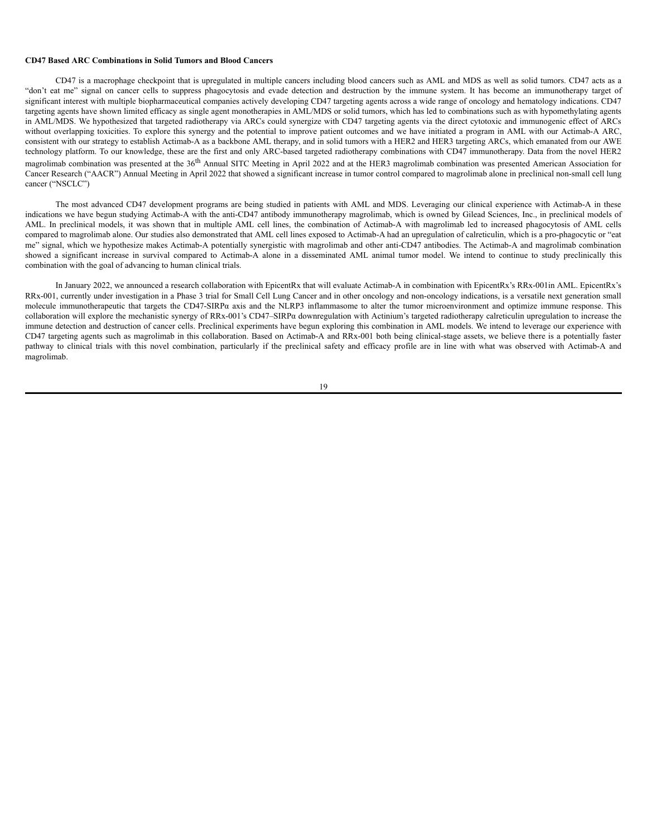#### **CD47 Based ARC Combinations in Solid Tumors and Blood Cancers**

CD47 is a macrophage checkpoint that is upregulated in multiple cancers including blood cancers such as AML and MDS as well as solid tumors. CD47 acts as a "don't eat me" signal on cancer cells to suppress phagocytosis and evade detection and destruction by the immune system. It has become an immunotherapy target of significant interest with multiple biopharmaceutical companies actively developing CD47 targeting agents across a wide range of oncology and hematology indications. CD47 targeting agents have shown limited efficacy as single agent monotherapies in AML/MDS or solid tumors, which has led to combinations such as with hypomethylating agents in AML/MDS. We hypothesized that targeted radiotherapy via ARCs could synergize with CD47 targeting agents via the direct cytotoxic and immunogenic effect of ARCs without overlapping toxicities. To explore this synergy and the potential to improve patient outcomes and we have initiated a program in AML with our Actimab-A ARC, consistent with our strategy to establish Actimab-A as a backbone AML therapy, and in solid tumors with a HER2 and HER3 targeting ARCs, which emanated from our AWE technology platform. To our knowledge, these are the first and only ARC-based targeted radiotherapy combinations with CD47 immunotherapy. Data from the novel HER2 magrolimab combination was presented at the 36<sup>th</sup> Annual SITC Meeting in April 2022 and at the HER3 magrolimab combination was presented American Association for Cancer Research ("AACR") Annual Meeting in April 2022 that showed a significant increase in tumor control compared to magrolimab alone in preclinical non-small cell lung cancer ("NSCLC")

The most advanced CD47 development programs are being studied in patients with AML and MDS. Leveraging our clinical experience with Actimab-A in these indications we have begun studying Actimab-A with the anti-CD47 antibody immunotherapy magrolimab, which is owned by Gilead Sciences, Inc., in preclinical models of AML. In preclinical models, it was shown that in multiple AML cell lines, the combination of Actimab-A with magrolimab led to increased phagocytosis of AML cells compared to magrolimab alone. Our studies also demonstrated that AML cell lines exposed to Actimab-A had an upregulation of calreticulin, which is a pro-phagocytic or "eat me" signal, which we hypothesize makes Actimab-A potentially synergistic with magrolimab and other anti-CD47 antibodies. The Actimab-A and magrolimab combination showed a significant increase in survival compared to Actimab-A alone in a disseminated AML animal tumor model. We intend to continue to study preclinically this combination with the goal of advancing to human clinical trials.

In January 2022, we announced a research collaboration with EpicentRx that will evaluate Actimab-A in combination with EpicentRx's RRx-001in AML. EpicentRx's RRx-001, currently under investigation in a Phase 3 trial for Small Cell Lung Cancer and in other oncology and non-oncology indications, is a versatile next generation small molecule immunotherapeutic that targets the CD47-SIRPa axis and the NLRP3 inflammasome to alter the tumor microenvironment and optimize immune response. This collaboration will explore the mechanistic synergy of RRx-001's CD47–SIRPα downregulation with Actinium's targeted radiotherapy calreticulin upregulation to increase the immune detection and destruction of cancer cells. Preclinical experiments have begun exploring this combination in AML models. We intend to leverage our experience with CD47 targeting agents such as magrolimab in this collaboration. Based on Actimab-A and RRx-001 both being clinical-stage assets, we believe there is a potentially faster pathway to clinical trials with this novel combination, particularly if the preclinical safety and efficacy profile are in line with what was observed with Actimab-A and magrolimab.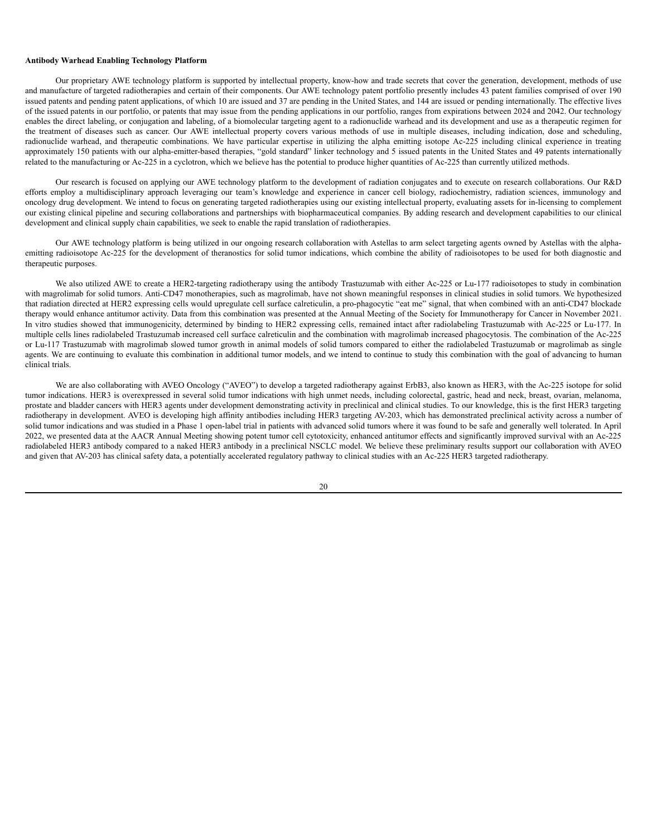#### **Antibody Warhead Enabling Technology Platform**

Our proprietary AWE technology platform is supported by intellectual property, know-how and trade secrets that cover the generation, development, methods of use and manufacture of targeted radiotherapies and certain of their components. Our AWE technology patent portfolio presently includes 43 patent families comprised of over 190 issued patents and pending patent applications, of which 10 are issued and 37 are pending in the United States, and 144 are issued or pending internationally. The effective lives of the issued patents in our portfolio, or patents that may issue from the pending applications in our portfolio, ranges from expirations between 2024 and 2042. Our technology enables the direct labeling, or conjugation and labeling, of a biomolecular targeting agent to a radionuclide warhead and its development and use as a therapeutic regimen for the treatment of diseases such as cancer. Our AWE intellectual property covers various methods of use in multiple diseases, including indication, dose and scheduling, radionuclide warhead, and therapeutic combinations. We have particular expertise in utilizing the alpha emitting isotope Ac-225 including clinical experience in treating approximately 150 patients with our alpha-emitter-based therapies, "gold standard" linker technology and 5 issued patents in the United States and 49 patents internationally related to the manufacturing or Ac-225 in a cyclotron, which we believe has the potential to produce higher quantities of Ac-225 than currently utilized methods.

Our research is focused on applying our AWE technology platform to the development of radiation conjugates and to execute on research collaborations. Our R&D efforts employ a multidisciplinary approach leveraging our team's knowledge and experience in cancer cell biology, radiochemistry, radiation sciences, immunology and oncology drug development. We intend to focus on generating targeted radiotherapies using our existing intellectual property, evaluating assets for in-licensing to complement our existing clinical pipeline and securing collaborations and partnerships with biopharmaceutical companies. By adding research and development capabilities to our clinical development and clinical supply chain capabilities, we seek to enable the rapid translation of radiotherapies.

Our AWE technology platform is being utilized in our ongoing research collaboration with Astellas to arm select targeting agents owned by Astellas with the alphaemitting radioisotope Ac-225 for the development of theranostics for solid tumor indications, which combine the ability of radioisotopes to be used for both diagnostic and therapeutic purposes.

We also utilized AWE to create a HER2-targeting radiotherapy using the antibody Trastuzumab with either Ac-225 or Lu-177 radioisotopes to study in combination with magrolimab for solid tumors. Anti-CD47 monotherapies, such as magrolimab, have not shown meaningful responses in clinical studies in solid tumors. We hypothesized that radiation directed at HER2 expressing cells would upregulate cell surface calreticulin, a pro-phagocytic "eat me" signal, that when combined with an anti-CD47 blockade therapy would enhance antitumor activity. Data from this combination was presented at the Annual Meeting of the Society for Immunotherapy for Cancer in November 2021. In vitro studies showed that immunogenicity, determined by binding to HER2 expressing cells, remained intact after radiolabeling Trastuzumab with Ac-225 or Lu-177. In multiple cells lines radiolabeled Trastuzumab increased cell surface calreticulin and the combination with magrolimab increased phagocytosis. The combination of the Ac-225 or Lu-117 Trastuzumab with magrolimab slowed tumor growth in animal models of solid tumors compared to either the radiolabeled Trastuzumab or magrolimab as single agents. We are continuing to evaluate this combination in additional tumor models, and we intend to continue to study this combination with the goal of advancing to human clinical trials.

We are also collaborating with AVEO Oncology ("AVEO") to develop a targeted radiotherapy against ErbB3, also known as HER3, with the Ac-225 isotope for solid tumor indications. HER3 is overexpressed in several solid tumor indications with high unmet needs, including colorectal, gastric, head and neck, breast, ovarian, melanoma, prostate and bladder cancers with HER3 agents under development demonstrating activity in preclinical and clinical studies. To our knowledge, this is the first HER3 targeting radiotherapy in development. AVEO is developing high affinity antibodies including HER3 targeting AV-203, which has demonstrated preclinical activity across a number of solid tumor indications and was studied in a Phase 1 open-label trial in patients with advanced solid tumors where it was found to be safe and generally well tolerated. In April 2022, we presented data at the AACR Annual Meeting showing potent tumor cell cytotoxicity, enhanced antitumor effects and significantly improved survival with an Ac-225 radiolabeled HER3 antibody compared to a naked HER3 antibody in a preclinical NSCLC model. We believe these preliminary results support our collaboration with AVEO and given that AV-203 has clinical safety data, a potentially accelerated regulatory pathway to clinical studies with an Ac-225 HER3 targeted radiotherapy.

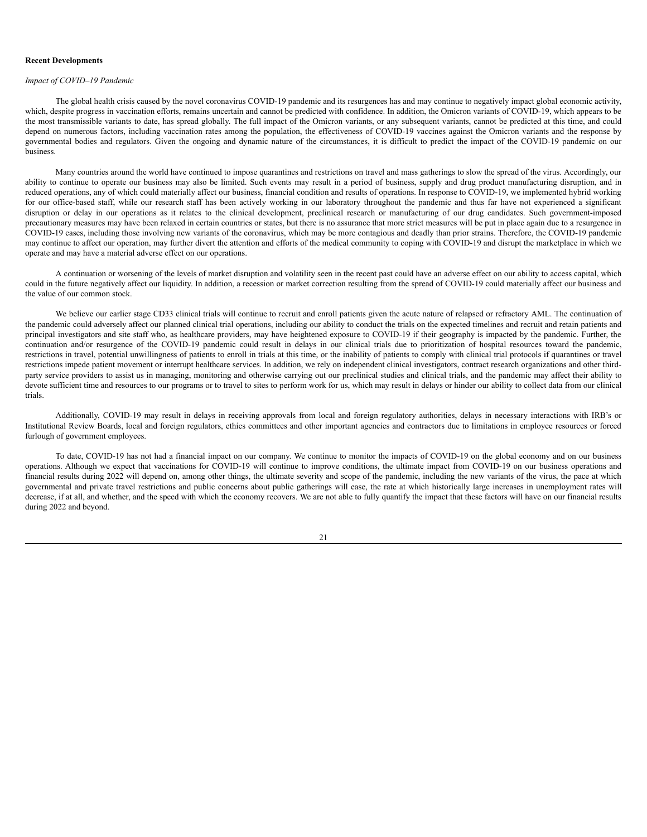#### **Recent Developments**

#### *Impact of COVID–19 Pandemic*

The global health crisis caused by the novel coronavirus COVID-19 pandemic and its resurgences has and may continue to negatively impact global economic activity, which, despite progress in vaccination efforts, remains uncertain and cannot be predicted with confidence. In addition, the Omicron variants of COVID-19, which appears to be the most transmissible variants to date, has spread globally. The full impact of the Omicron variants, or any subsequent variants, cannot be predicted at this time, and could depend on numerous factors, including vaccination rates among the population, the effectiveness of COVID-19 vaccines against the Omicron variants and the response by governmental bodies and regulators. Given the ongoing and dynamic nature of the circumstances, it is difficult to predict the impact of the COVID-19 pandemic on our business.

Many countries around the world have continued to impose quarantines and restrictions on travel and mass gatherings to slow the spread of the virus. Accordingly, our ability to continue to operate our business may also be limited. Such events may result in a period of business, supply and drug product manufacturing disruption, and in reduced operations, any of which could materially affect our business, financial condition and results of operations. In response to COVID-19, we implemented hybrid working for our office-based staff, while our research staff has been actively working in our laboratory throughout the pandemic and thus far have not experienced a significant disruption or delay in our operations as it relates to the clinical development, preclinical research or manufacturing of our drug candidates. Such government-imposed precautionary measures may have been relaxed in certain countries or states, but there is no assurance that more strict measures will be put in place again due to a resurgence in COVID-19 cases, including those involving new variants of the coronavirus, which may be more contagious and deadly than prior strains. Therefore, the COVID-19 pandemic may continue to affect our operation, may further divert the attention and efforts of the medical community to coping with COVID-19 and disrupt the marketplace in which we operate and may have a material adverse effect on our operations.

A continuation or worsening of the levels of market disruption and volatility seen in the recent past could have an adverse effect on our ability to access capital, which could in the future negatively affect our liquidity. In addition, a recession or market correction resulting from the spread of COVID-19 could materially affect our business and the value of our common stock.

We believe our earlier stage CD33 clinical trials will continue to recruit and enroll patients given the acute nature of relapsed or refractory AML. The continuation of the pandemic could adversely affect our planned clinical trial operations, including our ability to conduct the trials on the expected timelines and recruit and retain patients and principal investigators and site staff who, as healthcare providers, may have heightened exposure to COVID-19 if their geography is impacted by the pandemic. Further, the continuation and/or resurgence of the COVID-19 pandemic could result in delays in our clinical trials due to prioritization of hospital resources toward the pandemic, restrictions in travel, potential unwillingness of patients to enroll in trials at this time, or the inability of patients to comply with clinical trial protocols if quarantines or travel restrictions impede patient movement or interrupt healthcare services. In addition, we rely on independent clinical investigators, contract research organizations and other thirdparty service providers to assist us in managing, monitoring and otherwise carrying out our preclinical studies and clinical trials, and the pandemic may affect their ability to devote sufficient time and resources to our programs or to travel to sites to perform work for us, which may result in delays or hinder our ability to collect data from our clinical trials.

Additionally, COVID-19 may result in delays in receiving approvals from local and foreign regulatory authorities, delays in necessary interactions with IRB's or Institutional Review Boards, local and foreign regulators, ethics committees and other important agencies and contractors due to limitations in employee resources or forced furlough of government employees.

To date, COVID-19 has not had a financial impact on our company. We continue to monitor the impacts of COVID-19 on the global economy and on our business operations. Although we expect that vaccinations for COVID-19 will continue to improve conditions, the ultimate impact from COVID-19 on our business operations and financial results during 2022 will depend on, among other things, the ultimate severity and scope of the pandemic, including the new variants of the virus, the pace at which governmental and private travel restrictions and public concerns about public gatherings will ease, the rate at which historically large increases in unemployment rates will decrease, if at all, and whether, and the speed with which the economy recovers. We are not able to fully quantify the impact that these factors will have on our financial results during 2022 and beyond.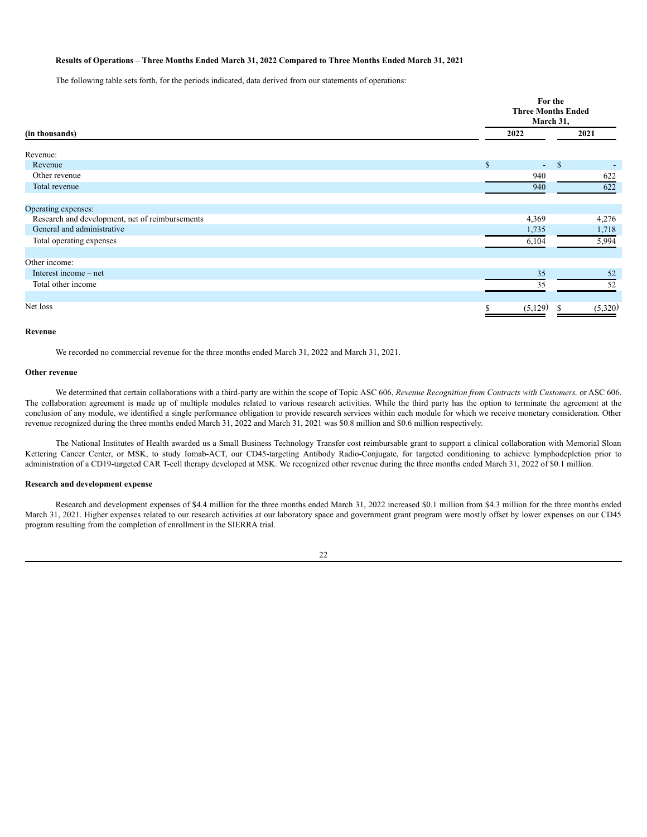## Results of Operations - Three Months Ended March 31, 2022 Compared to Three Months Ended March 31, 2021

The following table sets forth, for the periods indicated, data derived from our statements of operations:

|                                                 |              | For the<br><b>Three Months Ended</b><br>March 31, |  |  |  |  |
|-------------------------------------------------|--------------|---------------------------------------------------|--|--|--|--|
| (in thousands)                                  | 2022         | 2021                                              |  |  |  |  |
| Revenue:                                        |              |                                                   |  |  |  |  |
| Revenue                                         | \$<br>$\sim$ | <sup>\$</sup>                                     |  |  |  |  |
| Other revenue                                   | 940          | 622                                               |  |  |  |  |
| Total revenue                                   | 940          | 622                                               |  |  |  |  |
| Operating expenses:                             |              |                                                   |  |  |  |  |
| Research and development, net of reimbursements | 4,369        | 4,276                                             |  |  |  |  |
| General and administrative                      | 1,735        | 1,718                                             |  |  |  |  |
| Total operating expenses                        | 6,104        | 5,994                                             |  |  |  |  |
| Other income:                                   |              |                                                   |  |  |  |  |
| Interest income – net                           | 35           | 52                                                |  |  |  |  |
| Total other income                              | 35           | 52                                                |  |  |  |  |
| Net loss                                        | (5,129)<br>S | (5,320)<br>S.                                     |  |  |  |  |

#### **Revenue**

We recorded no commercial revenue for the three months ended March 31, 2022 and March 31, 2021.

#### **Other revenue**

We determined that certain collaborations with a third-party are within the scope of Topic ASC 606, *Revenue Recognition from Contracts with Customers,* or ASC 606. The collaboration agreement is made up of multiple modules related to various research activities. While the third party has the option to terminate the agreement at the conclusion of any module, we identified a single performance obligation to provide research services within each module for which we receive monetary consideration. Other revenue recognized during the three months ended March 31, 2022 and March 31, 2021 was \$0.8 million and \$0.6 million respectively.

The National Institutes of Health awarded us a Small Business Technology Transfer cost reimbursable grant to support a clinical collaboration with Memorial Sloan Kettering Cancer Center, or MSK, to study Iomab-ACT, our CD45-targeting Antibody Radio-Conjugate, for targeted conditioning to achieve lymphodepletion prior to administration of a CD19-targeted CAR T-cell therapy developed at MSK. We recognized other revenue during the three months ended March 31, 2022 of \$0.1 million.

#### **Research and development expense**

Research and development expenses of \$4.4 million for the three months ended March 31, 2022 increased \$0.1 million from \$4.3 million for the three months ended March 31, 2021. Higher expenses related to our research activities at our laboratory space and government grant program were mostly offset by lower expenses on our CD45 program resulting from the completion of enrollment in the SIERRA trial.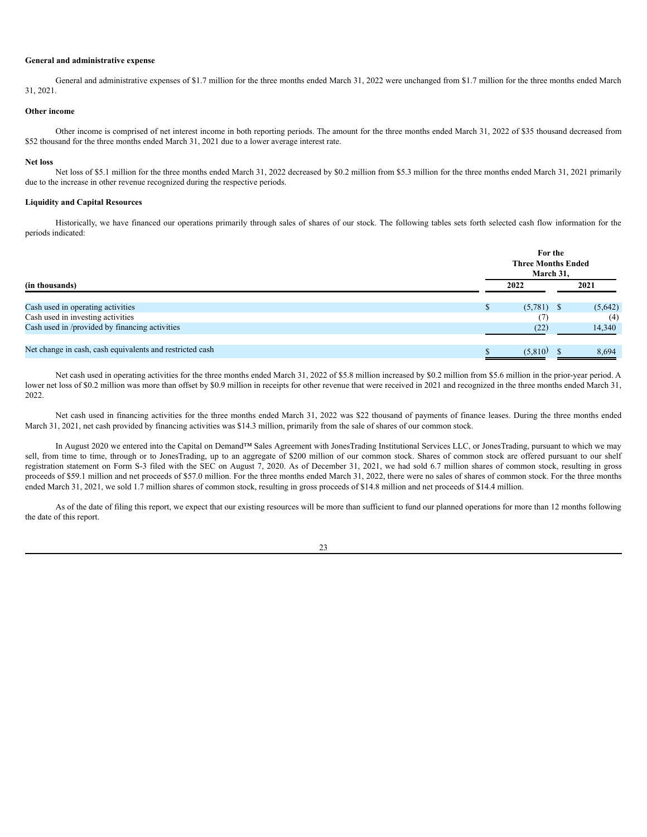#### **General and administrative expense**

General and administrative expenses of \$1.7 million for the three months ended March 31, 2022 were unchanged from \$1.7 million for the three months ended March 31, 2021.

### **Other income**

Other income is comprised of net interest income in both reporting periods. The amount for the three months ended March 31, 2022 of \$35 thousand decreased from \$52 thousand for the three months ended March 31, 2021 due to a lower average interest rate.

#### **Net loss**

Net loss of \$5.1 million for the three months ended March 31, 2022 decreased by \$0.2 million from \$5.3 million for the three months ended March 31, 2021 primarily due to the increase in other revenue recognized during the respective periods.

## **Liquidity and Capital Resources**

Historically, we have financed our operations primarily through sales of shares of our stock. The following tables sets forth selected cash flow information for the periods indicated:

|                                                          |         | For the<br><b>Three Months Ended</b><br>March 31, |  |  |  |
|----------------------------------------------------------|---------|---------------------------------------------------|--|--|--|
| (in thousands)                                           | 2022    | 2021                                              |  |  |  |
| Cash used in operating activities                        | (5,781) | (5,642)                                           |  |  |  |
| Cash used in investing activities                        |         | (4)                                               |  |  |  |
| Cash used in /provided by financing activities           | (22)    | 14,340                                            |  |  |  |
| Net change in cash, cash equivalents and restricted cash | (5,810) | 8,694                                             |  |  |  |

Net cash used in operating activities for the three months ended March 31, 2022 of \$5.8 million increased by \$0.2 million from \$5.6 million in the prior-year period. A lower net loss of \$0.2 million was more than offset by \$0.9 million in receipts for other revenue that were received in 2021 and recognized in the three months ended March 31, 2022

Net cash used in financing activities for the three months ended March 31, 2022 was \$22 thousand of payments of finance leases. During the three months ended March 31, 2021, net cash provided by financing activities was \$14.3 million, primarily from the sale of shares of our common stock.

In August 2020 we entered into the Capital on Demand™ Sales Agreement with JonesTrading Institutional Services LLC, or JonesTrading, pursuant to which we may sell, from time to time, through or to JonesTrading, up to an aggregate of \$200 million of our common stock. Shares of common stock are offered pursuant to our shelf registration statement on Form S-3 filed with the SEC on August 7, 2020. As of December 31, 2021, we had sold 6.7 million shares of common stock, resulting in gross proceeds of \$59.1 million and net proceeds of \$57.0 million. For the three months ended March 31, 2022, there were no sales of shares of common stock. For the three months ended March 31, 2021, we sold 1.7 million shares of common stock, resulting in gross proceeds of \$14.8 million and net proceeds of \$14.4 million.

As of the date of filing this report, we expect that our existing resources will be more than sufficient to fund our planned operations for more than 12 months following the date of this report.

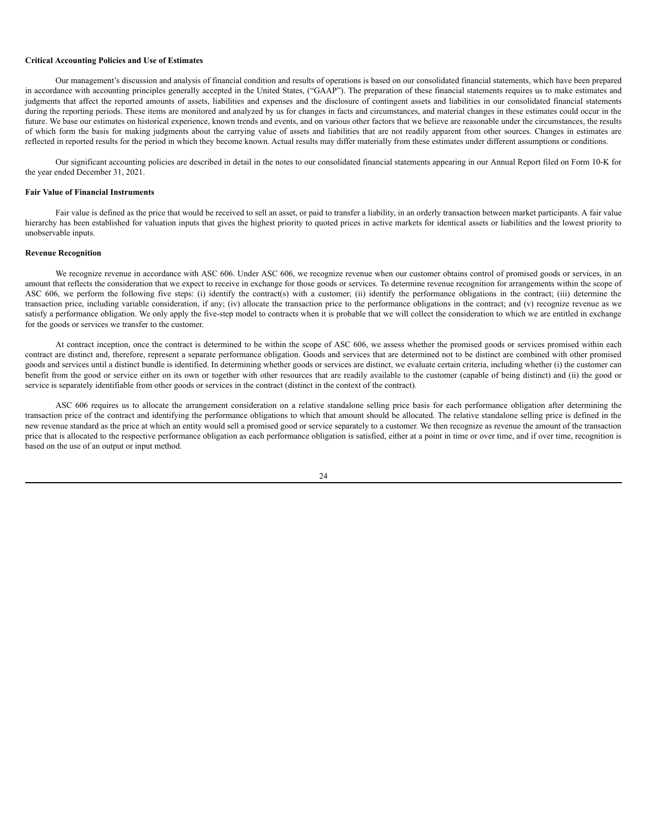#### **Critical Accounting Policies and Use of Estimates**

Our management's discussion and analysis of financial condition and results of operations is based on our consolidated financial statements, which have been prepared in accordance with accounting principles generally accepted in the United States, ("GAAP"). The preparation of these financial statements requires us to make estimates and judgments that affect the reported amounts of assets, liabilities and expenses and the disclosure of contingent assets and liabilities in our consolidated financial statements during the reporting periods. These items are monitored and analyzed by us for changes in facts and circumstances, and material changes in these estimates could occur in the future. We base our estimates on historical experience, known trends and events, and on various other factors that we believe are reasonable under the circumstances, the results of which form the basis for making judgments about the carrying value of assets and liabilities that are not readily apparent from other sources. Changes in estimates are reflected in reported results for the period in which they become known. Actual results may differ materially from these estimates under different assumptions or conditions.

Our significant accounting policies are described in detail in the notes to our consolidated financial statements appearing in our Annual Report filed on Form 10-K for the year ended December 31, 2021.

#### **Fair Value of Financial Instruments**

Fair value is defined as the price that would be received to sell an asset, or paid to transfer a liability, in an orderly transaction between market participants. A fair value hierarchy has been established for valuation inputs that gives the highest priority to quoted prices in active markets for identical assets or liabilities and the lowest priority to unobservable inputs.

#### **Revenue Recognition**

We recognize revenue in accordance with ASC 606. Under ASC 606, we recognize revenue when our customer obtains control of promised goods or services, in an amount that reflects the consideration that we expect to receive in exchange for those goods or services. To determine revenue recognition for arrangements within the scope of ASC 606, we perform the following five steps: (i) identify the contract(s) with a customer; (ii) identify the performance obligations in the contract; (iii) determine the transaction price, including variable consideration, if any; (iv) allocate the transaction price to the performance obligations in the contract; and (v) recognize revenue as we satisfy a performance obligation. We only apply the five-step model to contracts when it is probable that we will collect the consideration to which we are entitled in exchange for the goods or services we transfer to the customer.

At contract inception, once the contract is determined to be within the scope of ASC 606, we assess whether the promised goods or services promised within each contract are distinct and, therefore, represent a separate performance obligation. Goods and services that are determined not to be distinct are combined with other promised goods and services until a distinct bundle is identified. In determining whether goods or services are distinct, we evaluate certain criteria, including whether (i) the customer can benefit from the good or service either on its own or together with other resources that are readily available to the customer (capable of being distinct) and (ii) the good or service is separately identifiable from other goods or services in the contract (distinct in the context of the contract).

ASC 606 requires us to allocate the arrangement consideration on a relative standalone selling price basis for each performance obligation after determining the transaction price of the contract and identifying the performance obligations to which that amount should be allocated. The relative standalone selling price is defined in the new revenue standard as the price at which an entity would sell a promised good or service separately to a customer. We then recognize as revenue the amount of the transaction price that is allocated to the respective performance obligation as each performance obligation is satisfied, either at a point in time or over time, and if over time, recognition is based on the use of an output or input method.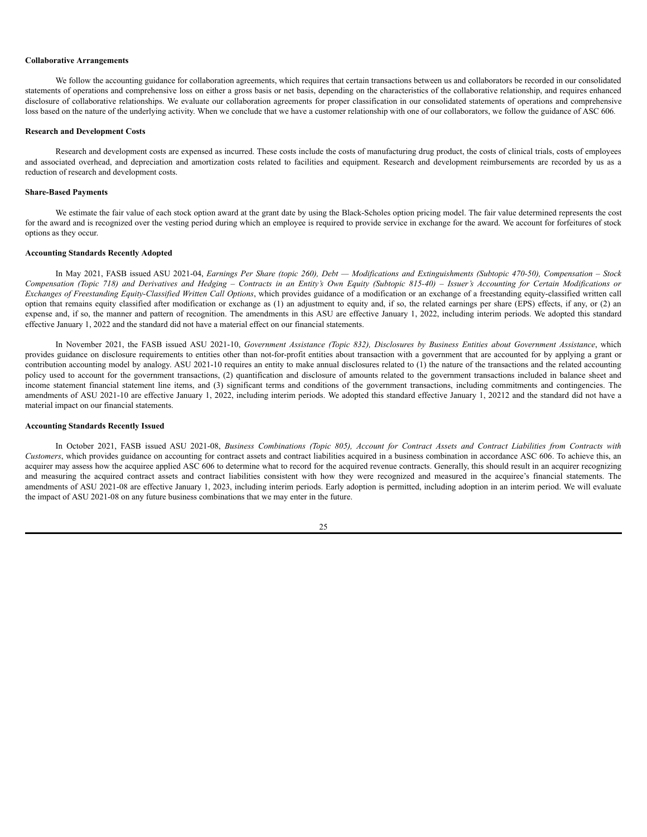#### **Collaborative Arrangements**

We follow the accounting guidance for collaboration agreements, which requires that certain transactions between us and collaborators be recorded in our consolidated statements of operations and comprehensive loss on either a gross basis or net basis, depending on the characteristics of the collaborative relationship, and requires enhanced disclosure of collaborative relationships. We evaluate our collaboration agreements for proper classification in our consolidated statements of operations and comprehensive loss based on the nature of the underlying activity. When we conclude that we have a customer relationship with one of our collaborators, we follow the guidance of ASC 606.

#### **Research and Development Costs**

Research and development costs are expensed as incurred. These costs include the costs of manufacturing drug product, the costs of clinical trials, costs of employees and associated overhead, and depreciation and amortization costs related to facilities and equipment. Research and development reimbursements are recorded by us as a reduction of research and development costs.

#### **Share-Based Payments**

We estimate the fair value of each stock option award at the grant date by using the Black-Scholes option pricing model. The fair value determined represents the cost for the award and is recognized over the vesting period during which an employee is required to provide service in exchange for the award. We account for forfeitures of stock options as they occur.

#### **Accounting Standards Recently Adopted**

In May 2021, FASB issued ASU 2021-04, Earnings Per Share (topic 260), Debt - Modifications and Extinguishments (Subtopic 470-50), Compensation - Stock Compensation (Topic 718) and Derivatives and Hedging - Contracts in an Entity's Own Equity (Subtopic 815-40) - Issuer's Accounting for Certain Modifications or *Exchanges of Freestanding Equity-Classified Written Call Options*, which provides guidance of a modification or an exchange of a freestanding equity-classified written call option that remains equity classified after modification or exchange as (1) an adjustment to equity and, if so, the related earnings per share (EPS) effects, if any, or (2) an expense and, if so, the manner and pattern of recognition. The amendments in this ASU are effective January 1, 2022, including interim periods. We adopted this standard effective January 1, 2022 and the standard did not have a material effect on our financial statements.

In November 2021, the FASB issued ASU 2021-10, Government Assistance (Topic 832), Disclosures by Business Entities about Government Assistance, which provides guidance on disclosure requirements to entities other than not-for-profit entities about transaction with a government that are accounted for by applying a grant or contribution accounting model by analogy. ASU 2021-10 requires an entity to make annual disclosures related to (1) the nature of the transactions and the related accounting policy used to account for the government transactions, (2) quantification and disclosure of amounts related to the government transactions included in balance sheet and income statement financial statement line items, and (3) significant terms and conditions of the government transactions, including commitments and contingencies. The amendments of ASU 2021-10 are effective January 1, 2022, including interim periods. We adopted this standard effective January 1, 20212 and the standard did not have a material impact on our financial statements.

#### **Accounting Standards Recently Issued**

In October 2021, FASB issued ASU 2021-08, Business Combinations (Topic 805), Account for Contract Assets and Contract Liabilities from Contracts with *Customers*, which provides guidance on accounting for contract assets and contract liabilities acquired in a business combination in accordance ASC 606. To achieve this, an acquirer may assess how the acquiree applied ASC 606 to determine what to record for the acquired revenue contracts. Generally, this should result in an acquirer recognizing and measuring the acquired contract assets and contract liabilities consistent with how they were recognized and measured in the acquiree's financial statements. The amendments of ASU 2021-08 are effective January 1, 2023, including interim periods. Early adoption is permitted, including adoption in an interim period. We will evaluate the impact of ASU 2021-08 on any future business combinations that we may enter in the future.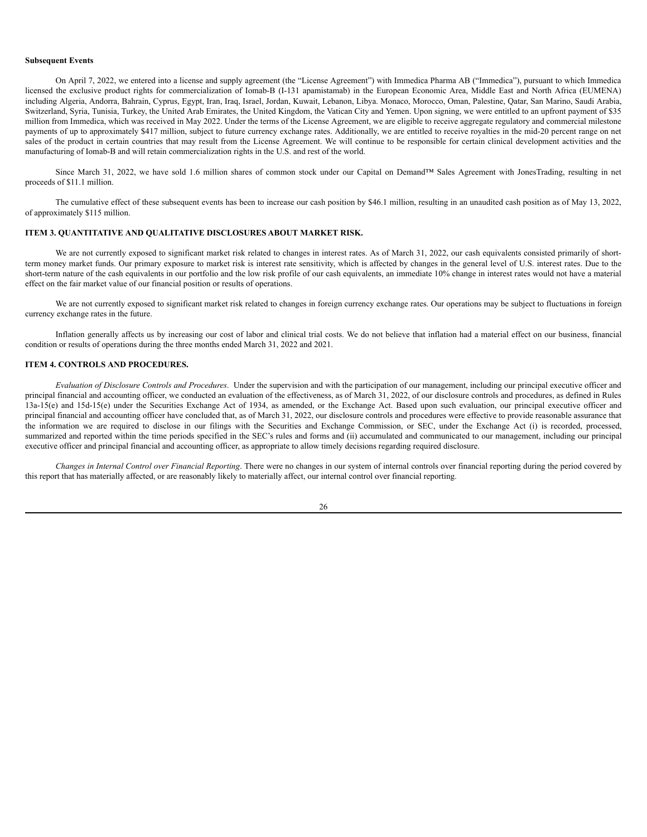#### **Subsequent Events**

On April 7, 2022, we entered into a license and supply agreement (the "License Agreement") with Immedica Pharma AB ("Immedica"), pursuant to which Immedica licensed the exclusive product rights for commercialization of Iomab-B (I-131 apamistamab) in the European Economic Area, Middle East and North Africa (EUMENA) including Algeria, Andorra, Bahrain, Cyprus, Egypt, Iran, Iraq, Israel, Jordan, Kuwait, Lebanon, Libya. Monaco, Morocco, Oman, Palestine, Qatar, San Marino, Saudi Arabia, Switzerland, Syria, Tunisia, Turkey, the United Arab Emirates, the United Kingdom, the Vatican City and Yemen. Upon signing, we were entitled to an upfront payment of \$35 million from Immedica, which was received in May 2022. Under the terms of the License Agreement, we are eligible to receive aggregate regulatory and commercial milestone payments of up to approximately \$417 million, subject to future currency exchange rates. Additionally, we are entitled to receive royalties in the mid-20 percent range on net sales of the product in certain countries that may result from the License Agreement. We will continue to be responsible for certain clinical development activities and the manufacturing of Iomab-B and will retain commercialization rights in the U.S. and rest of the world.

Since March 31, 2022, we have sold 1.6 million shares of common stock under our Capital on Demand™ Sales Agreement with JonesTrading, resulting in net proceeds of \$11.1 million.

The cumulative effect of these subsequent events has been to increase our cash position by \$46.1 million, resulting in an unaudited cash position as of May 13, 2022, of approximately \$115 million.

## <span id="page-27-0"></span>**ITEM 3. QUANTITATIVE AND QUALITATIVE DISCLOSURES ABOUT MARKET RISK.**

We are not currently exposed to significant market risk related to changes in interest rates. As of March 31, 2022, our cash equivalents consisted primarily of shortterm money market funds. Our primary exposure to market risk is interest rate sensitivity, which is affected by changes in the general level of U.S. interest rates. Due to the short-term nature of the cash equivalents in our portfolio and the low risk profile of our cash equivalents, an immediate 10% change in interest rates would not have a material effect on the fair market value of our financial position or results of operations.

We are not currently exposed to significant market risk related to changes in foreign currency exchange rates. Our operations may be subject to fluctuations in foreign currency exchange rates in the future.

Inflation generally affects us by increasing our cost of labor and clinical trial costs. We do not believe that inflation had a material effect on our business, financial condition or results of operations during the three months ended March 31, 2022 and 2021.

## <span id="page-27-1"></span>**ITEM 4. CONTROLS AND PROCEDURES.**

*Evaluation of Disclosure Controls and Procedures*. Under the supervision and with the participation of our management, including our principal executive officer and principal financial and accounting officer, we conducted an evaluation of the effectiveness, as of March 31, 2022, of our disclosure controls and procedures, as defined in Rules 13a-15(e) and 15d-15(e) under the Securities Exchange Act of 1934, as amended, or the Exchange Act. Based upon such evaluation, our principal executive officer and principal financial and accounting officer have concluded that, as of March 31, 2022, our disclosure controls and procedures were effective to provide reasonable assurance that the information we are required to disclose in our filings with the Securities and Exchange Commission, or SEC, under the Exchange Act (i) is recorded, processed, summarized and reported within the time periods specified in the SEC's rules and forms and (ii) accumulated and communicated to our management, including our principal executive officer and principal financial and accounting officer, as appropriate to allow timely decisions regarding required disclosure.

*Changes in Internal Control over Financial Reporting*. There were no changes in our system of internal controls over financial reporting during the period covered by this report that has materially affected, or are reasonably likely to materially affect, our internal control over financial reporting.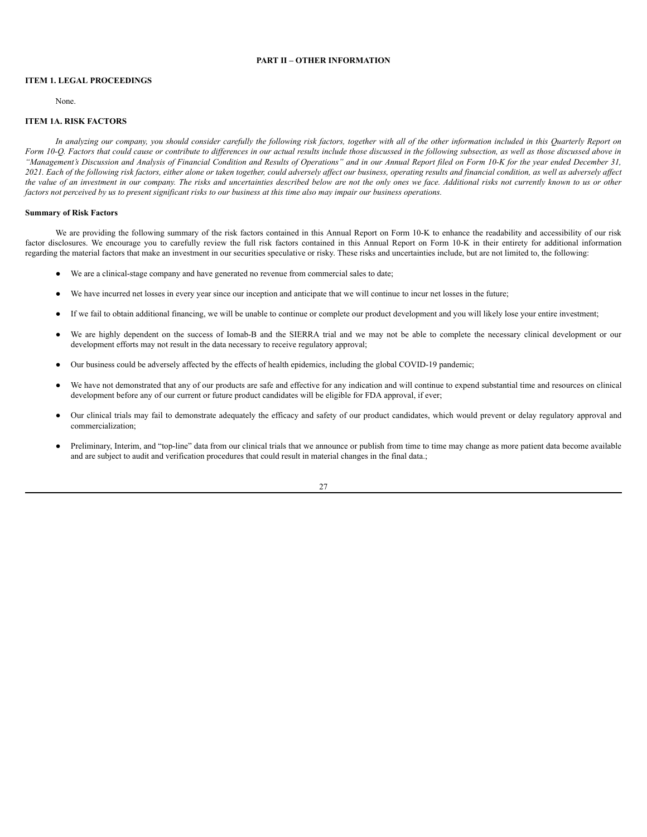## **PART II – OTHER INFORMATION**

## <span id="page-28-1"></span><span id="page-28-0"></span>**ITEM 1. LEGAL PROCEEDINGS**

None.

## <span id="page-28-2"></span>**ITEM 1A. RISK FACTORS**

In analyzing our company, you should consider carefully the following risk factors, together with all of the other information included in this Quarterly Report on Form 10-O. Factors that could cause or contribute to differences in our actual results include those discussed in the following subsection, as well as those discussed above in "Management's Discussion and Analysis of Financial Condition and Results of Operations" and in our Annual Report filed on Form 10-K for the year ended December 31, 2021. Each of the following risk factors, either alone or taken together, could adversely affect our business, operating results and financial condition, as well as adversely affect the value of an investment in our company. The risks and uncertainties described below are not the only ones we face. Additional risks not currently known to us or other factors not perceived by us to present significant risks to our business at this time also may impair our business operations.

## **Summary of Risk Factors**

We are providing the following summary of the risk factors contained in this Annual Report on Form 10-K to enhance the readability and accessibility of our risk factor disclosures. We encourage you to carefully review the full risk factors contained in this Annual Report on Form 10-K in their entirety for additional information regarding the material factors that make an investment in our securities speculative or risky. These risks and uncertainties include, but are not limited to, the following:

- We are a clinical-stage company and have generated no revenue from commercial sales to date;
- We have incurred net losses in every year since our inception and anticipate that we will continue to incur net losses in the future;
- If we fail to obtain additional financing, we will be unable to continue or complete our product development and you will likely lose your entire investment;
- We are highly dependent on the success of Iomab-B and the SIERRA trial and we may not be able to complete the necessary clinical development or our development efforts may not result in the data necessary to receive regulatory approval;
- Our business could be adversely affected by the effects of health epidemics, including the global COVID-19 pandemic;
- We have not demonstrated that any of our products are safe and effective for any indication and will continue to expend substantial time and resources on clinical development before any of our current or future product candidates will be eligible for FDA approval, if ever;
- Our clinical trials may fail to demonstrate adequately the efficacy and safety of our product candidates, which would prevent or delay regulatory approval and commercialization;
- Preliminary, Interim, and "top-line" data from our clinical trials that we announce or publish from time to time may change as more patient data become available and are subject to audit and verification procedures that could result in material changes in the final data.;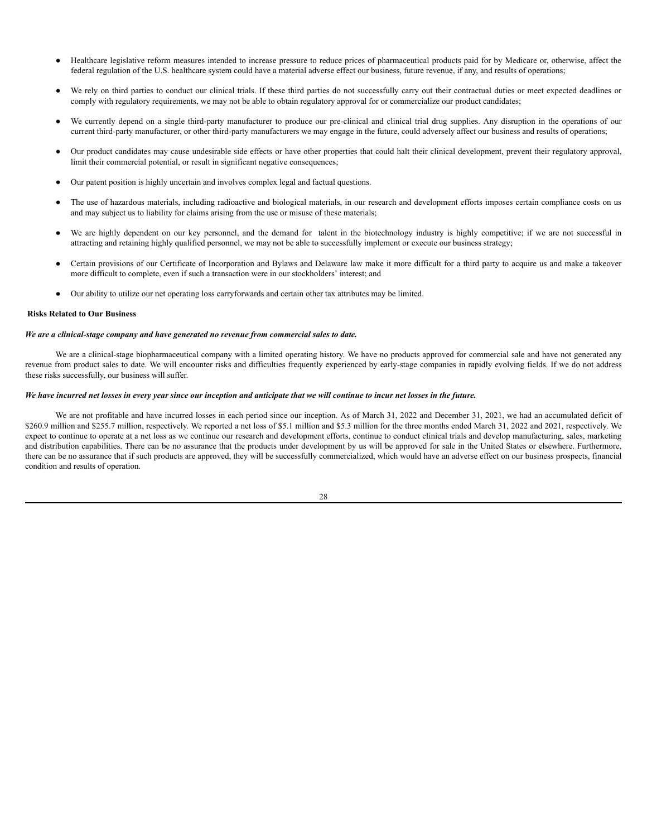- Healthcare legislative reform measures intended to increase pressure to reduce prices of pharmaceutical products paid for by Medicare or, otherwise, affect the federal regulation of the U.S. healthcare system could have a material adverse effect our business, future revenue, if any, and results of operations;
- We rely on third parties to conduct our clinical trials. If these third parties do not successfully carry out their contractual duties or meet expected deadlines or comply with regulatory requirements, we may not be able to obtain regulatory approval for or commercialize our product candidates;
- We currently depend on a single third-party manufacturer to produce our pre-clinical and clinical trial drug supplies. Any disruption in the operations of our current third-party manufacturer, or other third-party manufacturers we may engage in the future, could adversely affect our business and results of operations;
- Our product candidates may cause undesirable side effects or have other properties that could halt their clinical development, prevent their regulatory approval, limit their commercial potential, or result in significant negative consequences;
- Our patent position is highly uncertain and involves complex legal and factual questions.
- The use of hazardous materials, including radioactive and biological materials, in our research and development efforts imposes certain compliance costs on us and may subject us to liability for claims arising from the use or misuse of these materials;
- We are highly dependent on our key personnel, and the demand for talent in the biotechnology industry is highly competitive; if we are not successful in attracting and retaining highly qualified personnel, we may not be able to successfully implement or execute our business strategy;
- Certain provisions of our Certificate of Incorporation and Bylaws and Delaware law make it more difficult for a third party to acquire us and make a takeover more difficult to complete, even if such a transaction were in our stockholders' interest; and
- Our ability to utilize our net operating loss carryforwards and certain other tax attributes may be limited.

#### **Risks Related to Our Business**

#### *We are a clinical-stage company and have generated no revenue from commercial sales to date.*

We are a clinical-stage biopharmaceutical company with a limited operating history. We have no products approved for commercial sale and have not generated any revenue from product sales to date. We will encounter risks and difficulties frequently experienced by early-stage companies in rapidly evolving fields. If we do not address these risks successfully, our business will suffer.

## We have incurred net losses in every year since our inception and anticipate that we will continue to incur net losses in the future.

We are not profitable and have incurred losses in each period since our inception. As of March 31, 2022 and December 31, 2021, we had an accumulated deficit of \$260.9 million and \$255.7 million, respectively. We reported a net loss of \$5.1 million and \$5.3 million for the three months ended March 31, 2022 and 2021, respectively. We expect to continue to operate at a net loss as we continue our research and development efforts, continue to conduct clinical trials and develop manufacturing, sales, marketing and distribution capabilities. There can be no assurance that the products under development by us will be approved for sale in the United States or elsewhere. Furthermore, there can be no assurance that if such products are approved, they will be successfully commercialized, which would have an adverse effect on our business prospects, financial condition and results of operation.

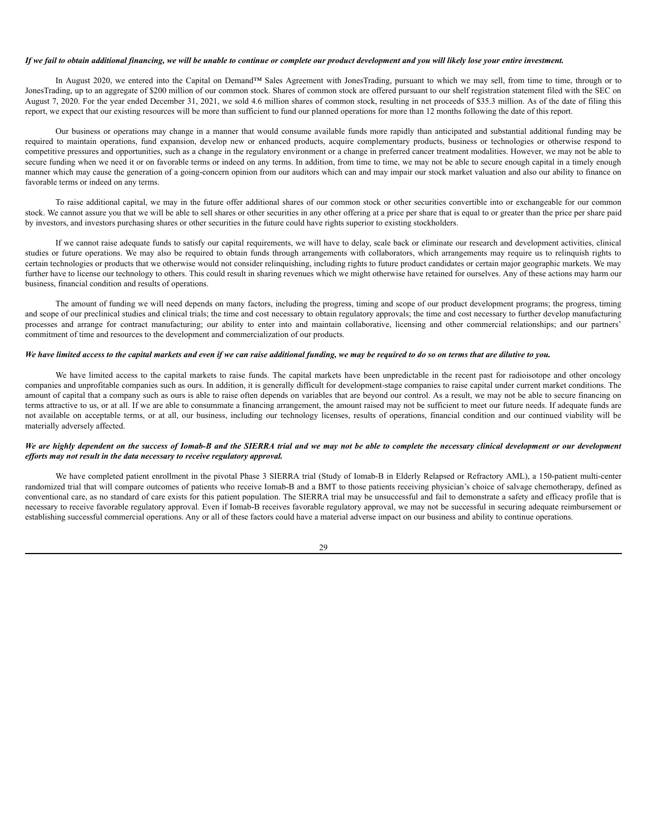#### If we fail to obtain additional financing, we will be unable to continue or complete our product development and you will likely lose your entire investment.

In August 2020, we entered into the Capital on Demand™ Sales Agreement with JonesTrading, pursuant to which we may sell, from time to time, through or to JonesTrading, up to an aggregate of \$200 million of our common stock. Shares of common stock are offered pursuant to our shelf registration statement filed with the SEC on August 7, 2020. For the year ended December 31, 2021, we sold 4.6 million shares of common stock, resulting in net proceeds of \$35.3 million. As of the date of filing this report, we expect that our existing resources will be more than sufficient to fund our planned operations for more than 12 months following the date of this report.

Our business or operations may change in a manner that would consume available funds more rapidly than anticipated and substantial additional funding may be required to maintain operations, fund expansion, develop new or enhanced products, acquire complementary products, business or technologies or otherwise respond to competitive pressures and opportunities, such as a change in the regulatory environment or a change in preferred cancer treatment modalities. However, we may not be able to secure funding when we need it or on favorable terms or indeed on any terms. In addition, from time to time, we may not be able to secure enough capital in a timely enough manner which may cause the generation of a going-concern opinion from our auditors which can and may impair our stock market valuation and also our ability to finance on favorable terms or indeed on any terms.

To raise additional capital, we may in the future offer additional shares of our common stock or other securities convertible into or exchangeable for our common stock. We cannot assure you that we will be able to sell shares or other securities in any other offering at a price per share that is equal to or greater than the price per share paid by investors, and investors purchasing shares or other securities in the future could have rights superior to existing stockholders.

If we cannot raise adequate funds to satisfy our capital requirements, we will have to delay, scale back or eliminate our research and development activities, clinical studies or future operations. We may also be required to obtain funds through arrangements with collaborators, which arrangements may require us to relinquish rights to certain technologies or products that we otherwise would not consider relinquishing, including rights to future product candidates or certain major geographic markets. We may further have to license our technology to others. This could result in sharing revenues which we might otherwise have retained for ourselves. Any of these actions may harm our business, financial condition and results of operations.

The amount of funding we will need depends on many factors, including the progress, timing and scope of our product development programs; the progress, timing and scope of our preclinical studies and clinical trials; the time and cost necessary to obtain regulatory approvals; the time and cost necessary to further develop manufacturing processes and arrange for contract manufacturing; our ability to enter into and maintain collaborative, licensing and other commercial relationships; and our partners' commitment of time and resources to the development and commercialization of our products.

## We have limited access to the capital markets and even if we can raise additional funding, we may be required to do so on terms that are dilutive to you.

We have limited access to the capital markets to raise funds. The capital markets have been unpredictable in the recent past for radioisotope and other oncology companies and unprofitable companies such as ours. In addition, it is generally difficult for development-stage companies to raise capital under current market conditions. The amount of capital that a company such as ours is able to raise often depends on variables that are beyond our control. As a result, we may not be able to secure financing on terms attractive to us, or at all. If we are able to consummate a financing arrangement, the amount raised may not be sufficient to meet our future needs. If adequate funds are not available on acceptable terms, or at all, our business, including our technology licenses, results of operations, financial condition and our continued viability will be materially adversely affected.

## We are highly dependent on the success of Iomab-B and the SIERRA trial and we may not be able to complete the necessary clinical development or our development *ef orts may not result in the data necessary to receive regulatory approval.*

We have completed patient enrollment in the pivotal Phase 3 SIERRA trial (Study of Iomab-B in Elderly Relapsed or Refractory AML), a 150-patient multi-center randomized trial that will compare outcomes of patients who receive Iomab-B and a BMT to those patients receiving physician's choice of salvage chemotherapy, defined as conventional care, as no standard of care exists for this patient population. The SIERRA trial may be unsuccessful and fail to demonstrate a safety and efficacy profile that is necessary to receive favorable regulatory approval. Even if Iomab-B receives favorable regulatory approval, we may not be successful in securing adequate reimbursement or establishing successful commercial operations. Any or all of these factors could have a material adverse impact on our business and ability to continue operations.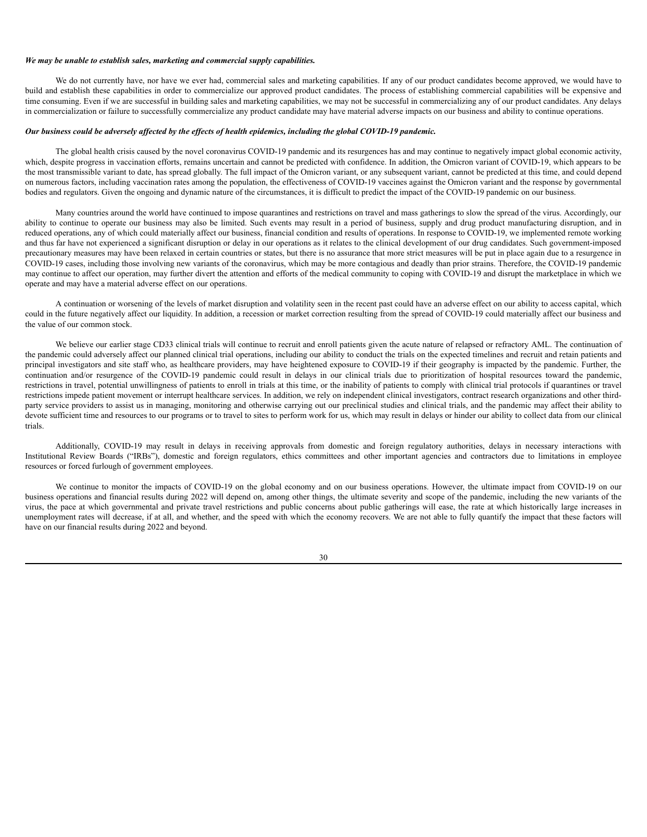#### *We may be unable to establish sales, marketing and commercial supply capabilities.*

We do not currently have, nor have we ever had, commercial sales and marketing capabilities. If any of our product candidates become approved, we would have to build and establish these capabilities in order to commercialize our approved product candidates. The process of establishing commercial capabilities will be expensive and time consuming. Even if we are successful in building sales and marketing capabilities, we may not be successful in commercializing any of our product candidates. Any delays in commercialization or failure to successfully commercialize any product candidate may have material adverse impacts on our business and ability to continue operations.

#### Our business could be adversely affected by the effects of health epidemics, including the global COVID-19 pandemic.

The global health crisis caused by the novel coronavirus COVID-19 pandemic and its resurgences has and may continue to negatively impact global economic activity, which, despite progress in vaccination efforts, remains uncertain and cannot be predicted with confidence. In addition, the Omicron variant of COVID-19, which appears to be the most transmissible variant to date, has spread globally. The full impact of the Omicron variant, or any subsequent variant, cannot be predicted at this time, and could depend on numerous factors, including vaccination rates among the population, the effectiveness of COVID-19 vaccines against the Omicron variant and the response by governmental bodies and regulators. Given the ongoing and dynamic nature of the circumstances, it is difficult to predict the impact of the COVID-19 pandemic on our business.

Many countries around the world have continued to impose quarantines and restrictions on travel and mass gatherings to slow the spread of the virus. Accordingly, our ability to continue to operate our business may also be limited. Such events may result in a period of business, supply and drug product manufacturing disruption, and in reduced operations, any of which could materially affect our business, financial condition and results of operations. In response to COVID-19, we implemented remote working and thus far have not experienced a significant disruption or delay in our operations as it relates to the clinical development of our drug candidates. Such government-imposed precautionary measures may have been relaxed in certain countries or states, but there is no assurance that more strict measures will be put in place again due to a resurgence in COVID-19 cases, including those involving new variants of the coronavirus, which may be more contagious and deadly than prior strains. Therefore, the COVID-19 pandemic may continue to affect our operation, may further divert the attention and efforts of the medical community to coping with COVID-19 and disrupt the marketplace in which we operate and may have a material adverse effect on our operations.

A continuation or worsening of the levels of market disruption and volatility seen in the recent past could have an adverse effect on our ability to access capital, which could in the future negatively affect our liquidity. In addition, a recession or market correction resulting from the spread of COVID-19 could materially affect our business and the value of our common stock.

We believe our earlier stage CD33 clinical trials will continue to recruit and enroll patients given the acute nature of relapsed or refractory AML. The continuation of the pandemic could adversely affect our planned clinical trial operations, including our ability to conduct the trials on the expected timelines and recruit and retain patients and principal investigators and site staff who, as healthcare providers, may have heightened exposure to COVID-19 if their geography is impacted by the pandemic. Further, the continuation and/or resurgence of the COVID-19 pandemic could result in delays in our clinical trials due to prioritization of hospital resources toward the pandemic, restrictions in travel, potential unwillingness of patients to enroll in trials at this time, or the inability of patients to comply with clinical trial protocols if quarantines or travel restrictions impede patient movement or interrupt healthcare services. In addition, we rely on independent clinical investigators, contract research organizations and other thirdparty service providers to assist us in managing, monitoring and otherwise carrying out our preclinical studies and clinical trials, and the pandemic may affect their ability to devote sufficient time and resources to our programs or to travel to sites to perform work for us, which may result in delays or hinder our ability to collect data from our clinical trials.

Additionally, COVID-19 may result in delays in receiving approvals from domestic and foreign regulatory authorities, delays in necessary interactions with Institutional Review Boards ("IRBs"), domestic and foreign regulators, ethics committees and other important agencies and contractors due to limitations in employee resources or forced furlough of government employees.

We continue to monitor the impacts of COVID-19 on the global economy and on our business operations. However, the ultimate impact from COVID-19 on our business operations and financial results during 2022 will depend on, among other things, the ultimate severity and scope of the pandemic, including the new variants of the virus, the pace at which governmental and private travel restrictions and public concerns about public gatherings will ease, the rate at which historically large increases in unemployment rates will decrease, if at all, and whether, and the speed with which the economy recovers. We are not able to fully quantify the impact that these factors will have on our financial results during 2022 and beyond.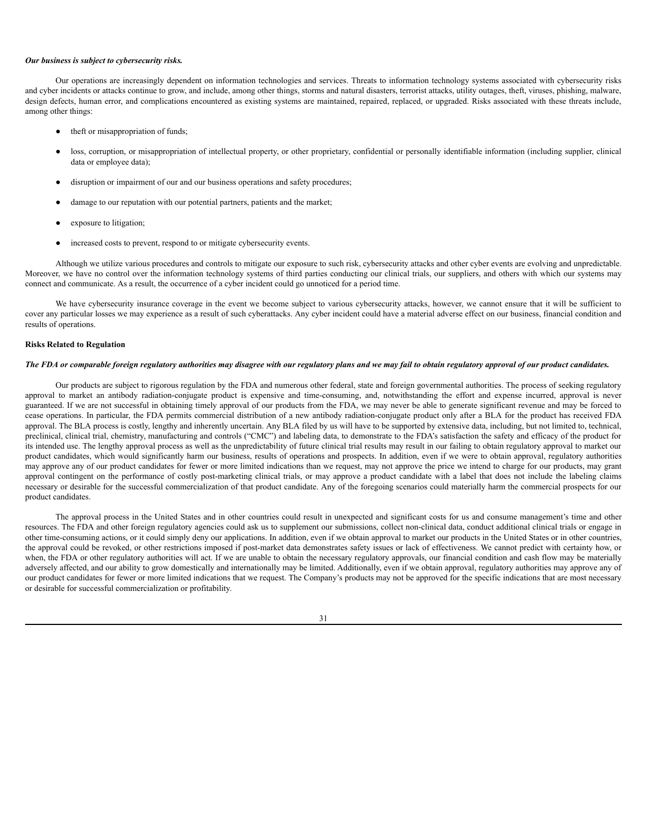#### *Our business is subject to cybersecurity risks.*

Our operations are increasingly dependent on information technologies and services. Threats to information technology systems associated with cybersecurity risks and cyber incidents or attacks continue to grow, and include, among other things, storms and natural disasters, terrorist attacks, utility outages, theft, viruses, phishing, malware, design defects, human error, and complications encountered as existing systems are maintained, repaired, replaced, or upgraded. Risks associated with these threats include, among other things:

- theft or misappropriation of funds;
- loss, corruption, or misappropriation of intellectual property, or other proprietary, confidential or personally identifiable information (including supplier, clinical data or employee data);
- disruption or impairment of our and our business operations and safety procedures;
- damage to our reputation with our potential partners, patients and the market;
- exposure to litigation;
- increased costs to prevent, respond to or mitigate cybersecurity events.

Although we utilize various procedures and controls to mitigate our exposure to such risk, cybersecurity attacks and other cyber events are evolving and unpredictable. Moreover, we have no control over the information technology systems of third parties conducting our clinical trials, our suppliers, and others with which our systems may connect and communicate. As a result, the occurrence of a cyber incident could go unnoticed for a period time.

We have cybersecurity insurance coverage in the event we become subject to various cybersecurity attacks, however, we cannot ensure that it will be sufficient to cover any particular losses we may experience as a result of such cyberattacks. Any cyber incident could have a material adverse effect on our business, financial condition and results of operations.

#### **Risks Related to Regulation**

#### The FDA or comparable foreign regulatory authorities may disagree with our regulatory plans and we may fail to obtain regulatory approval of our product candidates.

Our products are subject to rigorous regulation by the FDA and numerous other federal, state and foreign governmental authorities. The process of seeking regulatory approval to market an antibody radiation-conjugate product is expensive and time-consuming, and, notwithstanding the effort and expense incurred, approval is never guaranteed. If we are not successful in obtaining timely approval of our products from the FDA, we may never be able to generate significant revenue and may be forced to cease operations. In particular, the FDA permits commercial distribution of a new antibody radiation-conjugate product only after a BLA for the product has received FDA approval. The BLA process is costly, lengthy and inherently uncertain. Any BLA filed by us will have to be supported by extensive data, including, but not limited to, technical, preclinical, clinical trial, chemistry, manufacturing and controls ("CMC") and labeling data, to demonstrate to the FDA's satisfaction the safety and efficacy of the product for its intended use. The lengthy approval process as well as the unpredictability of future clinical trial results may result in our failing to obtain regulatory approval to market our product candidates, which would significantly harm our business, results of operations and prospects. In addition, even if we were to obtain approval, regulatory authorities may approve any of our product candidates for fewer or more limited indications than we request, may not approve the price we intend to charge for our products, may grant approval contingent on the performance of costly post-marketing clinical trials, or may approve a product candidate with a label that does not include the labeling claims necessary or desirable for the successful commercialization of that product candidate. Any of the foregoing scenarios could materially harm the commercial prospects for our product candidates.

The approval process in the United States and in other countries could result in unexpected and significant costs for us and consume management's time and other resources. The FDA and other foreign regulatory agencies could ask us to supplement our submissions, collect non-clinical data, conduct additional clinical trials or engage in other time-consuming actions, or it could simply deny our applications. In addition, even if we obtain approval to market our products in the United States or in other countries, the approval could be revoked, or other restrictions imposed if post-market data demonstrates safety issues or lack of effectiveness. We cannot predict with certainty how, or when, the FDA or other regulatory authorities will act. If we are unable to obtain the necessary regulatory approvals, our financial condition and cash flow may be materially adversely affected, and our ability to grow domestically and internationally may be limited. Additionally, even if we obtain approval, regulatory authorities may approve any of our product candidates for fewer or more limited indications that we request. The Company's products may not be approved for the specific indications that are most necessary or desirable for successful commercialization or profitability.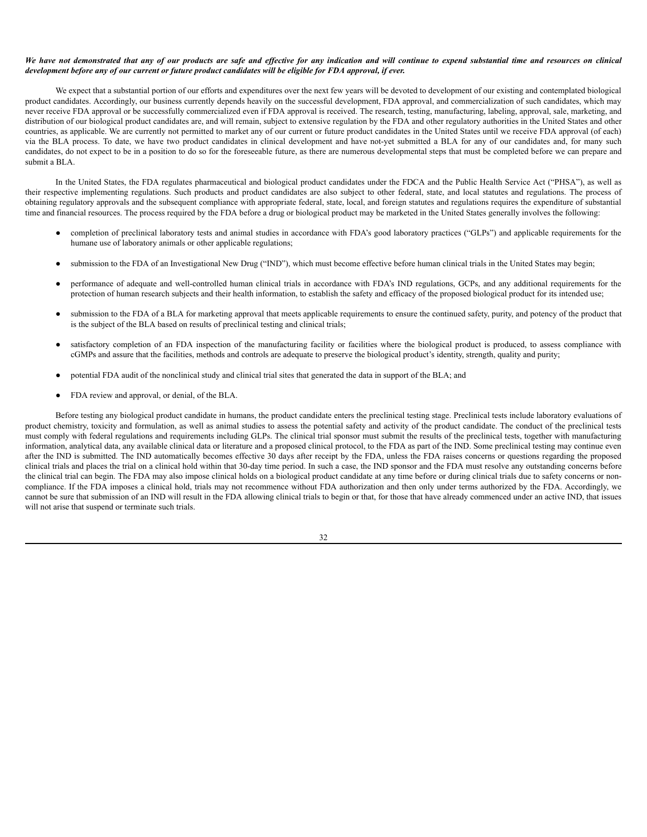## We have not demonstrated that any of our products are safe and effective for any indication and will continue to expend substantial time and resources on clinical development before any of our current or future product candidates will be eligible for FDA approval, if ever.

We expect that a substantial portion of our efforts and expenditures over the next few years will be devoted to development of our existing and contemplated biological product candidates. Accordingly, our business currently depends heavily on the successful development, FDA approval, and commercialization of such candidates, which may never receive FDA approval or be successfully commercialized even if FDA approval is received. The research, testing, manufacturing, labeling, approval, sale, marketing, and distribution of our biological product candidates are, and will remain, subject to extensive regulation by the FDA and other regulatory authorities in the United States and other countries, as applicable. We are currently not permitted to market any of our current or future product candidates in the United States until we receive FDA approval (of each) via the BLA process. To date, we have two product candidates in clinical development and have not-yet submitted a BLA for any of our candidates and, for many such candidates, do not expect to be in a position to do so for the foreseeable future, as there are numerous developmental steps that must be completed before we can prepare and submit a BLA.

In the United States, the FDA regulates pharmaceutical and biological product candidates under the FDCA and the Public Health Service Act ("PHSA"), as well as their respective implementing regulations. Such products and product candidates are also subject to other federal, state, and local statutes and regulations. The process of obtaining regulatory approvals and the subsequent compliance with appropriate federal, state, local, and foreign statutes and regulations requires the expenditure of substantial time and financial resources. The process required by the FDA before a drug or biological product may be marketed in the United States generally involves the following:

- completion of preclinical laboratory tests and animal studies in accordance with FDA's good laboratory practices ("GLPs") and applicable requirements for the humane use of laboratory animals or other applicable regulations;
- submission to the FDA of an Investigational New Drug ("IND"), which must become effective before human clinical trials in the United States may begin;
- performance of adequate and well-controlled human clinical trials in accordance with FDA's IND regulations, GCPs, and any additional requirements for the protection of human research subjects and their health information, to establish the safety and efficacy of the proposed biological product for its intended use;
- submission to the FDA of a BLA for marketing approval that meets applicable requirements to ensure the continued safety, purity, and potency of the product that is the subject of the BLA based on results of preclinical testing and clinical trials;
- satisfactory completion of an FDA inspection of the manufacturing facility or facilities where the biological product is produced, to assess compliance with cGMPs and assure that the facilities, methods and controls are adequate to preserve the biological product's identity, strength, quality and purity;
- potential FDA audit of the nonclinical study and clinical trial sites that generated the data in support of the BLA; and
- FDA review and approval, or denial, of the BLA.

Before testing any biological product candidate in humans, the product candidate enters the preclinical testing stage. Preclinical tests include laboratory evaluations of product chemistry, toxicity and formulation, as well as animal studies to assess the potential safety and activity of the product candidate. The conduct of the preclinical tests must comply with federal regulations and requirements including GLPs. The clinical trial sponsor must submit the results of the preclinical tests, together with manufacturing information, analytical data, any available clinical data or literature and a proposed clinical protocol, to the FDA as part of the IND. Some preclinical testing may continue even after the IND is submitted. The IND automatically becomes effective 30 days after receipt by the FDA, unless the FDA raises concerns or questions regarding the proposed clinical trials and places the trial on a clinical hold within that 30-day time period. In such a case, the IND sponsor and the FDA must resolve any outstanding concerns before the clinical trial can begin. The FDA may also impose clinical holds on a biological product candidate at any time before or during clinical trials due to safety concerns or noncompliance. If the FDA imposes a clinical hold, trials may not recommence without FDA authorization and then only under terms authorized by the FDA. Accordingly, we cannot be sure that submission of an IND will result in the FDA allowing clinical trials to begin or that, for those that have already commenced under an active IND, that issues will not arise that suspend or terminate such trials.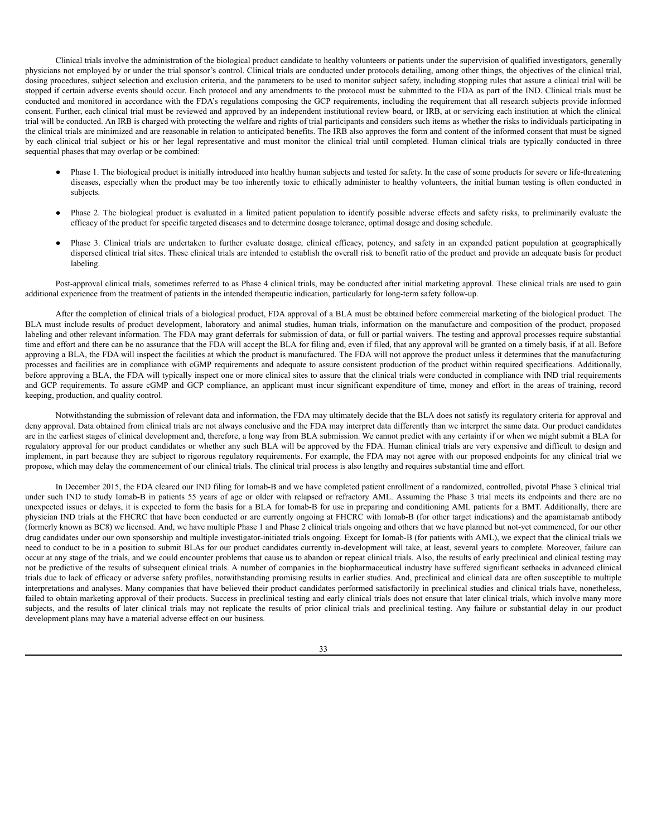Clinical trials involve the administration of the biological product candidate to healthy volunteers or patients under the supervision of qualified investigators, generally physicians not employed by or under the trial sponsor's control. Clinical trials are conducted under protocols detailing, among other things, the objectives of the clinical trial, dosing procedures, subject selection and exclusion criteria, and the parameters to be used to monitor subject safety, including stopping rules that assure a clinical trial will be stopped if certain adverse events should occur. Each protocol and any amendments to the protocol must be submitted to the FDA as part of the IND. Clinical trials must be conducted and monitored in accordance with the FDA's regulations composing the GCP requirements, including the requirement that all research subjects provide informed consent. Further, each clinical trial must be reviewed and approved by an independent institutional review board, or IRB, at or servicing each institution at which the clinical trial will be conducted. An IRB is charged with protecting the welfare and rights of trial participants and considers such items as whether the risks to individuals participating in the clinical trials are minimized and are reasonable in relation to anticipated benefits. The IRB also approves the form and content of the informed consent that must be signed by each clinical trial subject or his or her legal representative and must monitor the clinical trial until completed. Human clinical trials are typically conducted in three sequential phases that may overlap or be combined:

- Phase 1. The biological product is initially introduced into healthy human subjects and tested for safety. In the case of some products for severe or life-threatening diseases, especially when the product may be too inherently toxic to ethically administer to healthy volunteers, the initial human testing is often conducted in subjects.
- Phase 2. The biological product is evaluated in a limited patient population to identify possible adverse effects and safety risks, to preliminarily evaluate the efficacy of the product for specific targeted diseases and to determine dosage tolerance, optimal dosage and dosing schedule.
- Phase 3. Clinical trials are undertaken to further evaluate dosage, clinical efficacy, potency, and safety in an expanded patient population at geographically dispersed clinical trial sites. These clinical trials are intended to establish the overall risk to benefit ratio of the product and provide an adequate basis for product labeling.

Post-approval clinical trials, sometimes referred to as Phase 4 clinical trials, may be conducted after initial marketing approval. These clinical trials are used to gain additional experience from the treatment of patients in the intended therapeutic indication, particularly for long-term safety follow-up.

After the completion of clinical trials of a biological product, FDA approval of a BLA must be obtained before commercial marketing of the biological product. The BLA must include results of product development, laboratory and animal studies, human trials, information on the manufacture and composition of the product, proposed labeling and other relevant information. The FDA may grant deferrals for submission of data, or full or partial waivers. The testing and approval processes require substantial time and effort and there can be no assurance that the FDA will accept the BLA for filing and, even if filed, that any approval will be granted on a timely basis, if at all. Before approving a BLA, the FDA will inspect the facilities at which the product is manufactured. The FDA will not approve the product unless it determines that the manufacturing processes and facilities are in compliance with cGMP requirements and adequate to assure consistent production of the product within required specifications. Additionally, before approving a BLA, the FDA will typically inspect one or more clinical sites to assure that the clinical trials were conducted in compliance with IND trial requirements and GCP requirements. To assure cGMP and GCP compliance, an applicant must incur significant expenditure of time, money and effort in the areas of training, record keeping, production, and quality control.

Notwithstanding the submission of relevant data and information, the FDA may ultimately decide that the BLA does not satisfy its regulatory criteria for approval and deny approval. Data obtained from clinical trials are not always conclusive and the FDA may interpret data differently than we interpret the same data. Our product candidates are in the earliest stages of clinical development and, therefore, a long way from BLA submission. We cannot predict with any certainty if or when we might submit a BLA for regulatory approval for our product candidates or whether any such BLA will be approved by the FDA. Human clinical trials are very expensive and difficult to design and implement, in part because they are subject to rigorous regulatory requirements. For example, the FDA may not agree with our proposed endpoints for any clinical trial we propose, which may delay the commencement of our clinical trials. The clinical trial process is also lengthy and requires substantial time and effort.

In December 2015, the FDA cleared our IND filing for Iomab-B and we have completed patient enrollment of a randomized, controlled, pivotal Phase 3 clinical trial under such IND to study Iomab-B in patients 55 years of age or older with relapsed or refractory AML. Assuming the Phase 3 trial meets its endpoints and there are no unexpected issues or delays, it is expected to form the basis for a BLA for Iomab-B for use in preparing and conditioning AML patients for a BMT. Additionally, there are physician IND trials at the FHCRC that have been conducted or are currently ongoing at FHCRC with Iomab-B (for other target indications) and the apamistamab antibody (formerly known as BC8) we licensed. And, we have multiple Phase 1 and Phase 2 clinical trials ongoing and others that we have planned but not-yet commenced, for our other drug candidates under our own sponsorship and multiple investigator-initiated trials ongoing. Except for Iomab-B (for patients with AML), we expect that the clinical trials we need to conduct to be in a position to submit BLAs for our product candidates currently in-development will take, at least, several years to complete. Moreover, failure can occur at any stage of the trials, and we could encounter problems that cause us to abandon or repeat clinical trials. Also, the results of early preclinical and clinical testing may not be predictive of the results of subsequent clinical trials. A number of companies in the biopharmaceutical industry have suffered significant setbacks in advanced clinical trials due to lack of efficacy or adverse safety profiles, notwithstanding promising results in earlier studies. And, preclinical and clinical data are often susceptible to multiple interpretations and analyses. Many companies that have believed their product candidates performed satisfactorily in preclinical studies and clinical trials have, nonetheless, failed to obtain marketing approval of their products. Success in preclinical testing and early clinical trials does not ensure that later clinical trials, which involve many more subjects, and the results of later clinical trials may not replicate the results of prior clinical trials and preclinical testing. Any failure or substantial delay in our product development plans may have a material adverse effect on our business.

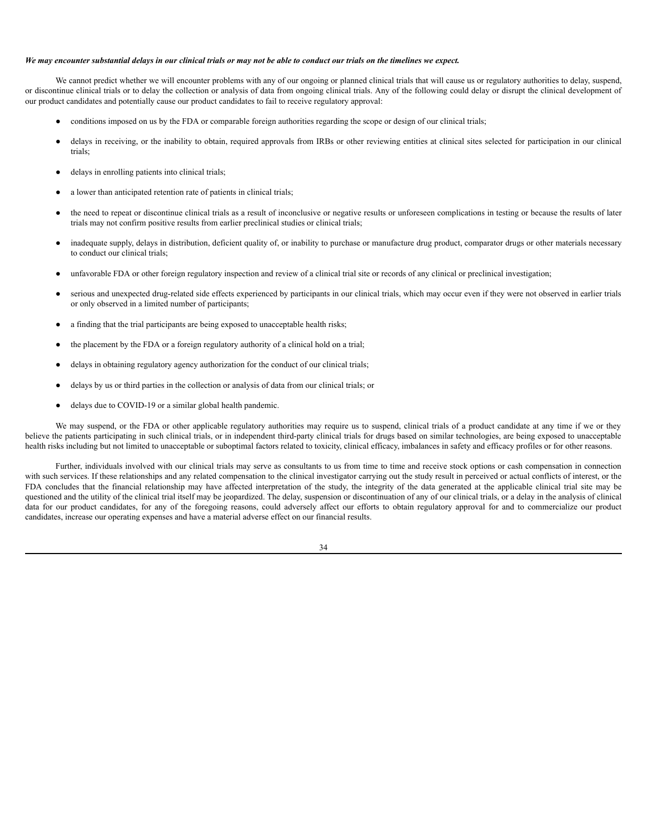#### We may encounter substantial delays in our clinical trials or may not be able to conduct our trials on the timelines we expect.

We cannot predict whether we will encounter problems with any of our ongoing or planned clinical trials that will cause us or regulatory authorities to delay, suspend, or discontinue clinical trials or to delay the collection or analysis of data from ongoing clinical trials. Any of the following could delay or disrupt the clinical development of our product candidates and potentially cause our product candidates to fail to receive regulatory approval:

- conditions imposed on us by the FDA or comparable foreign authorities regarding the scope or design of our clinical trials;
- delays in receiving, or the inability to obtain, required approvals from IRBs or other reviewing entities at clinical sites selected for participation in our clinical trials;
- delays in enrolling patients into clinical trials;
- a lower than anticipated retention rate of patients in clinical trials;
- the need to repeat or discontinue clinical trials as a result of inconclusive or negative results or unforeseen complications in testing or because the results of later trials may not confirm positive results from earlier preclinical studies or clinical trials;
- inadequate supply, delays in distribution, deficient quality of, or inability to purchase or manufacture drug product, comparator drugs or other materials necessary to conduct our clinical trials;
- unfavorable FDA or other foreign regulatory inspection and review of a clinical trial site or records of any clinical or preclinical investigation;
- serious and unexpected drug-related side effects experienced by participants in our clinical trials, which may occur even if they were not observed in earlier trials or only observed in a limited number of participants;
- a finding that the trial participants are being exposed to unacceptable health risks;
- the placement by the FDA or a foreign regulatory authority of a clinical hold on a trial;
- delays in obtaining regulatory agency authorization for the conduct of our clinical trials;
- delays by us or third parties in the collection or analysis of data from our clinical trials; or
- delays due to COVID-19 or a similar global health pandemic.

We may suspend, or the FDA or other applicable regulatory authorities may require us to suspend, clinical trials of a product candidate at any time if we or they believe the patients participating in such clinical trials, or in independent third-party clinical trials for drugs based on similar technologies, are being exposed to unacceptable health risks including but not limited to unacceptable or suboptimal factors related to toxicity, clinical efficacy, imbalances in safety and efficacy profiles or for other reasons.

Further, individuals involved with our clinical trials may serve as consultants to us from time to time and receive stock options or cash compensation in connection with such services. If these relationships and any related compensation to the clinical investigator carrying out the study result in perceived or actual conflicts of interest, or the FDA concludes that the financial relationship may have affected interpretation of the study, the integrity of the data generated at the applicable clinical trial site may be questioned and the utility of the clinical trial itself may be jeopardized. The delay, suspension or discontinuation of any of our clinical trials, or a delay in the analysis of clinical data for our product candidates, for any of the foregoing reasons, could adversely affect our efforts to obtain regulatory approval for and to commercialize our product candidates, increase our operating expenses and have a material adverse effect on our financial results.

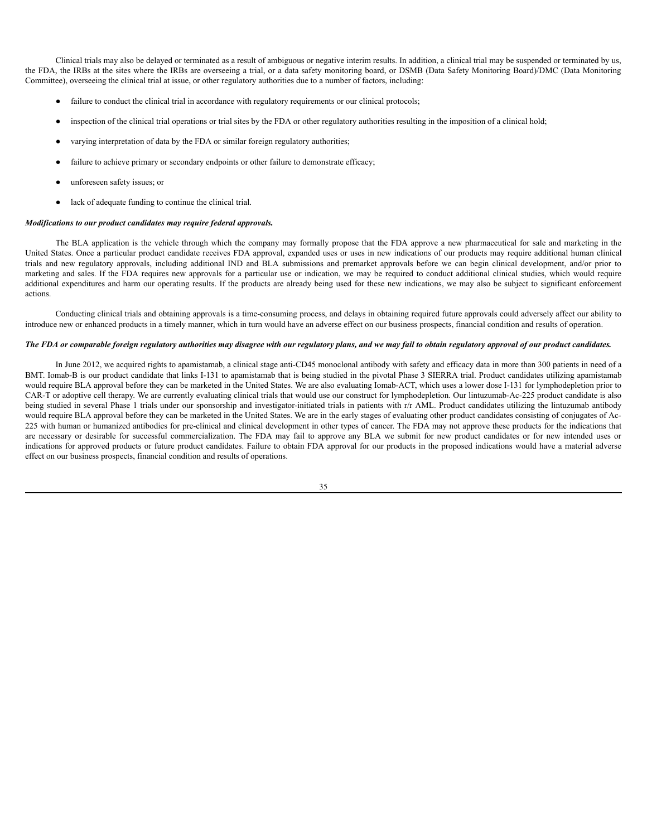Clinical trials may also be delayed or terminated as a result of ambiguous or negative interim results. In addition, a clinical trial may be suspended or terminated by us, the FDA, the IRBs at the sites where the IRBs are overseeing a trial, or a data safety monitoring board, or DSMB (Data Safety Monitoring Board)/DMC (Data Monitoring Committee), overseeing the clinical trial at issue, or other regulatory authorities due to a number of factors, including:

- failure to conduct the clinical trial in accordance with regulatory requirements or our clinical protocols;
- inspection of the clinical trial operations or trial sites by the FDA or other regulatory authorities resulting in the imposition of a clinical hold;
- varying interpretation of data by the FDA or similar foreign regulatory authorities;
- failure to achieve primary or secondary endpoints or other failure to demonstrate efficacy;
- unforeseen safety issues; or
- lack of adequate funding to continue the clinical trial.

#### *Modifications to our product candidates may require federal approvals.*

The BLA application is the vehicle through which the company may formally propose that the FDA approve a new pharmaceutical for sale and marketing in the United States. Once a particular product candidate receives FDA approval, expanded uses or uses in new indications of our products may require additional human clinical trials and new regulatory approvals, including additional IND and BLA submissions and premarket approvals before we can begin clinical development, and/or prior to marketing and sales. If the FDA requires new approvals for a particular use or indication, we may be required to conduct additional clinical studies, which would require additional expenditures and harm our operating results. If the products are already being used for these new indications, we may also be subject to significant enforcement actions.

Conducting clinical trials and obtaining approvals is a time-consuming process, and delays in obtaining required future approvals could adversely affect our ability to introduce new or enhanced products in a timely manner, which in turn would have an adverse effect on our business prospects, financial condition and results of operation.

## The FDA or comparable foreign regulatory authorities may disagree with our regulatory plans, and we may fail to obtain regulatory approval of our product candidates.

In June 2012, we acquired rights to apamistamab, a clinical stage anti-CD45 monoclonal antibody with safety and efficacy data in more than 300 patients in need of a BMT. Iomab-B is our product candidate that links I-131 to apamistamab that is being studied in the pivotal Phase 3 SIERRA trial. Product candidates utilizing apamistamab would require BLA approval before they can be marketed in the United States. We are also evaluating Iomab-ACT, which uses a lower dose I-131 for lymphodepletion prior to CAR-T or adoptive cell therapy. We are currently evaluating clinical trials that would use our construct for lymphodepletion. Our lintuzumab-Ac-225 product candidate is also being studied in several Phase 1 trials under our sponsorship and investigator-initiated trials in patients with r/r AML. Product candidates utilizing the lintuzumab antibody would require BLA approval before they can be marketed in the United States. We are in the early stages of evaluating other product candidates consisting of conjugates of Ac-225 with human or humanized antibodies for pre-clinical and clinical development in other types of cancer. The FDA may not approve these products for the indications that are necessary or desirable for successful commercialization. The FDA may fail to approve any BLA we submit for new product candidates or for new intended uses or indications for approved products or future product candidates. Failure to obtain FDA approval for our products in the proposed indications would have a material adverse effect on our business prospects, financial condition and results of operations.

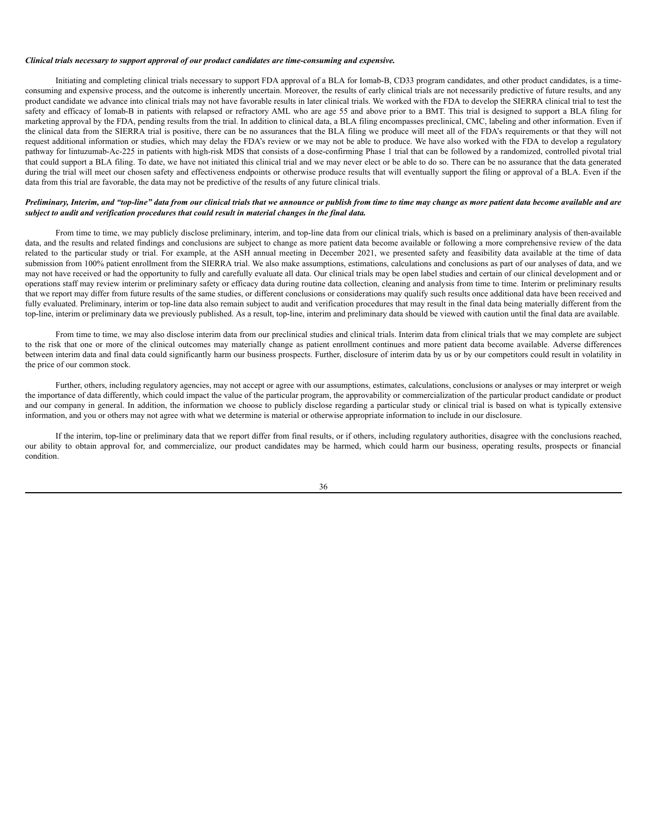#### *Clinical trials necessary to support approval of our product candidates are time-consuming and expensive.*

Initiating and completing clinical trials necessary to support FDA approval of a BLA for Iomab-B, CD33 program candidates, and other product candidates, is a timeconsuming and expensive process, and the outcome is inherently uncertain. Moreover, the results of early clinical trials are not necessarily predictive of future results, and any product candidate we advance into clinical trials may not have favorable results in later clinical trials. We worked with the FDA to develop the SIERRA clinical trial to test the safety and efficacy of Iomab-B in patients with relapsed or refractory AML who are age 55 and above prior to a BMT. This trial is designed to support a BLA filing for marketing approval by the FDA, pending results from the trial. In addition to clinical data, a BLA filing encompasses preclinical, CMC, labeling and other information. Even if the clinical data from the SIERRA trial is positive, there can be no assurances that the BLA filing we produce will meet all of the FDA's requirements or that they will not request additional information or studies, which may delay the FDA's review or we may not be able to produce. We have also worked with the FDA to develop a regulatory pathway for lintuzumab-Ac-225 in patients with high-risk MDS that consists of a dose-confirming Phase 1 trial that can be followed by a randomized, controlled pivotal trial that could support a BLA filing. To date, we have not initiated this clinical trial and we may never elect or be able to do so. There can be no assurance that the data generated during the trial will meet our chosen safety and effectiveness endpoints or otherwise produce results that will eventually support the filing or approval of a BLA. Even if the data from this trial are favorable, the data may not be predictive of the results of any future clinical trials.

## Preliminary, Interim, and "top-line" data from our clinical trials that we announce or publish from time to time may change as more patient data become available and are *subject to audit and verification procedures that could result in material changes in the final data.*

From time to time, we may publicly disclose preliminary, interim, and top-line data from our clinical trials, which is based on a preliminary analysis of then-available data, and the results and related findings and conclusions are subject to change as more patient data become available or following a more comprehensive review of the data related to the particular study or trial. For example, at the ASH annual meeting in December 2021, we presented safety and feasibility data available at the time of data submission from 100% patient enrollment from the SIERRA trial. We also make assumptions, estimations, calculations and conclusions as part of our analyses of data, and we may not have received or had the opportunity to fully and carefully evaluate all data. Our clinical trials may be open label studies and certain of our clinical development and or operations staff may review interim or preliminary safety or efficacy data during routine data collection, cleaning and analysis from time to time. Interim or preliminary results that we report may differ from future results of the same studies, or different conclusions or considerations may qualify such results once additional data have been received and fully evaluated. Preliminary, interim or top-line data also remain subject to audit and verification procedures that may result in the final data being materially different from the top-line, interim or preliminary data we previously published. As a result, top-line, interim and preliminary data should be viewed with caution until the final data are available.

From time to time, we may also disclose interim data from our preclinical studies and clinical trials. Interim data from clinical trials that we may complete are subject to the risk that one or more of the clinical outcomes may materially change as patient enrollment continues and more patient data become available. Adverse differences between interim data and final data could significantly harm our business prospects. Further, disclosure of interim data by us or by our competitors could result in volatility in the price of our common stock.

Further, others, including regulatory agencies, may not accept or agree with our assumptions, estimates, calculations, conclusions or analyses or may interpret or weigh the importance of data differently, which could impact the value of the particular program, the approvability or commercialization of the particular product candidate or product and our company in general. In addition, the information we choose to publicly disclose regarding a particular study or clinical trial is based on what is typically extensive information, and you or others may not agree with what we determine is material or otherwise appropriate information to include in our disclosure.

If the interim, top-line or preliminary data that we report differ from final results, or if others, including regulatory authorities, disagree with the conclusions reached, our ability to obtain approval for, and commercialize, our product candidates may be harmed, which could harm our business, operating results, prospects or financial condition.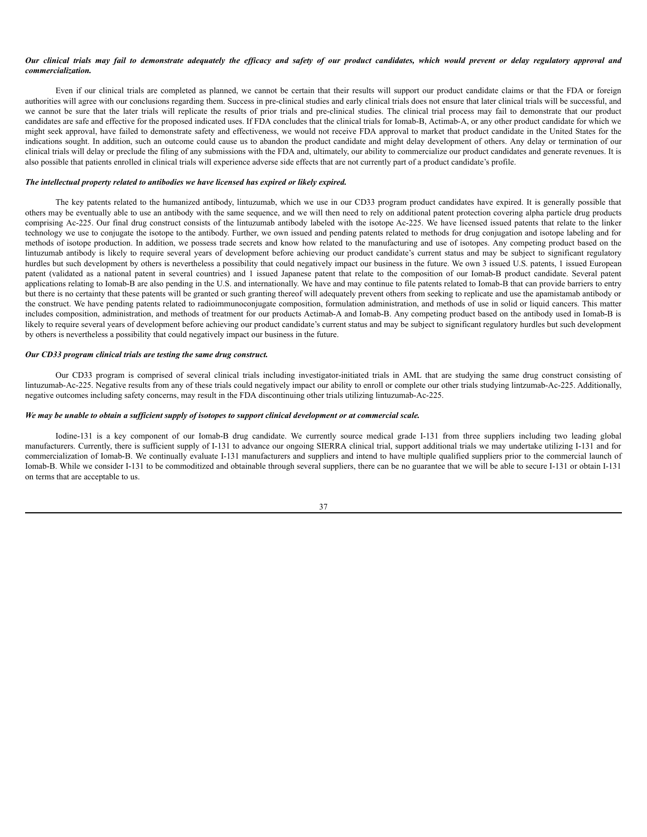#### Our clinical trials may fail to demonstrate adequately the efficacy and safety of our product candidates, which would prevent or delay regulatory approval and *commercialization.*

Even if our clinical trials are completed as planned, we cannot be certain that their results will support our product candidate claims or that the FDA or foreign authorities will agree with our conclusions regarding them. Success in pre-clinical studies and early clinical trials does not ensure that later clinical trials will be successful, and we cannot be sure that the later trials will replicate the results of prior trials and pre-clinical studies. The clinical trial process may fail to demonstrate that our product candidates are safe and effective for the proposed indicated uses. If FDA concludes that the clinical trials for Iomab-B, Actimab-A, or any other product candidate for which we might seek approval, have failed to demonstrate safety and effectiveness, we would not receive FDA approval to market that product candidate in the United States for the indications sought. In addition, such an outcome could cause us to abandon the product candidate and might delay development of others. Any delay or termination of our clinical trials will delay or preclude the filing of any submissions with the FDA and, ultimately, our ability to commercialize our product candidates and generate revenues. It is also possible that patients enrolled in clinical trials will experience adverse side effects that are not currently part of a product candidate's profile.

## *The intellectual property related to antibodies we have licensed has expired or likely expired.*

The key patents related to the humanized antibody, lintuzumab, which we use in our CD33 program product candidates have expired. It is generally possible that others may be eventually able to use an antibody with the same sequence, and we will then need to rely on additional patent protection covering alpha particle drug products comprising Ac-225. Our final drug construct consists of the lintuzumab antibody labeled with the isotope Ac-225. We have licensed issued patents that relate to the linker technology we use to conjugate the isotope to the antibody. Further, we own issued and pending patents related to methods for drug conjugation and isotope labeling and for methods of isotope production. In addition, we possess trade secrets and know how related to the manufacturing and use of isotopes. Any competing product based on the lintuzumab antibody is likely to require several years of development before achieving our product candidate's current status and may be subject to significant regulatory hurdles but such development by others is nevertheless a possibility that could negatively impact our business in the future. We own 3 issued U.S. patents, 1 issued European patent (validated as a national patent in several countries) and 1 issued Japanese patent that relate to the composition of our Iomab-B product candidate. Several patent applications relating to Iomab-B are also pending in the U.S. and internationally. We have and may continue to file patents related to Iomab-B that can provide barriers to entry but there is no certainty that these patents will be granted or such granting thereof will adequately prevent others from seeking to replicate and use the apamistamab antibody or the construct. We have pending patents related to radioimmunoconjugate composition, formulation administration, and methods of use in solid or liquid cancers. This matter includes composition, administration, and methods of treatment for our products Actimab-A and Iomab-B. Any competing product based on the antibody used in Iomab-B is likely to require several years of development before achieving our product candidate's current status and may be subject to significant regulatory hurdles but such development by others is nevertheless a possibility that could negatively impact our business in the future.

## *Our CD33 program clinical trials are testing the same drug construct.*

Our CD33 program is comprised of several clinical trials including investigator-initiated trials in AML that are studying the same drug construct consisting of lintuzumab-Ac-225. Negative results from any of these trials could negatively impact our ability to enroll or complete our other trials studying lintzumab-Ac-225. Additionally, negative outcomes including safety concerns, may result in the FDA discontinuing other trials utilizing lintuzumab-Ac-225.

#### We may be unable to obtain a sufficient supply of isotopes to support clinical development or at commercial scale.

Iodine-131 is a key component of our Iomab-B drug candidate. We currently source medical grade I-131 from three suppliers including two leading global manufacturers. Currently, there is sufficient supply of I-131 to advance our ongoing SIERRA clinical trial, support additional trials we may undertake utilizing I-131 and for commercialization of Iomab-B. We continually evaluate I-131 manufacturers and suppliers and intend to have multiple qualified suppliers prior to the commercial launch of Iomab-B. While we consider I-131 to be commoditized and obtainable through several suppliers, there can be no guarantee that we will be able to secure I-131 or obtain I-131 on terms that are acceptable to us.

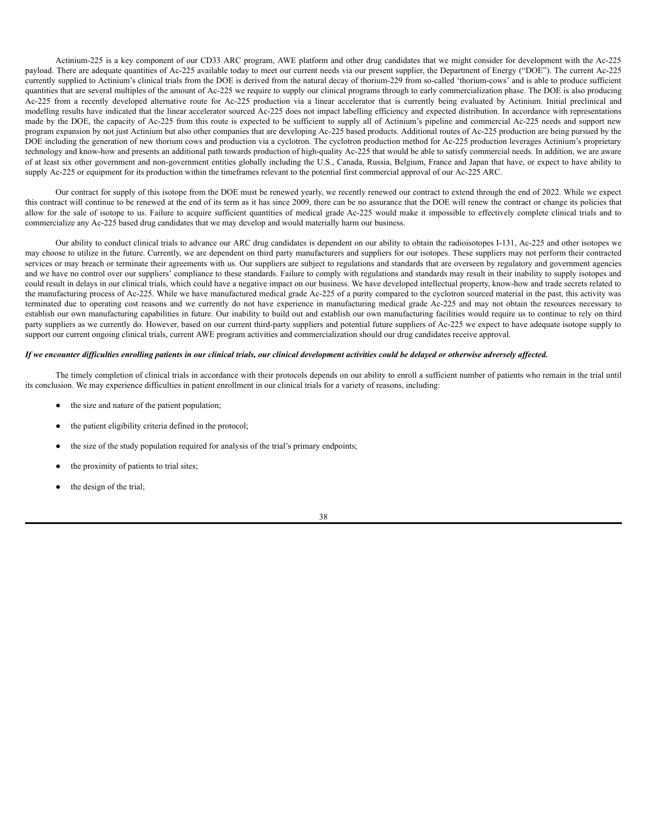Actinium-225 is a key component of our CD33 ARC program, AWE platform and other drug candidates that we might consider for development with the Ac-225 payload. There are adequate quantities of Ac-225 available today to meet our current needs via our present supplier, the Department of Energy ("DOE"). The current Ac-225 currently supplied to Actinium's clinical trials from the DOE is derived from the natural decay of thorium-229 from so-called 'thorium-cows' and is able to produce sufficient quantities that are several multiples of the amount of Ac-225 we require to supply our clinical programs through to early commercialization phase. The DOE is also producing Ac-225 from a recently developed alternative route for Ac-225 production via a linear accelerator that is currently being evaluated by Actinium. Initial preclinical and modelling results have indicated that the linear accelerator sourced Ac-225 does not impact labelling efficiency and expected distribution. In accordance with representations made by the DOE, the capacity of Ac-225 from this route is expected to be sufficient to supply all of Actinium's pipeline and commercial Ac-225 needs and support new program expansion by not just Actinium but also other companies that are developing Ac-225 based products. Additional routes of Ac-225 production are being pursued by the DOE including the generation of new thorium cows and production via a cyclotron. The cyclotron production method for Ac-225 production leverages Actinium's proprietary technology and know-how and presents an additional path towards production of high-quality Ac-225 that would be able to satisfy commercial needs. In addition, we are aware of at least six other government and non-government entities globally including the U.S., Canada, Russia, Belgium, France and Japan that have, or expect to have ability to supply Ac-225 or equipment for its production within the timeframes relevant to the potential first commercial approval of our Ac-225 ARC.

Our contract for supply of this isotope from the DOE must be renewed yearly, we recently renewed our contract to extend through the end of 2022. While we expect this contract will continue to be renewed at the end of its term as it has since 2009, there can be no assurance that the DOE will renew the contract or change its policies that allow for the sale of isotope to us. Failure to acquire sufficient quantities of medical grade Ac-225 would make it impossible to effectively complete clinical trials and to commercialize any Ac-225 based drug candidates that we may develop and would materially harm our business.

Our ability to conduct clinical trials to advance our ARC drug candidates is dependent on our ability to obtain the radioisotopes I-131, Ac-225 and other isotopes we may choose to utilize in the future. Currently, we are dependent on third party manufacturers and suppliers for our isotopes. These suppliers may not perform their contracted services or may breach or terminate their agreements with us. Our suppliers are subject to regulations and standards that are overseen by regulatory and government agencies and we have no control over our suppliers' compliance to these standards. Failure to comply with regulations and standards may result in their inability to supply isotopes and could result in delays in our clinical trials, which could have a negative impact on our business. We have developed intellectual property, know-how and trade secrets related to the manufacturing process of Ac-225. While we have manufactured medical grade Ac-225 of a purity compared to the cyclotron sourced material in the past, this activity was terminated due to operating cost reasons and we currently do not have experience in manufacturing medical grade Ac-225 and may not obtain the resources necessary to establish our own manufacturing capabilities in future. Our inability to build out and establish our own manufacturing facilities would require us to continue to rely on third party suppliers as we currently do. However, based on our current third-party suppliers and potential future suppliers of Ac-225 we expect to have adequate isotope supply to support our current ongoing clinical trials, current AWE program activities and commercialization should our drug candidates receive approval.

## If we encounter difficulties enrolling patients in our clinical trials, our clinical development activities could be delayed or otherwise adversely affected.

The timely completion of clinical trials in accordance with their protocols depends on our ability to enroll a sufficient number of patients who remain in the trial until its conclusion. We may experience difficulties in patient enrollment in our clinical trials for a variety of reasons, including:

- the size and nature of the patient population;
- the patient eligibility criteria defined in the protocol;
- the size of the study population required for analysis of the trial's primary endpoints;
- the proximity of patients to trial sites;
- the design of the trial;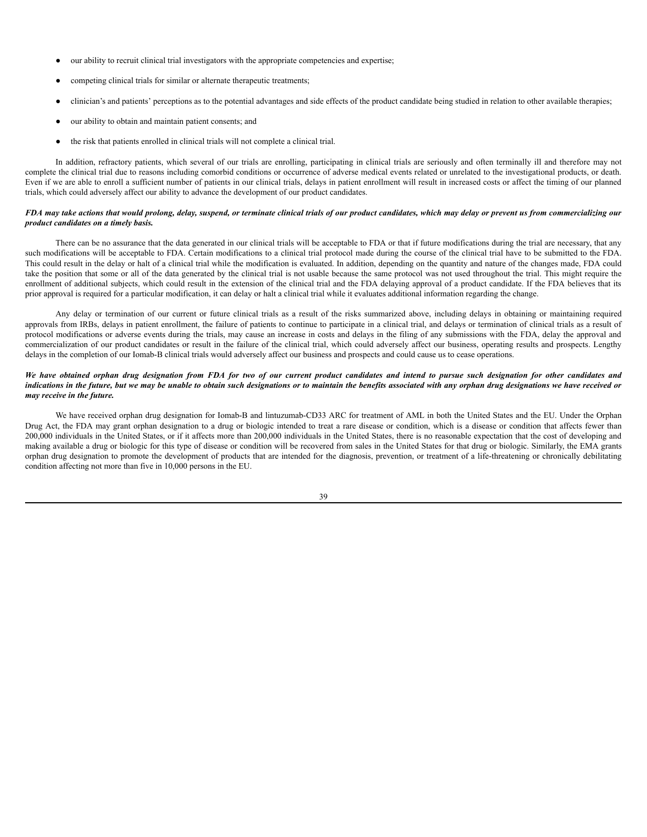- our ability to recruit clinical trial investigators with the appropriate competencies and expertise;
- competing clinical trials for similar or alternate therapeutic treatments;
- clinician's and patients' perceptions as to the potential advantages and side effects of the product candidate being studied in relation to other available therapies;
- our ability to obtain and maintain patient consents; and
- the risk that patients enrolled in clinical trials will not complete a clinical trial.

In addition, refractory patients, which several of our trials are enrolling, participating in clinical trials are seriously and often terminally ill and therefore may not complete the clinical trial due to reasons including comorbid conditions or occurrence of adverse medical events related or unrelated to the investigational products, or death. Even if we are able to enroll a sufficient number of patients in our clinical trials, delays in patient enrollment will result in increased costs or affect the timing of our planned trials, which could adversely affect our ability to advance the development of our product candidates.

#### FDA may take actions that would prolong, delay, suspend, or terminate clinical trials of our product candidates, which may delay or prevent us from commercializing our *product candidates on a timely basis.*

There can be no assurance that the data generated in our clinical trials will be acceptable to FDA or that if future modifications during the trial are necessary, that any such modifications will be acceptable to FDA. Certain modifications to a clinical trial protocol made during the course of the clinical trial have to be submitted to the FDA. This could result in the delay or halt of a clinical trial while the modification is evaluated. In addition, depending on the quantity and nature of the changes made, FDA could take the position that some or all of the data generated by the clinical trial is not usable because the same protocol was not used throughout the trial. This might require the enrollment of additional subjects, which could result in the extension of the clinical trial and the FDA delaying approval of a product candidate. If the FDA believes that its prior approval is required for a particular modification, it can delay or halt a clinical trial while it evaluates additional information regarding the change.

Any delay or termination of our current or future clinical trials as a result of the risks summarized above, including delays in obtaining or maintaining required approvals from IRBs, delays in patient enrollment, the failure of patients to continue to participate in a clinical trial, and delays or termination of clinical trials as a result of protocol modifications or adverse events during the trials, may cause an increase in costs and delays in the filing of any submissions with the FDA, delay the approval and commercialization of our product candidates or result in the failure of the clinical trial, which could adversely affect our business, operating results and prospects. Lengthy delays in the completion of our Iomab-B clinical trials would adversely affect our business and prospects and could cause us to cease operations.

#### We have obtained orphan drug designation from FDA for two of our current product candidates and intend to pursue such designation for other candidates and indications in the future, but we may be unable to obtain such designations or to maintain the benefits associated with any orphan drug designations we have received or *may receive in the future.*

We have received orphan drug designation for Iomab-B and lintuzumab-CD33 ARC for treatment of AML in both the United States and the EU. Under the Orphan Drug Act, the FDA may grant orphan designation to a drug or biologic intended to treat a rare disease or condition, which is a disease or condition that affects fewer than 200,000 individuals in the United States, or if it affects more than 200,000 individuals in the United States, there is no reasonable expectation that the cost of developing and making available a drug or biologic for this type of disease or condition will be recovered from sales in the United States for that drug or biologic. Similarly, the EMA grants orphan drug designation to promote the development of products that are intended for the diagnosis, prevention, or treatment of a life-threatening or chronically debilitating condition affecting not more than five in 10,000 persons in the EU.

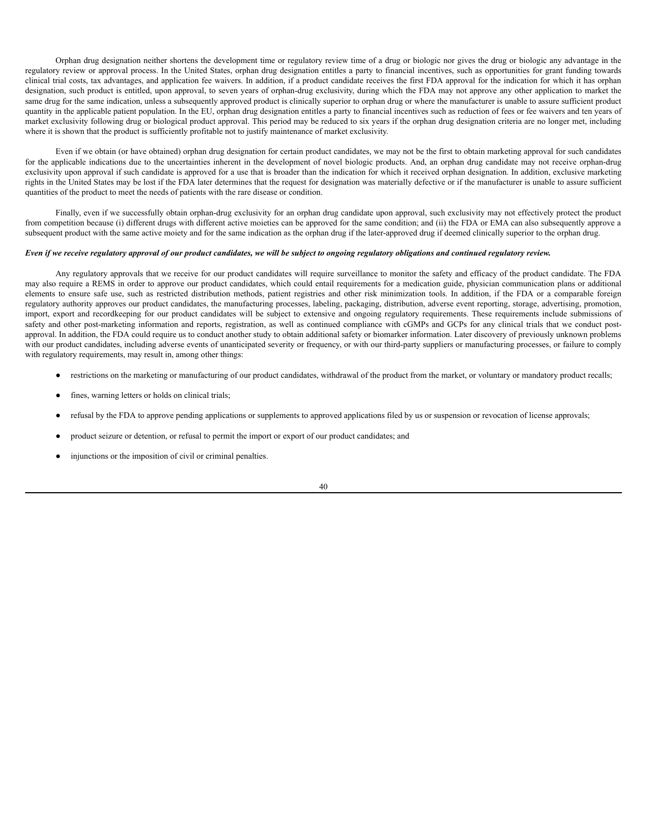Orphan drug designation neither shortens the development time or regulatory review time of a drug or biologic nor gives the drug or biologic any advantage in the regulatory review or approval process. In the United States, orphan drug designation entitles a party to financial incentives, such as opportunities for grant funding towards clinical trial costs, tax advantages, and application fee waivers. In addition, if a product candidate receives the first FDA approval for the indication for which it has orphan designation, such product is entitled, upon approval, to seven years of orphan-drug exclusivity, during which the FDA may not approve any other application to market the same drug for the same indication, unless a subsequently approved product is clinically superior to orphan drug or where the manufacturer is unable to assure sufficient product quantity in the applicable patient population. In the EU, orphan drug designation entitles a party to financial incentives such as reduction of fees or fee waivers and ten years of market exclusivity following drug or biological product approval. This period may be reduced to six years if the orphan drug designation criteria are no longer met, including where it is shown that the product is sufficiently profitable not to justify maintenance of market exclusivity.

Even if we obtain (or have obtained) orphan drug designation for certain product candidates, we may not be the first to obtain marketing approval for such candidates for the applicable indications due to the uncertainties inherent in the development of novel biologic products. And, an orphan drug candidate may not receive orphan-drug exclusivity upon approval if such candidate is approved for a use that is broader than the indication for which it received orphan designation. In addition, exclusive marketing rights in the United States may be lost if the FDA later determines that the request for designation was materially defective or if the manufacturer is unable to assure sufficient quantities of the product to meet the needs of patients with the rare disease or condition.

Finally, even if we successfully obtain orphan-drug exclusivity for an orphan drug candidate upon approval, such exclusivity may not effectively protect the product from competition because (i) different drugs with different active moieties can be approved for the same condition; and (ii) the FDA or EMA can also subsequently approve a subsequent product with the same active moiety and for the same indication as the orphan drug if the later-approved drug if deemed clinically superior to the orphan drug.

#### Even if we receive regulatory approval of our product candidates, we will be subject to ongoing regulatory obligations and continued regulatory review.

Any regulatory approvals that we receive for our product candidates will require surveillance to monitor the safety and efficacy of the product candidate. The FDA may also require a REMS in order to approve our product candidates, which could entail requirements for a medication guide, physician communication plans or additional elements to ensure safe use, such as restricted distribution methods, patient registries and other risk minimization tools. In addition, if the FDA or a comparable foreign regulatory authority approves our product candidates, the manufacturing processes, labeling, packaging, distribution, adverse event reporting, storage, advertising, promotion, import, export and recordkeeping for our product candidates will be subject to extensive and ongoing regulatory requirements. These requirements include submissions of safety and other post-marketing information and reports, registration, as well as continued compliance with cGMPs and GCPs for any clinical trials that we conduct postapproval. In addition, the FDA could require us to conduct another study to obtain additional safety or biomarker information. Later discovery of previously unknown problems with our product candidates, including adverse events of unanticipated severity or frequency, or with our third-party suppliers or manufacturing processes, or failure to comply with regulatory requirements, may result in, among other things:

- restrictions on the marketing or manufacturing of our product candidates, withdrawal of the product from the market, or voluntary or mandatory product recalls;
- fines, warning letters or holds on clinical trials;
- refusal by the FDA to approve pending applications or supplements to approved applications filed by us or suspension or revocation of license approvals;
- product seizure or detention, or refusal to permit the import or export of our product candidates; and
- injunctions or the imposition of civil or criminal penalties.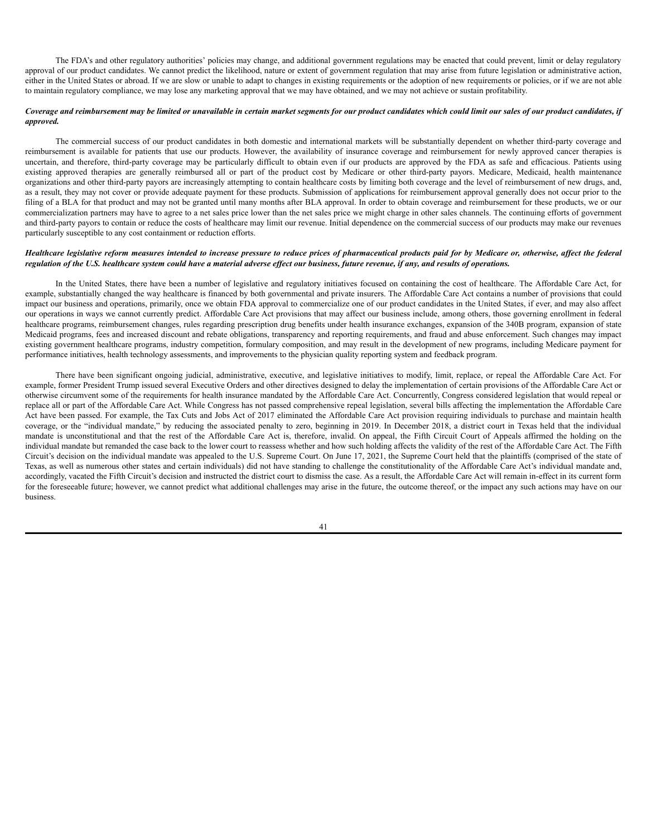The FDA's and other regulatory authorities' policies may change, and additional government regulations may be enacted that could prevent, limit or delay regulatory approval of our product candidates. We cannot predict the likelihood, nature or extent of government regulation that may arise from future legislation or administrative action, either in the United States or abroad. If we are slow or unable to adapt to changes in existing requirements or the adoption of new requirements or policies, or if we are not able to maintain regulatory compliance, we may lose any marketing approval that we may have obtained, and we may not achieve or sustain profitability.

## Coverage and reimbursement may be limited or unavailable in certain market segments for our product candidates which could limit our sales of our product candidates, if *approved.*

The commercial success of our product candidates in both domestic and international markets will be substantially dependent on whether third-party coverage and reimbursement is available for patients that use our products. However, the availability of insurance coverage and reimbursement for newly approved cancer therapies is uncertain, and therefore, third-party coverage may be particularly difficult to obtain even if our products are approved by the FDA as safe and efficacious. Patients using existing approved therapies are generally reimbursed all or part of the product cost by Medicare or other third-party payors. Medicare, Medicaid, health maintenance organizations and other third-party payors are increasingly attempting to contain healthcare costs by limiting both coverage and the level of reimbursement of new drugs, and, as a result, they may not cover or provide adequate payment for these products. Submission of applications for reimbursement approval generally does not occur prior to the filing of a BLA for that product and may not be granted until many months after BLA approval. In order to obtain coverage and reimbursement for these products, we or our commercialization partners may have to agree to a net sales price lower than the net sales price we might charge in other sales channels. The continuing efforts of government and third-party payors to contain or reduce the costs of healthcare may limit our revenue. Initial dependence on the commercial success of our products may make our revenues particularly susceptible to any cost containment or reduction efforts.

## Healthcare legislative reform measures intended to increase pressure to reduce prices of pharmaceutical products paid for by Medicare or, otherwise, affect the federal regulation of the U.S. healthcare system could have a material adverse effect our business, future revenue, if any, and results of operations.

In the United States, there have been a number of legislative and regulatory initiatives focused on containing the cost of healthcare. The Affordable Care Act, for example, substantially changed the way healthcare is financed by both governmental and private insurers. The Affordable Care Act contains a number of provisions that could impact our business and operations, primarily, once we obtain FDA approval to commercialize one of our product candidates in the United States, if ever, and may also affect our operations in ways we cannot currently predict. Affordable Care Act provisions that may affect our business include, among others, those governing enrollment in federal healthcare programs, reimbursement changes, rules regarding prescription drug benefits under health insurance exchanges, expansion of the 340B program, expansion of state Medicaid programs, fees and increased discount and rebate obligations, transparency and reporting requirements, and fraud and abuse enforcement. Such changes may impact existing government healthcare programs, industry competition, formulary composition, and may result in the development of new programs, including Medicare payment for performance initiatives, health technology assessments, and improvements to the physician quality reporting system and feedback program.

There have been significant ongoing judicial, administrative, executive, and legislative initiatives to modify, limit, replace, or repeal the Affordable Care Act. For example, former President Trump issued several Executive Orders and other directives designed to delay the implementation of certain provisions of the Affordable Care Act or otherwise circumvent some of the requirements for health insurance mandated by the Affordable Care Act. Concurrently, Congress considered legislation that would repeal or replace all or part of the Affordable Care Act. While Congress has not passed comprehensive repeal legislation, several bills affecting the implementation the Affordable Care Act have been passed. For example, the Tax Cuts and Jobs Act of 2017 eliminated the Affordable Care Act provision requiring individuals to purchase and maintain health coverage, or the "individual mandate," by reducing the associated penalty to zero, beginning in 2019. In December 2018, a district court in Texas held that the individual mandate is unconstitutional and that the rest of the Affordable Care Act is, therefore, invalid. On appeal, the Fifth Circuit Court of Appeals affirmed the holding on the individual mandate but remanded the case back to the lower court to reassess whether and how such holding affects the validity of the rest of the Affordable Care Act. The Fifth Circuit's decision on the individual mandate was appealed to the U.S. Supreme Court. On June 17, 2021, the Supreme Court held that the plaintiffs (comprised of the state of Texas, as well as numerous other states and certain individuals) did not have standing to challenge the constitutionality of the Affordable Care Act's individual mandate and, accordingly, vacated the Fifth Circuit's decision and instructed the district court to dismiss the case. As a result, the Affordable Care Act will remain in-effect in its current form for the foreseeable future; however, we cannot predict what additional challenges may arise in the future, the outcome thereof, or the impact any such actions may have on our business.

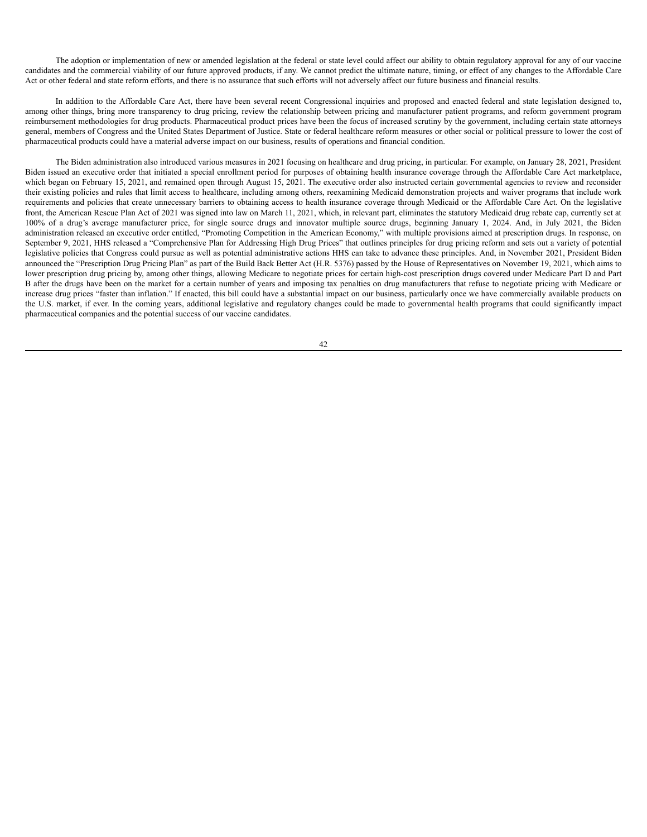The adoption or implementation of new or amended legislation at the federal or state level could affect our ability to obtain regulatory approval for any of our vaccine candidates and the commercial viability of our future approved products, if any. We cannot predict the ultimate nature, timing, or effect of any changes to the Affordable Care Act or other federal and state reform efforts, and there is no assurance that such efforts will not adversely affect our future business and financial results.

In addition to the Affordable Care Act, there have been several recent Congressional inquiries and proposed and enacted federal and state legislation designed to, among other things, bring more transparency to drug pricing, review the relationship between pricing and manufacturer patient programs, and reform government program reimbursement methodologies for drug products. Pharmaceutical product prices have been the focus of increased scrutiny by the government, including certain state attorneys general, members of Congress and the United States Department of Justice. State or federal healthcare reform measures or other social or political pressure to lower the cost of pharmaceutical products could have a material adverse impact on our business, results of operations and financial condition.

The Biden administration also introduced various measures in 2021 focusing on healthcare and drug pricing, in particular. For example, on January 28, 2021, President Biden issued an executive order that initiated a special enrollment period for purposes of obtaining health insurance coverage through the Affordable Care Act marketplace, which began on February 15, 2021, and remained open through August 15, 2021. The executive order also instructed certain governmental agencies to review and reconsider their existing policies and rules that limit access to healthcare, including among others, reexamining Medicaid demonstration projects and waiver programs that include work requirements and policies that create unnecessary barriers to obtaining access to health insurance coverage through Medicaid or the Affordable Care Act. On the legislative front, the American Rescue Plan Act of 2021 was signed into law on March 11, 2021, which, in relevant part, eliminates the statutory Medicaid drug rebate cap, currently set at 100% of a drug's average manufacturer price, for single source drugs and innovator multiple source drugs, beginning January 1, 2024. And, in July 2021, the Biden administration released an executive order entitled, "Promoting Competition in the American Economy," with multiple provisions aimed at prescription drugs. In response, on September 9, 2021, HHS released a "Comprehensive Plan for Addressing High Drug Prices" that outlines principles for drug pricing reform and sets out a variety of potential legislative policies that Congress could pursue as well as potential administrative actions HHS can take to advance these principles. And, in November 2021, President Biden announced the "Prescription Drug Pricing Plan" as part of the Build Back Better Act (H.R. 5376) passed by the House of Representatives on November 19, 2021, which aims to lower prescription drug pricing by, among other things, allowing Medicare to negotiate prices for certain high-cost prescription drugs covered under Medicare Part D and Part B after the drugs have been on the market for a certain number of years and imposing tax penalties on drug manufacturers that refuse to negotiate pricing with Medicare or increase drug prices "faster than inflation." If enacted, this bill could have a substantial impact on our business, particularly once we have commercially available products on the U.S. market, if ever. In the coming years, additional legislative and regulatory changes could be made to governmental health programs that could significantly impact pharmaceutical companies and the potential success of our vaccine candidates.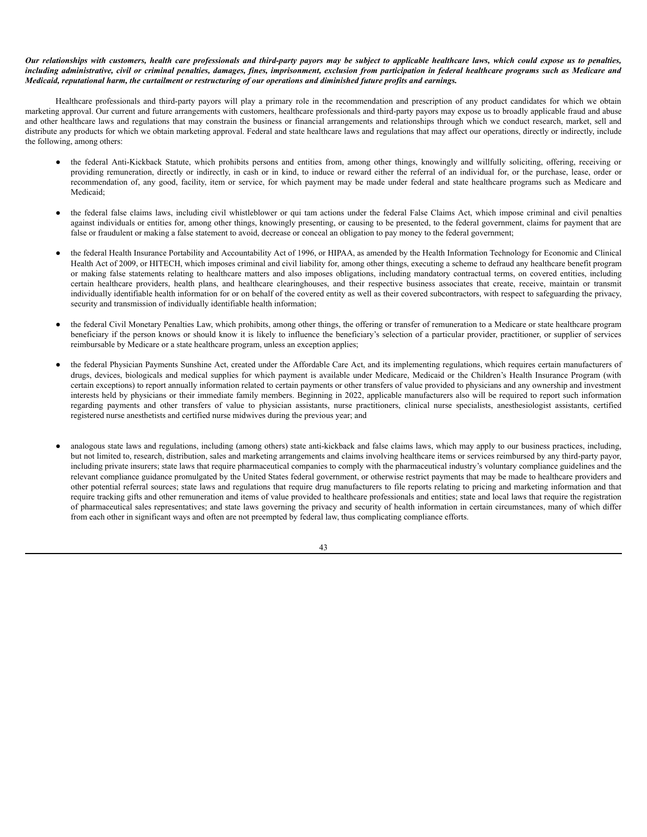## Our relationships with customers, health care professionals and third-party payors may be subject to applicable healthcare laws, which could expose us to penalties, including administrative, civil or criminal penalties, damages, fines, imprisonment, exclusion from participation in federal healthcare programs such as Medicare and Medicaid, reputational harm, the curtailment or restructuring of our operations and diminished future profits and earnings.

Healthcare professionals and third-party payors will play a primary role in the recommendation and prescription of any product candidates for which we obtain marketing approval. Our current and future arrangements with customers, healthcare professionals and third-party payors may expose us to broadly applicable fraud and abuse and other healthcare laws and regulations that may constrain the business or financial arrangements and relationships through which we conduct research, market, sell and distribute any products for which we obtain marketing approval. Federal and state healthcare laws and regulations that may affect our operations, directly or indirectly, include the following, among others:

- the federal Anti-Kickback Statute, which prohibits persons and entities from, among other things, knowingly and willfully soliciting, offering, receiving or providing remuneration, directly or indirectly, in cash or in kind, to induce or reward either the referral of an individual for, or the purchase, lease, order or recommendation of, any good, facility, item or service, for which payment may be made under federal and state healthcare programs such as Medicare and Medicaid;
- the federal false claims laws, including civil whistleblower or qui tam actions under the federal False Claims Act, which impose criminal and civil penalties against individuals or entities for, among other things, knowingly presenting, or causing to be presented, to the federal government, claims for payment that are false or fraudulent or making a false statement to avoid, decrease or conceal an obligation to pay money to the federal government;
- the federal Health Insurance Portability and Accountability Act of 1996, or HIPAA, as amended by the Health Information Technology for Economic and Clinical Health Act of 2009, or HITECH, which imposes criminal and civil liability for, among other things, executing a scheme to defraud any healthcare benefit program or making false statements relating to healthcare matters and also imposes obligations, including mandatory contractual terms, on covered entities, including certain healthcare providers, health plans, and healthcare clearinghouses, and their respective business associates that create, receive, maintain or transmit individually identifiable health information for or on behalf of the covered entity as well as their covered subcontractors, with respect to safeguarding the privacy, security and transmission of individually identifiable health information;
- the federal Civil Monetary Penalties Law, which prohibits, among other things, the offering or transfer of remuneration to a Medicare or state healthcare program beneficiary if the person knows or should know it is likely to influence the beneficiary's selection of a particular provider, practitioner, or supplier of services reimbursable by Medicare or a state healthcare program, unless an exception applies;
- the federal Physician Payments Sunshine Act, created under the Affordable Care Act, and its implementing regulations, which requires certain manufacturers of drugs, devices, biologicals and medical supplies for which payment is available under Medicare, Medicaid or the Children's Health Insurance Program (with certain exceptions) to report annually information related to certain payments or other transfers of value provided to physicians and any ownership and investment interests held by physicians or their immediate family members. Beginning in 2022, applicable manufacturers also will be required to report such information regarding payments and other transfers of value to physician assistants, nurse practitioners, clinical nurse specialists, anesthesiologist assistants, certified registered nurse anesthetists and certified nurse midwives during the previous year; and
- analogous state laws and regulations, including (among others) state anti-kickback and false claims laws, which may apply to our business practices, including, but not limited to, research, distribution, sales and marketing arrangements and claims involving healthcare items or services reimbursed by any third-party payor, including private insurers; state laws that require pharmaceutical companies to comply with the pharmaceutical industry's voluntary compliance guidelines and the relevant compliance guidance promulgated by the United States federal government, or otherwise restrict payments that may be made to healthcare providers and other potential referral sources; state laws and regulations that require drug manufacturers to file reports relating to pricing and marketing information and that require tracking gifts and other remuneration and items of value provided to healthcare professionals and entities; state and local laws that require the registration of pharmaceutical sales representatives; and state laws governing the privacy and security of health information in certain circumstances, many of which differ from each other in significant ways and often are not preempted by federal law, thus complicating compliance efforts.

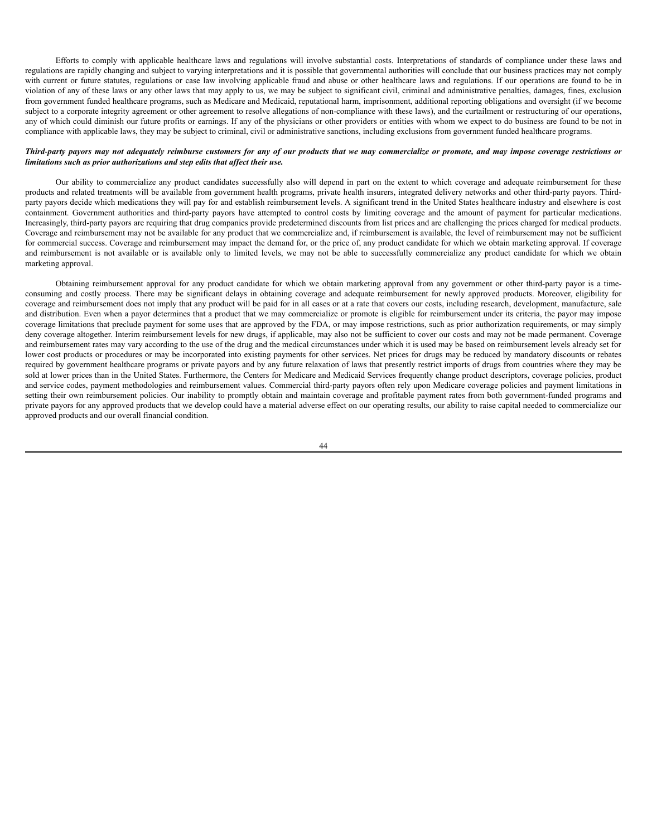Efforts to comply with applicable healthcare laws and regulations will involve substantial costs. Interpretations of standards of compliance under these laws and regulations are rapidly changing and subject to varying interpretations and it is possible that governmental authorities will conclude that our business practices may not comply with current or future statutes, regulations or case law involving applicable fraud and abuse or other healthcare laws and regulations. If our operations are found to be in violation of any of these laws or any other laws that may apply to us, we may be subject to significant civil, criminal and administrative penalties, damages, fines, exclusion from government funded healthcare programs, such as Medicare and Medicaid, reputational harm, imprisonment, additional reporting obligations and oversight (if we become subject to a corporate integrity agreement or other agreement to resolve allegations of non-compliance with these laws), and the curtailment or restructuring of our operations, any of which could diminish our future profits or earnings. If any of the physicians or other providers or entities with whom we expect to do business are found to be not in compliance with applicable laws, they may be subject to criminal, civil or administrative sanctions, including exclusions from government funded healthcare programs.

#### Third-party payors may not adequately reimburse customers for any of our products that we may commercialize or promote, and may impose coverage restrictions or *limitations such as prior authorizations and step edits that af ect their use.*

Our ability to commercialize any product candidates successfully also will depend in part on the extent to which coverage and adequate reimbursement for these products and related treatments will be available from government health programs, private health insurers, integrated delivery networks and other third-party payors. Thirdparty payors decide which medications they will pay for and establish reimbursement levels. A significant trend in the United States healthcare industry and elsewhere is cost containment. Government authorities and third-party payors have attempted to control costs by limiting coverage and the amount of payment for particular medications. Increasingly, third-party payors are requiring that drug companies provide predetermined discounts from list prices and are challenging the prices charged for medical products. Coverage and reimbursement may not be available for any product that we commercialize and, if reimbursement is available, the level of reimbursement may not be sufficient for commercial success. Coverage and reimbursement may impact the demand for, or the price of, any product candidate for which we obtain marketing approval. If coverage and reimbursement is not available or is available only to limited levels, we may not be able to successfully commercialize any product candidate for which we obtain marketing approval.

Obtaining reimbursement approval for any product candidate for which we obtain marketing approval from any government or other third-party payor is a timeconsuming and costly process. There may be significant delays in obtaining coverage and adequate reimbursement for newly approved products. Moreover, eligibility for coverage and reimbursement does not imply that any product will be paid for in all cases or at a rate that covers our costs, including research, development, manufacture, sale and distribution. Even when a payor determines that a product that we may commercialize or promote is eligible for reimbursement under its criteria, the payor may impose coverage limitations that preclude payment for some uses that are approved by the FDA, or may impose restrictions, such as prior authorization requirements, or may simply deny coverage altogether. Interim reimbursement levels for new drugs, if applicable, may also not be sufficient to cover our costs and may not be made permanent. Coverage and reimbursement rates may vary according to the use of the drug and the medical circumstances under which it is used may be based on reimbursement levels already set for lower cost products or procedures or may be incorporated into existing payments for other services. Net prices for drugs may be reduced by mandatory discounts or rebates required by government healthcare programs or private payors and by any future relaxation of laws that presently restrict imports of drugs from countries where they may be sold at lower prices than in the United States. Furthermore, the Centers for Medicare and Medicaid Services frequently change product descriptors, coverage policies, product and service codes, payment methodologies and reimbursement values. Commercial third-party payors often rely upon Medicare coverage policies and payment limitations in setting their own reimbursement policies. Our inability to promptly obtain and maintain coverage and profitable payment rates from both government-funded programs and private payors for any approved products that we develop could have a material adverse effect on our operating results, our ability to raise capital needed to commercialize our approved products and our overall financial condition.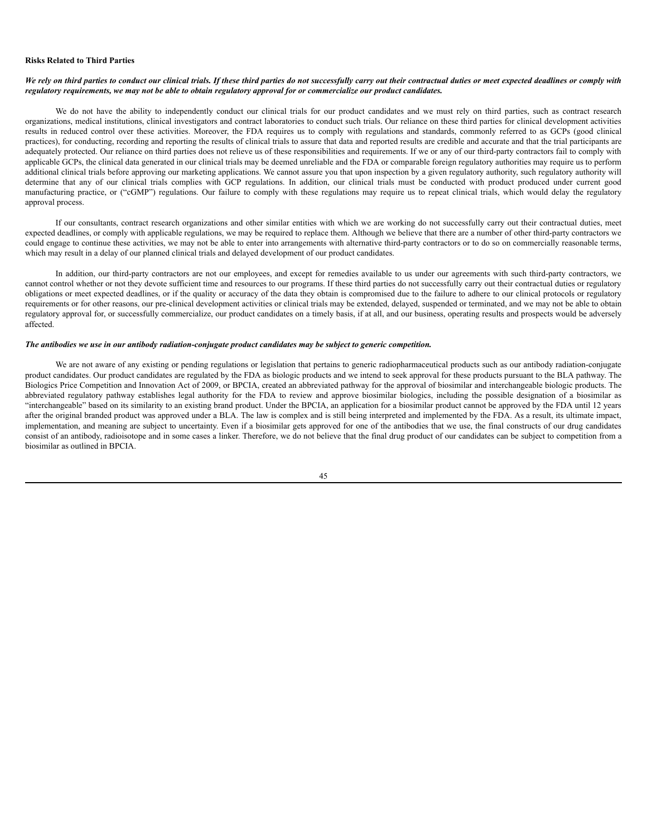#### **Risks Related to Third Parties**

#### We rely on third parties to conduct our clinical trials. If these third parties do not successfully carry out their contractual duties or meet expected deadlines or comply with regulatory requirements, we may not be able to obtain regulatory approval for or commercialize our product candidates.

We do not have the ability to independently conduct our clinical trials for our product candidates and we must rely on third parties, such as contract research organizations, medical institutions, clinical investigators and contract laboratories to conduct such trials. Our reliance on these third parties for clinical development activities results in reduced control over these activities. Moreover, the FDA requires us to comply with regulations and standards, commonly referred to as GCPs (good clinical practices), for conducting, recording and reporting the results of clinical trials to assure that data and reported results are credible and accurate and that the trial participants are adequately protected. Our reliance on third parties does not relieve us of these responsibilities and requirements. If we or any of our third-party contractors fail to comply with applicable GCPs, the clinical data generated in our clinical trials may be deemed unreliable and the FDA or comparable foreign regulatory authorities may require us to perform additional clinical trials before approving our marketing applications. We cannot assure you that upon inspection by a given regulatory authority, such regulatory authority will determine that any of our clinical trials complies with GCP regulations. In addition, our clinical trials must be conducted with product produced under current good manufacturing practice, or ("cGMP") regulations. Our failure to comply with these regulations may require us to repeat clinical trials, which would delay the regulatory approval process.

If our consultants, contract research organizations and other similar entities with which we are working do not successfully carry out their contractual duties, meet expected deadlines, or comply with applicable regulations, we may be required to replace them. Although we believe that there are a number of other third-party contractors we could engage to continue these activities, we may not be able to enter into arrangements with alternative third-party contractors or to do so on commercially reasonable terms, which may result in a delay of our planned clinical trials and delayed development of our product candidates.

In addition, our third-party contractors are not our employees, and except for remedies available to us under our agreements with such third-party contractors, we cannot control whether or not they devote sufficient time and resources to our programs. If these third parties do not successfully carry out their contractual duties or regulatory obligations or meet expected deadlines, or if the quality or accuracy of the data they obtain is compromised due to the failure to adhere to our clinical protocols or regulatory requirements or for other reasons, our pre-clinical development activities or clinical trials may be extended, delayed, suspended or terminated, and we may not be able to obtain regulatory approval for, or successfully commercialize, our product candidates on a timely basis, if at all, and our business, operating results and prospects would be adversely affected.

#### The antibodies we use in our antibody radiation-conjugate product candidates may be subject to generic competition.

We are not aware of any existing or pending regulations or legislation that pertains to generic radiopharmaceutical products such as our antibody radiation-conjugate product candidates. Our product candidates are regulated by the FDA as biologic products and we intend to seek approval for these products pursuant to the BLA pathway. The Biologics Price Competition and Innovation Act of 2009, or BPCIA, created an abbreviated pathway for the approval of biosimilar and interchangeable biologic products. The abbreviated regulatory pathway establishes legal authority for the FDA to review and approve biosimilar biologics, including the possible designation of a biosimilar as "interchangeable" based on its similarity to an existing brand product. Under the BPCIA, an application for a biosimilar product cannot be approved by the FDA until 12 years after the original branded product was approved under a BLA. The law is complex and is still being interpreted and implemented by the FDA. As a result, its ultimate impact, implementation, and meaning are subject to uncertainty. Even if a biosimilar gets approved for one of the antibodies that we use, the final constructs of our drug candidates consist of an antibody, radioisotope and in some cases a linker. Therefore, we do not believe that the final drug product of our candidates can be subject to competition from a biosimilar as outlined in BPCIA.

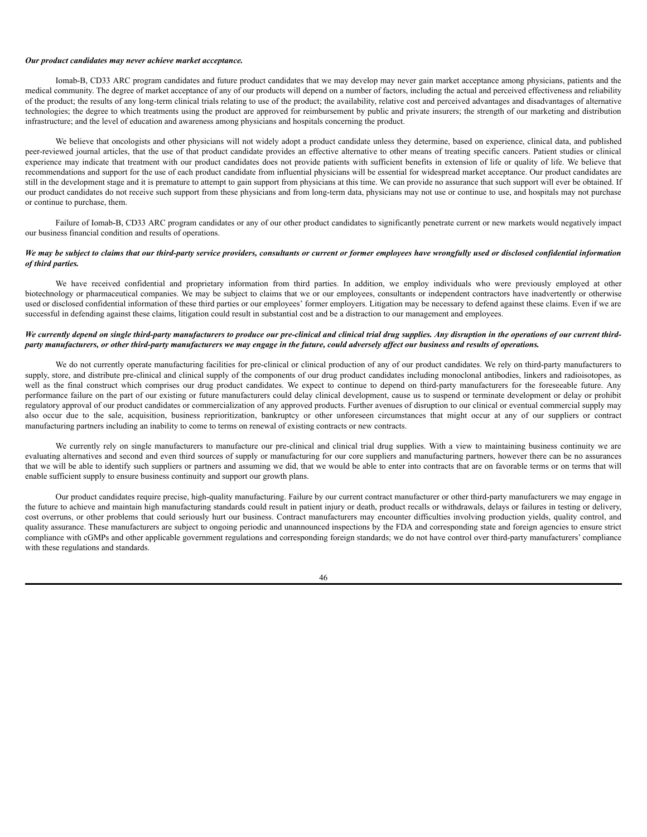#### *Our product candidates may never achieve market acceptance.*

Iomab-B, CD33 ARC program candidates and future product candidates that we may develop may never gain market acceptance among physicians, patients and the medical community. The degree of market acceptance of any of our products will depend on a number of factors, including the actual and perceived effectiveness and reliability of the product; the results of any long-term clinical trials relating to use of the product; the availability, relative cost and perceived advantages and disadvantages of alternative technologies; the degree to which treatments using the product are approved for reimbursement by public and private insurers; the strength of our marketing and distribution infrastructure; and the level of education and awareness among physicians and hospitals concerning the product.

We believe that oncologists and other physicians will not widely adopt a product candidate unless they determine, based on experience, clinical data, and published peer-reviewed journal articles, that the use of that product candidate provides an effective alternative to other means of treating specific cancers. Patient studies or clinical experience may indicate that treatment with our product candidates does not provide patients with sufficient benefits in extension of life or quality of life. We believe that recommendations and support for the use of each product candidate from influential physicians will be essential for widespread market acceptance. Our product candidates are still in the development stage and it is premature to attempt to gain support from physicians at this time. We can provide no assurance that such support will ever be obtained. If our product candidates do not receive such support from these physicians and from long-term data, physicians may not use or continue to use, and hospitals may not purchase or continue to purchase, them.

Failure of Iomab-B, CD33 ARC program candidates or any of our other product candidates to significantly penetrate current or new markets would negatively impact our business financial condition and results of operations.

## We may be subject to claims that our third-party service providers, consultants or current or former employees have wrongfully used or disclosed confidential information *of third parties.*

We have received confidential and proprietary information from third parties. In addition, we employ individuals who were previously employed at other biotechnology or pharmaceutical companies. We may be subject to claims that we or our employees, consultants or independent contractors have inadvertently or otherwise used or disclosed confidential information of these third parties or our employees' former employers. Litigation may be necessary to defend against these claims. Even if we are successful in defending against these claims, litigation could result in substantial cost and be a distraction to our management and employees.

## We currently depend on single third-party manufacturers to produce our pre-clinical and clinical trial drug supplies. Any disruption in the operations of our current thirdparty manufacturers, or other third-party manufacturers we may engage in the future, could adversely affect our business and results of operations.

We do not currently operate manufacturing facilities for pre-clinical or clinical production of any of our product candidates. We rely on third-party manufacturers to supply, store, and distribute pre-clinical and clinical supply of the components of our drug product candidates including monoclonal antibodies, linkers and radioisotopes, as well as the final construct which comprises our drug product candidates. We expect to continue to depend on third-party manufacturers for the foreseeable future. Any performance failure on the part of our existing or future manufacturers could delay clinical development, cause us to suspend or terminate development or delay or prohibit regulatory approval of our product candidates or commercialization of any approved products. Further avenues of disruption to our clinical or eventual commercial supply may also occur due to the sale, acquisition, business reprioritization, bankruptcy or other unforeseen circumstances that might occur at any of our suppliers or contract manufacturing partners including an inability to come to terms on renewal of existing contracts or new contracts.

We currently rely on single manufacturers to manufacture our pre-clinical and clinical trial drug supplies. With a view to maintaining business continuity we are evaluating alternatives and second and even third sources of supply or manufacturing for our core suppliers and manufacturing partners, however there can be no assurances that we will be able to identify such suppliers or partners and assuming we did, that we would be able to enter into contracts that are on favorable terms or on terms that will enable sufficient supply to ensure business continuity and support our growth plans.

Our product candidates require precise, high-quality manufacturing. Failure by our current contract manufacturer or other third-party manufacturers we may engage in the future to achieve and maintain high manufacturing standards could result in patient injury or death, product recalls or withdrawals, delays or failures in testing or delivery, cost overruns, or other problems that could seriously hurt our business. Contract manufacturers may encounter difficulties involving production yields, quality control, and quality assurance. These manufacturers are subject to ongoing periodic and unannounced inspections by the FDA and corresponding state and foreign agencies to ensure strict compliance with cGMPs and other applicable government regulations and corresponding foreign standards; we do not have control over third-party manufacturers' compliance with these regulations and standards.

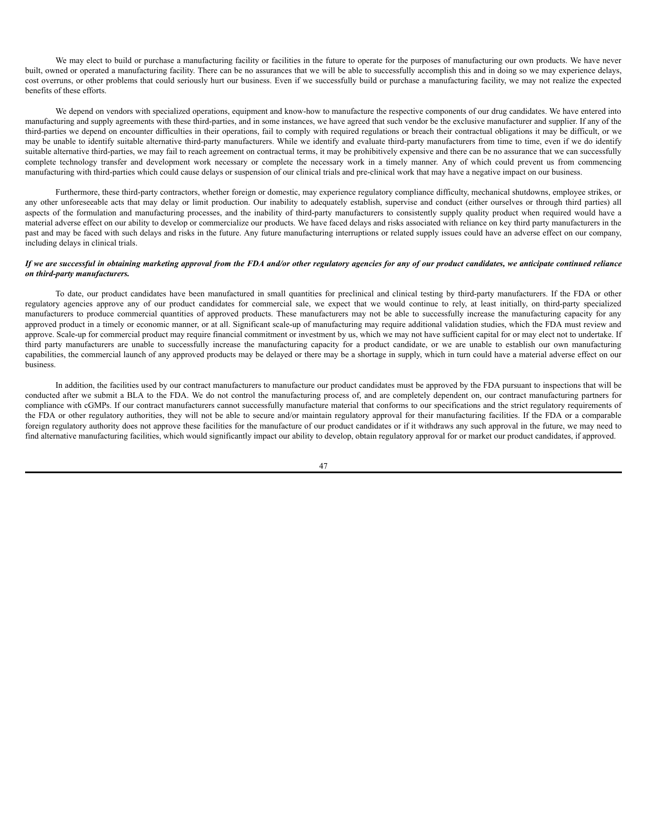We may elect to build or purchase a manufacturing facility or facilities in the future to operate for the purposes of manufacturing our own products. We have never built, owned or operated a manufacturing facility. There can be no assurances that we will be able to successfully accomplish this and in doing so we may experience delays, cost overruns, or other problems that could seriously hurt our business. Even if we successfully build or purchase a manufacturing facility, we may not realize the expected benefits of these efforts.

We depend on vendors with specialized operations, equipment and know-how to manufacture the respective components of our drug candidates. We have entered into manufacturing and supply agreements with these third-parties, and in some instances, we have agreed that such vendor be the exclusive manufacturer and supplier. If any of the third-parties we depend on encounter difficulties in their operations, fail to comply with required regulations or breach their contractual obligations it may be difficult, or we may be unable to identify suitable alternative third-party manufacturers. While we identify and evaluate third-party manufacturers from time to time, even if we do identify suitable alternative third-parties, we may fail to reach agreement on contractual terms, it may be prohibitively expensive and there can be no assurance that we can successfully complete technology transfer and development work necessary or complete the necessary work in a timely manner. Any of which could prevent us from commencing manufacturing with third-parties which could cause delays or suspension of our clinical trials and pre-clinical work that may have a negative impact on our business.

Furthermore, these third-party contractors, whether foreign or domestic, may experience regulatory compliance difficulty, mechanical shutdowns, employee strikes, or any other unforeseeable acts that may delay or limit production. Our inability to adequately establish, supervise and conduct (either ourselves or through third parties) all aspects of the formulation and manufacturing processes, and the inability of third-party manufacturers to consistently supply quality product when required would have a material adverse effect on our ability to develop or commercialize our products. We have faced delays and risks associated with reliance on key third party manufacturers in the past and may be faced with such delays and risks in the future. Any future manufacturing interruptions or related supply issues could have an adverse effect on our company, including delays in clinical trials.

## If we are successful in obtaining marketing approval from the FDA and/or other regulatory agencies for any of our product candidates, we anticipate continued reliance *on third-party manufacturers.*

To date, our product candidates have been manufactured in small quantities for preclinical and clinical testing by third-party manufacturers. If the FDA or other regulatory agencies approve any of our product candidates for commercial sale, we expect that we would continue to rely, at least initially, on third-party specialized manufacturers to produce commercial quantities of approved products. These manufacturers may not be able to successfully increase the manufacturing capacity for any approved product in a timely or economic manner, or at all. Significant scale-up of manufacturing may require additional validation studies, which the FDA must review and approve. Scale-up for commercial product may require financial commitment or investment by us, which we may not have sufficient capital for or may elect not to undertake. If third party manufacturers are unable to successfully increase the manufacturing capacity for a product candidate, or we are unable to establish our own manufacturing capabilities, the commercial launch of any approved products may be delayed or there may be a shortage in supply, which in turn could have a material adverse effect on our business.

In addition, the facilities used by our contract manufacturers to manufacture our product candidates must be approved by the FDA pursuant to inspections that will be conducted after we submit a BLA to the FDA. We do not control the manufacturing process of, and are completely dependent on, our contract manufacturing partners for compliance with cGMPs. If our contract manufacturers cannot successfully manufacture material that conforms to our specifications and the strict regulatory requirements of the FDA or other regulatory authorities, they will not be able to secure and/or maintain regulatory approval for their manufacturing facilities. If the FDA or a comparable foreign regulatory authority does not approve these facilities for the manufacture of our product candidates or if it withdraws any such approval in the future, we may need to find alternative manufacturing facilities, which would significantly impact our ability to develop, obtain regulatory approval for or market our product candidates, if approved.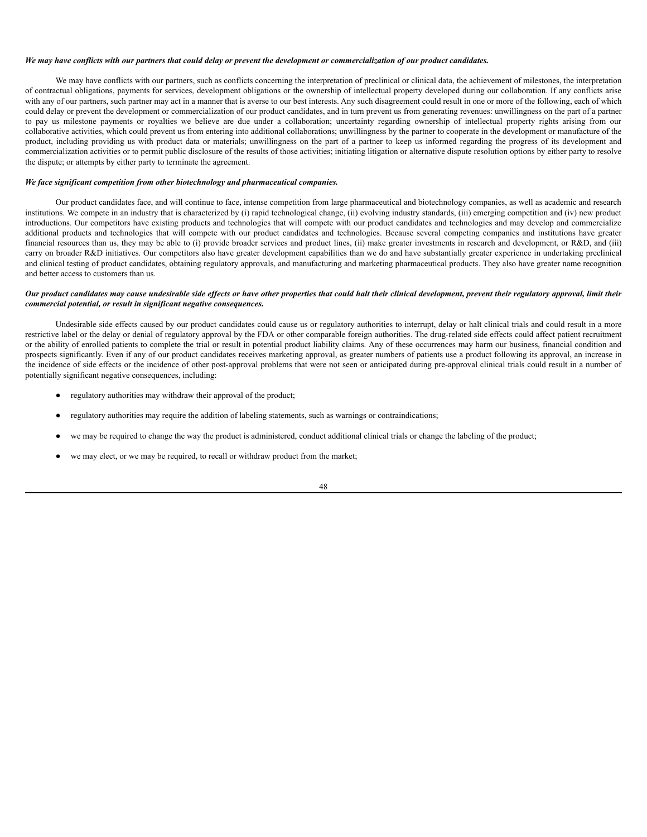#### We may have conflicts with our partners that could delay or prevent the development or commercialization of our product candidates.

We may have conflicts with our partners, such as conflicts concerning the interpretation of preclinical or clinical data, the achievement of milestones, the interpretation of contractual obligations, payments for services, development obligations or the ownership of intellectual property developed during our collaboration. If any conflicts arise with any of our partners, such partner may act in a manner that is averse to our best interests. Any such disagreement could result in one or more of the following, each of which could delay or prevent the development or commercialization of our product candidates, and in turn prevent us from generating revenues: unwillingness on the part of a partner to pay us milestone payments or royalties we believe are due under a collaboration; uncertainty regarding ownership of intellectual property rights arising from our collaborative activities, which could prevent us from entering into additional collaborations; unwillingness by the partner to cooperate in the development or manufacture of the product, including providing us with product data or materials; unwillingness on the part of a partner to keep us informed regarding the progress of its development and commercialization activities or to permit public disclosure of the results of those activities; initiating litigation or alternative dispute resolution options by either party to resolve the dispute; or attempts by either party to terminate the agreement.

## *We face significant competition from other biotechnology and pharmaceutical companies.*

Our product candidates face, and will continue to face, intense competition from large pharmaceutical and biotechnology companies, as well as academic and research institutions. We compete in an industry that is characterized by (i) rapid technological change, (ii) evolving industry standards, (iii) emerging competition and (iv) new product introductions. Our competitors have existing products and technologies that will compete with our product candidates and technologies and may develop and commercialize additional products and technologies that will compete with our product candidates and technologies. Because several competing companies and institutions have greater financial resources than us, they may be able to (i) provide broader services and product lines, (ii) make greater investments in research and development, or R&D, and (iii) carry on broader R&D initiatives. Our competitors also have greater development capabilities than we do and have substantially greater experience in undertaking preclinical and clinical testing of product candidates, obtaining regulatory approvals, and manufacturing and marketing pharmaceutical products. They also have greater name recognition and better access to customers than us.

## Our product candidates may cause undesirable side effects or have other properties that could halt their clinical development, prevent their regulatory approval, limit their *commercial potential, or result in significant negative consequences.*

Undesirable side effects caused by our product candidates could cause us or regulatory authorities to interrupt, delay or halt clinical trials and could result in a more restrictive label or the delay or denial of regulatory approval by the FDA or other comparable foreign authorities. The drug-related side effects could affect patient recruitment or the ability of enrolled patients to complete the trial or result in potential product liability claims. Any of these occurrences may harm our business, financial condition and prospects significantly. Even if any of our product candidates receives marketing approval, as greater numbers of patients use a product following its approval, an increase in the incidence of side effects or the incidence of other post-approval problems that were not seen or anticipated during pre-approval clinical trials could result in a number of potentially significant negative consequences, including:

- regulatory authorities may withdraw their approval of the product;
- regulatory authorities may require the addition of labeling statements, such as warnings or contraindications;
- we may be required to change the way the product is administered, conduct additional clinical trials or change the labeling of the product;
- we may elect, or we may be required, to recall or withdraw product from the market;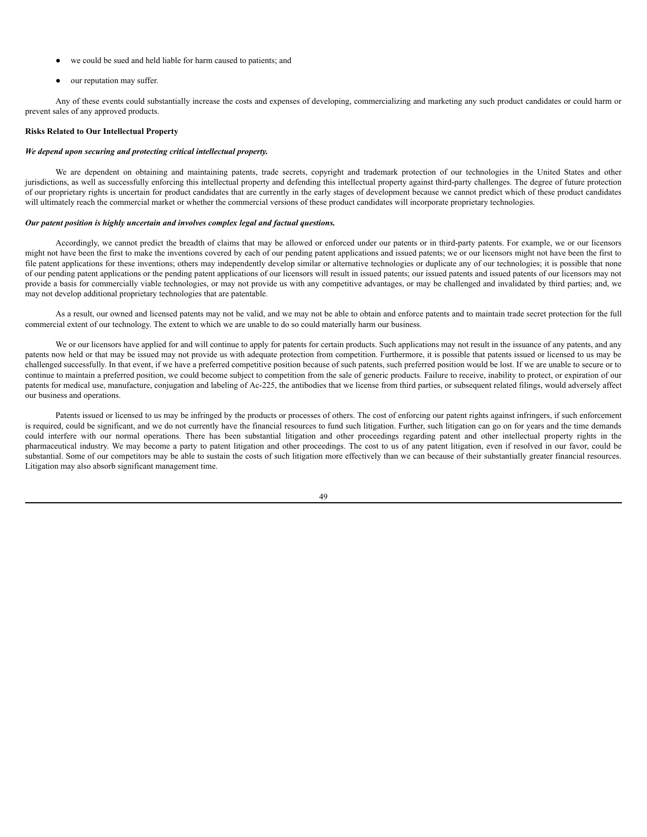- we could be sued and held liable for harm caused to patients; and
- our reputation may suffer.

Any of these events could substantially increase the costs and expenses of developing, commercializing and marketing any such product candidates or could harm or prevent sales of any approved products.

#### **Risks Related to Our Intellectual Property**

## *We depend upon securing and protecting critical intellectual property.*

We are dependent on obtaining and maintaining patents, trade secrets, copyright and trademark protection of our technologies in the United States and other jurisdictions, as well as successfully enforcing this intellectual property and defending this intellectual property against third-party challenges. The degree of future protection of our proprietary rights is uncertain for product candidates that are currently in the early stages of development because we cannot predict which of these product candidates will ultimately reach the commercial market or whether the commercial versions of these product candidates will incorporate proprietary technologies.

#### *Our patent position is highly uncertain and involves complex legal and factual questions.*

Accordingly, we cannot predict the breadth of claims that may be allowed or enforced under our patents or in third-party patents. For example, we or our licensors might not have been the first to make the inventions covered by each of our pending patent applications and issued patents; we or our licensors might not have been the first to file patent applications for these inventions; others may independently develop similar or alternative technologies or duplicate any of our technologies; it is possible that none of our pending patent applications or the pending patent applications of our licensors will result in issued patents; our issued patents and issued patents of our licensors may not provide a basis for commercially viable technologies, or may not provide us with any competitive advantages, or may be challenged and invalidated by third parties; and, we may not develop additional proprietary technologies that are patentable.

As a result, our owned and licensed patents may not be valid, and we may not be able to obtain and enforce patents and to maintain trade secret protection for the full commercial extent of our technology. The extent to which we are unable to do so could materially harm our business.

We or our licensors have applied for and will continue to apply for patents for certain products. Such applications may not result in the issuance of any patents, and any patents now held or that may be issued may not provide us with adequate protection from competition. Furthermore, it is possible that patents issued or licensed to us may be challenged successfully. In that event, if we have a preferred competitive position because of such patents, such preferred position would be lost. If we are unable to secure or to continue to maintain a preferred position, we could become subject to competition from the sale of generic products. Failure to receive, inability to protect, or expiration of our patents for medical use, manufacture, conjugation and labeling of Ac-225, the antibodies that we license from third parties, or subsequent related filings, would adversely affect our business and operations.

Patents issued or licensed to us may be infringed by the products or processes of others. The cost of enforcing our patent rights against infringers, if such enforcement is required, could be significant, and we do not currently have the financial resources to fund such litigation. Further, such litigation can go on for years and the time demands could interfere with our normal operations. There has been substantial litigation and other proceedings regarding patent and other intellectual property rights in the pharmaceutical industry. We may become a party to patent litigation and other proceedings. The cost to us of any patent litigation, even if resolved in our favor, could be substantial. Some of our competitors may be able to sustain the costs of such litigation more effectively than we can because of their substantially greater financial resources. Litigation may also absorb significant management time.

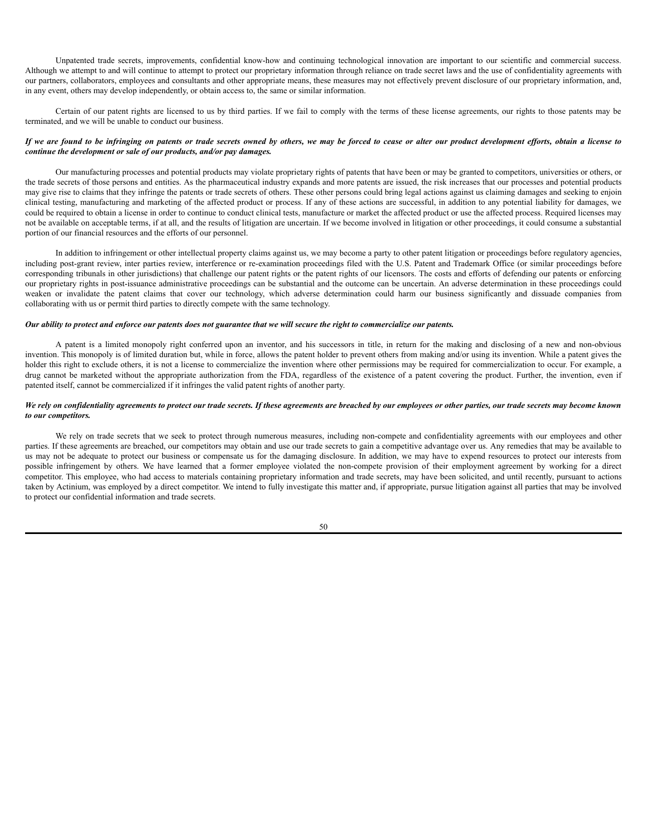Unpatented trade secrets, improvements, confidential know-how and continuing technological innovation are important to our scientific and commercial success. Although we attempt to and will continue to attempt to protect our proprietary information through reliance on trade secret laws and the use of confidentiality agreements with our partners, collaborators, employees and consultants and other appropriate means, these measures may not effectively prevent disclosure of our proprietary information, and, in any event, others may develop independently, or obtain access to, the same or similar information.

Certain of our patent rights are licensed to us by third parties. If we fail to comply with the terms of these license agreements, our rights to those patents may be terminated, and we will be unable to conduct our business.

## If we are found to be infringing on patents or trade secrets owned by others, we may be forced to cease or alter our product development efforts, obtain a license to *continue the development or sale of our products, and/or pay damages.*

Our manufacturing processes and potential products may violate proprietary rights of patents that have been or may be granted to competitors, universities or others, or the trade secrets of those persons and entities. As the pharmaceutical industry expands and more patents are issued, the risk increases that our processes and potential products may give rise to claims that they infringe the patents or trade secrets of others. These other persons could bring legal actions against us claiming damages and seeking to enjoin clinical testing, manufacturing and marketing of the affected product or process. If any of these actions are successful, in addition to any potential liability for damages, we could be required to obtain a license in order to continue to conduct clinical tests, manufacture or market the affected product or use the affected process. Required licenses may not be available on acceptable terms, if at all, and the results of litigation are uncertain. If we become involved in litigation or other proceedings, it could consume a substantial portion of our financial resources and the efforts of our personnel.

In addition to infringement or other intellectual property claims against us, we may become a party to other patent litigation or proceedings before regulatory agencies, including post-grant review, inter parties review, interference or re-examination proceedings filed with the U.S. Patent and Trademark Office (or similar proceedings before corresponding tribunals in other jurisdictions) that challenge our patent rights or the patent rights of our licensors. The costs and efforts of defending our patents or enforcing our proprietary rights in post-issuance administrative proceedings can be substantial and the outcome can be uncertain. An adverse determination in these proceedings could weaken or invalidate the patent claims that cover our technology, which adverse determination could harm our business significantly and dissuade companies from collaborating with us or permit third parties to directly compete with the same technology.

## Our ability to protect and enforce our patents does not guarantee that we will secure the right to commercialize our patents.

A patent is a limited monopoly right conferred upon an inventor, and his successors in title, in return for the making and disclosing of a new and non-obvious invention. This monopoly is of limited duration but, while in force, allows the patent holder to prevent others from making and/or using its invention. While a patent gives the holder this right to exclude others, it is not a license to commercialize the invention where other permissions may be required for commercialization to occur. For example, a drug cannot be marketed without the appropriate authorization from the FDA, regardless of the existence of a patent covering the product. Further, the invention, even if patented itself, cannot be commercialized if it infringes the valid patent rights of another party.

## We rely on confidentiality agreements to protect our trade secrets. If these agreements are breached by our employees or other parties, our trade secrets may become known *to our competitors.*

We rely on trade secrets that we seek to protect through numerous measures, including non-compete and confidentiality agreements with our employees and other parties. If these agreements are breached, our competitors may obtain and use our trade secrets to gain a competitive advantage over us. Any remedies that may be available to us may not be adequate to protect our business or compensate us for the damaging disclosure. In addition, we may have to expend resources to protect our interests from possible infringement by others. We have learned that a former employee violated the non-compete provision of their employment agreement by working for a direct competitor. This employee, who had access to materials containing proprietary information and trade secrets, may have been solicited, and until recently, pursuant to actions taken by Actinium, was employed by a direct competitor. We intend to fully investigate this matter and, if appropriate, pursue litigation against all parties that may be involved to protect our confidential information and trade secrets.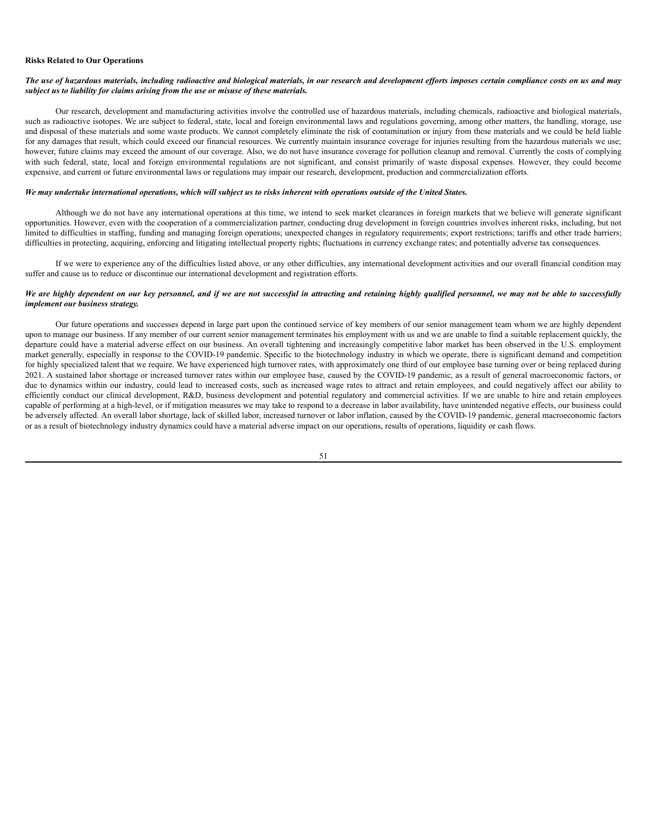#### **Risks Related to Our Operations**

#### The use of hazardous materials, including radioactive and biological materials, in our research and development efforts imposes certain compliance costs on us and may *subject us to liability for claims arising from the use or misuse of these materials.*

Our research, development and manufacturing activities involve the controlled use of hazardous materials, including chemicals, radioactive and biological materials, such as radioactive isotopes. We are subject to federal, state, local and foreign environmental laws and regulations governing, among other matters, the handling, storage, use and disposal of these materials and some waste products. We cannot completely eliminate the risk of contamination or injury from these materials and we could be held liable for any damages that result, which could exceed our financial resources. We currently maintain insurance coverage for injuries resulting from the hazardous materials we use; however, future claims may exceed the amount of our coverage. Also, we do not have insurance coverage for pollution cleanup and removal. Currently the costs of complying with such federal, state, local and foreign environmental regulations are not significant, and consist primarily of waste disposal expenses. However, they could become expensive, and current or future environmental laws or regulations may impair our research, development, production and commercialization efforts.

#### We may undertake international operations, which will subject us to risks inherent with operations outside of the United States.

Although we do not have any international operations at this time, we intend to seek market clearances in foreign markets that we believe will generate significant opportunities. However, even with the cooperation of a commercialization partner, conducting drug development in foreign countries involves inherent risks, including, but not limited to difficulties in staffing, funding and managing foreign operations; unexpected changes in regulatory requirements; export restrictions; tariffs and other trade barriers; difficulties in protecting, acquiring, enforcing and litigating intellectual property rights; fluctuations in currency exchange rates; and potentially adverse tax consequences.

If we were to experience any of the difficulties listed above, or any other difficulties, any international development activities and our overall financial condition may suffer and cause us to reduce or discontinue our international development and registration efforts.

## We are highly dependent on our key personnel, and if we are not successful in attracting and retaining highly qualified personnel, we may not be able to successfully *implement our business strategy.*

Our future operations and successes depend in large part upon the continued service of key members of our senior management team whom we are highly dependent upon to manage our business. If any member of our current senior management terminates his employment with us and we are unable to find a suitable replacement quickly, the departure could have a material adverse effect on our business. An overall tightening and increasingly competitive labor market has been observed in the U.S. employment market generally, especially in response to the COVID-19 pandemic. Specific to the biotechnology industry in which we operate, there is significant demand and competition for highly specialized talent that we require. We have experienced high turnover rates, with approximately one third of our employee base turning over or being replaced during 2021. A sustained labor shortage or increased turnover rates within our employee base, caused by the COVID-19 pandemic, as a result of general macroeconomic factors, or due to dynamics within our industry, could lead to increased costs, such as increased wage rates to attract and retain employees, and could negatively affect our ability to efficiently conduct our clinical development, R&D, business development and potential regulatory and commercial activities. If we are unable to hire and retain employees capable of performing at a high-level, or if mitigation measures we may take to respond to a decrease in labor availability, have unintended negative effects, our business could be adversely affected. An overall labor shortage, lack of skilled labor, increased turnover or labor inflation, caused by the COVID-19 pandemic, general macroeconomic factors or as a result of biotechnology industry dynamics could have a material adverse impact on our operations, results of operations, liquidity or cash flows.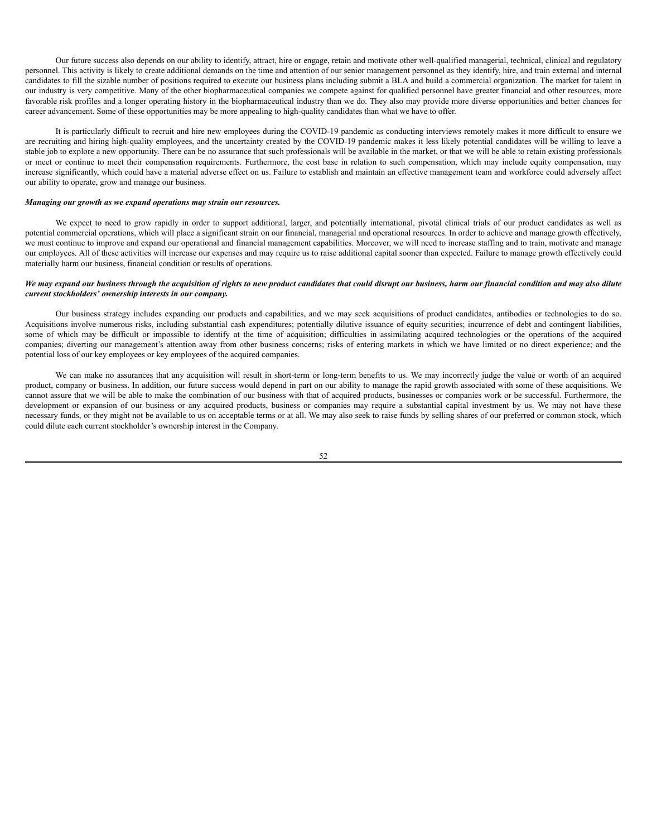Our future success also depends on our ability to identify, attract, hire or engage, retain and motivate other well-qualified managerial, technical, clinical and regulatory personnel. This activity is likely to create additional demands on the time and attention of our senior management personnel as they identify, hire, and train external and internal candidates to fill the sizable number of positions required to execute our business plans including submit a BLA and build a commercial organization. The market for talent in our industry is very competitive. Many of the other biopharmaceutical companies we compete against for qualified personnel have greater financial and other resources, more favorable risk profiles and a longer operating history in the biopharmaceutical industry than we do. They also may provide more diverse opportunities and better chances for career advancement. Some of these opportunities may be more appealing to high-quality candidates than what we have to offer.

It is particularly difficult to recruit and hire new employees during the COVID-19 pandemic as conducting interviews remotely makes it more difficult to ensure we are recruiting and hiring high-quality employees, and the uncertainty created by the COVID-19 pandemic makes it less likely potential candidates will be willing to leave a stable job to explore a new opportunity. There can be no assurance that such professionals will be available in the market, or that we will be able to retain existing professionals or meet or continue to meet their compensation requirements. Furthermore, the cost base in relation to such compensation, which may include equity compensation, may increase significantly, which could have a material adverse effect on us. Failure to establish and maintain an effective management team and workforce could adversely affect our ability to operate, grow and manage our business.

#### *Managing our growth as we expand operations may strain our resources.*

We expect to need to grow rapidly in order to support additional, larger, and potentially international, pivotal clinical trials of our product candidates as well as potential commercial operations, which will place a significant strain on our financial, managerial and operational resources. In order to achieve and manage growth effectively, we must continue to improve and expand our operational and financial management capabilities. Moreover, we will need to increase staffing and to train, motivate and manage our employees. All of these activities will increase our expenses and may require us to raise additional capital sooner than expected. Failure to manage growth effectively could materially harm our business, financial condition or results of operations.

## We may expand our business through the acquisition of rights to new product candidates that could disrupt our business, harm our financial condition and may also dilute *current stockholders' ownership interests in our company.*

Our business strategy includes expanding our products and capabilities, and we may seek acquisitions of product candidates, antibodies or technologies to do so. Acquisitions involve numerous risks, including substantial cash expenditures; potentially dilutive issuance of equity securities; incurrence of debt and contingent liabilities, some of which may be difficult or impossible to identify at the time of acquisition; difficulties in assimilating acquired technologies or the operations of the acquired companies; diverting our management's attention away from other business concerns; risks of entering markets in which we have limited or no direct experience; and the potential loss of our key employees or key employees of the acquired companies.

We can make no assurances that any acquisition will result in short-term or long-term benefits to us. We may incorrectly judge the value or worth of an acquired product, company or business. In addition, our future success would depend in part on our ability to manage the rapid growth associated with some of these acquisitions. We cannot assure that we will be able to make the combination of our business with that of acquired products, businesses or companies work or be successful. Furthermore, the development or expansion of our business or any acquired products, business or companies may require a substantial capital investment by us. We may not have these necessary funds, or they might not be available to us on acceptable terms or at all. We may also seek to raise funds by selling shares of our preferred or common stock, which could dilute each current stockholder's ownership interest in the Company.

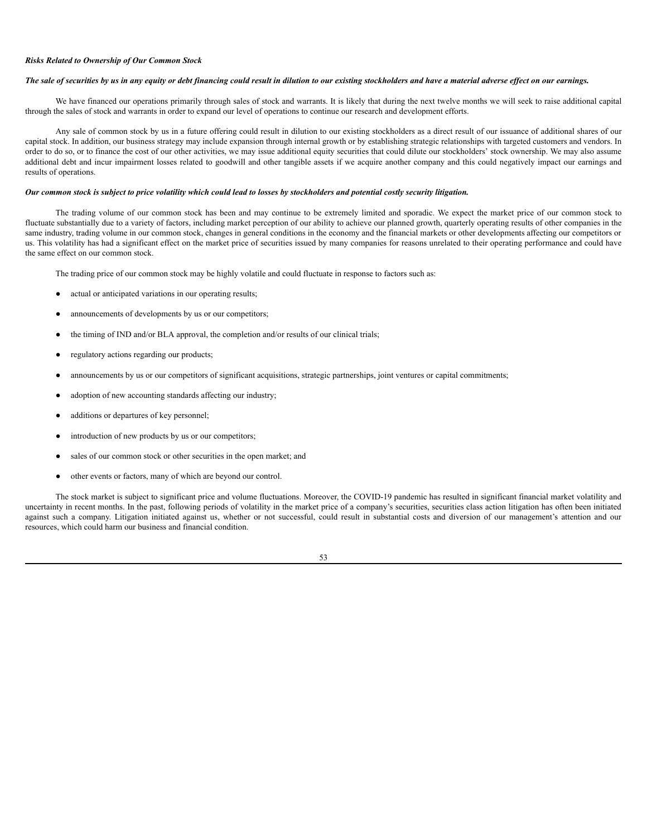#### *Risks Related to Ownership of Our Common Stock*

## The sale of securities by us in any equity or debt financing could result in dilution to our existing stockholders and have a material adverse effect on our earnings.

We have financed our operations primarily through sales of stock and warrants. It is likely that during the next twelve months we will seek to raise additional capital through the sales of stock and warrants in order to expand our level of operations to continue our research and development efforts.

Any sale of common stock by us in a future offering could result in dilution to our existing stockholders as a direct result of our issuance of additional shares of our capital stock. In addition, our business strategy may include expansion through internal growth or by establishing strategic relationships with targeted customers and vendors. In order to do so, or to finance the cost of our other activities, we may issue additional equity securities that could dilute our stockholders' stock ownership. We may also assume additional debt and incur impairment losses related to goodwill and other tangible assets if we acquire another company and this could negatively impact our earnings and results of operations.

#### Our common stock is subject to price volatility which could lead to losses by stockholders and potential costly security litigation.

The trading volume of our common stock has been and may continue to be extremely limited and sporadic. We expect the market price of our common stock to fluctuate substantially due to a variety of factors, including market perception of our ability to achieve our planned growth, quarterly operating results of other companies in the same industry, trading volume in our common stock, changes in general conditions in the economy and the financial markets or other developments affecting our competitors or us. This volatility has had a significant effect on the market price of securities issued by many companies for reasons unrelated to their operating performance and could have the same effect on our common stock.

The trading price of our common stock may be highly volatile and could fluctuate in response to factors such as:

- actual or anticipated variations in our operating results;
- announcements of developments by us or our competitors;
- the timing of IND and/or BLA approval, the completion and/or results of our clinical trials;
- regulatory actions regarding our products;
- announcements by us or our competitors of significant acquisitions, strategic partnerships, joint ventures or capital commitments;
- adoption of new accounting standards affecting our industry;
- additions or departures of key personnel;
- introduction of new products by us or our competitors;
- sales of our common stock or other securities in the open market; and
- other events or factors, many of which are beyond our control.

The stock market is subject to significant price and volume fluctuations. Moreover, the COVID-19 pandemic has resulted in significant financial market volatility and uncertainty in recent months. In the past, following periods of volatility in the market price of a company's securities, securities class action litigation has often been initiated against such a company. Litigation initiated against us, whether or not successful, could result in substantial costs and diversion of our management's attention and our resources, which could harm our business and financial condition.

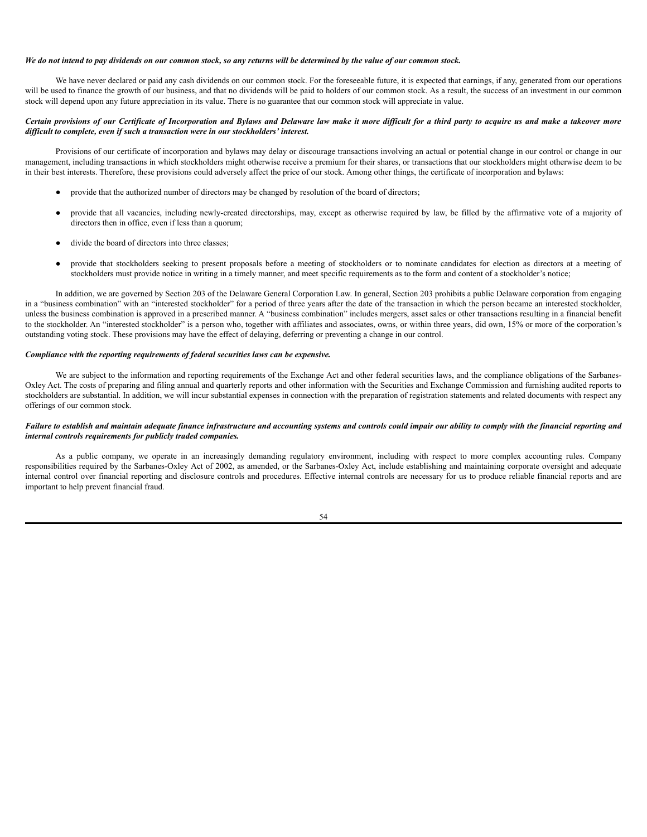#### We do not intend to pay dividends on our common stock, so any returns will be determined by the value of our common stock.

We have never declared or paid any cash dividends on our common stock. For the foreseeable future, it is expected that earnings, if any, generated from our operations will be used to finance the growth of our business, and that no dividends will be paid to holders of our common stock. As a result, the success of an investment in our common stock will depend upon any future appreciation in its value. There is no guarantee that our common stock will appreciate in value.

## Certain provisions of our Certificate of Incorporation and Bylaws and Delaware law make it more difficult for a third party to acquire us and make a takeover more *dif icult to complete, even if such a transaction were in our stockholders' interest.*

Provisions of our certificate of incorporation and bylaws may delay or discourage transactions involving an actual or potential change in our control or change in our management, including transactions in which stockholders might otherwise receive a premium for their shares, or transactions that our stockholders might otherwise deem to be in their best interests. Therefore, these provisions could adversely affect the price of our stock. Among other things, the certificate of incorporation and bylaws:

- provide that the authorized number of directors may be changed by resolution of the board of directors;
- provide that all vacancies, including newly-created directorships, may, except as otherwise required by law, be filled by the affirmative vote of a majority of directors then in office, even if less than a quorum;
- divide the board of directors into three classes;
- provide that stockholders seeking to present proposals before a meeting of stockholders or to nominate candidates for election as directors at a meeting of stockholders must provide notice in writing in a timely manner, and meet specific requirements as to the form and content of a stockholder's notice;

In addition, we are governed by Section 203 of the Delaware General Corporation Law. In general, Section 203 prohibits a public Delaware corporation from engaging in a "business combination" with an "interested stockholder" for a period of three years after the date of the transaction in which the person became an interested stockholder, unless the business combination is approved in a prescribed manner. A "business combination" includes mergers, asset sales or other transactions resulting in a financial benefit to the stockholder. An "interested stockholder" is a person who, together with affiliates and associates, owns, or within three years, did own, 15% or more of the corporation's outstanding voting stock. These provisions may have the effect of delaying, deferring or preventing a change in our control.

## *Compliance with the reporting requirements of federal securities laws can be expensive.*

We are subject to the information and reporting requirements of the Exchange Act and other federal securities laws, and the compliance obligations of the Sarbanes-Oxley Act. The costs of preparing and filing annual and quarterly reports and other information with the Securities and Exchange Commission and furnishing audited reports to stockholders are substantial. In addition, we will incur substantial expenses in connection with the preparation of registration statements and related documents with respect any offerings of our common stock.

#### Failure to establish and maintain adequate finance infrastructure and accounting systems and controls could impair our ability to comply with the financial reporting and *internal controls requirements for publicly traded companies.*

As a public company, we operate in an increasingly demanding regulatory environment, including with respect to more complex accounting rules. Company responsibilities required by the Sarbanes-Oxley Act of 2002, as amended, or the Sarbanes-Oxley Act, include establishing and maintaining corporate oversight and adequate internal control over financial reporting and disclosure controls and procedures. Effective internal controls are necessary for us to produce reliable financial reports and are important to help prevent financial fraud.

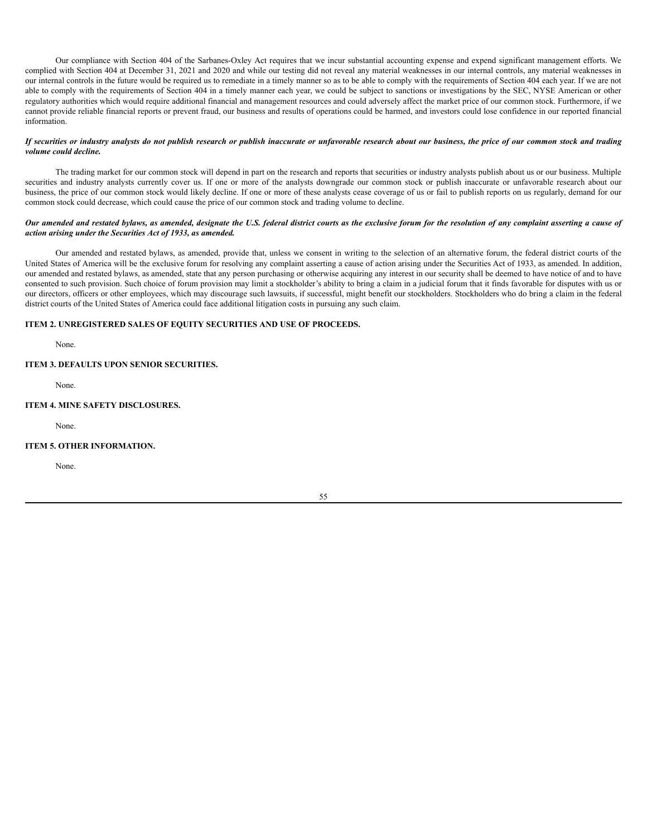Our compliance with Section 404 of the Sarbanes-Oxley Act requires that we incur substantial accounting expense and expend significant management efforts. We complied with Section 404 at December 31, 2021 and 2020 and while our testing did not reveal any material weaknesses in our internal controls, any material weaknesses in our internal controls in the future would be required us to remediate in a timely manner so as to be able to comply with the requirements of Section 404 each year. If we are not able to comply with the requirements of Section 404 in a timely manner each year, we could be subject to sanctions or investigations by the SEC, NYSE American or other regulatory authorities which would require additional financial and management resources and could adversely affect the market price of our common stock. Furthermore, if we cannot provide reliable financial reports or prevent fraud, our business and results of operations could be harmed, and investors could lose confidence in our reported financial information.

#### If securities or industry analysts do not publish research or publish inaccurate or unfavorable research about our business, the price of our common stock and trading *volume could decline.*

The trading market for our common stock will depend in part on the research and reports that securities or industry analysts publish about us or our business. Multiple securities and industry analysts currently cover us. If one or more of the analysts downgrade our common stock or publish inaccurate or unfavorable research about our business, the price of our common stock would likely decline. If one or more of these analysts cease coverage of us or fail to publish reports on us regularly, demand for our common stock could decrease, which could cause the price of our common stock and trading volume to decline.

#### Our amended and restated bylaws, as amended, designate the U.S. federal district courts as the exclusive forum for the resolution of any complaint asserting a cause of *action arising under the Securities Act of 1933, as amended.*

Our amended and restated bylaws, as amended, provide that, unless we consent in writing to the selection of an alternative forum, the federal district courts of the United States of America will be the exclusive forum for resolving any complaint asserting a cause of action arising under the Securities Act of 1933, as amended. In addition, our amended and restated bylaws, as amended, state that any person purchasing or otherwise acquiring any interest in our security shall be deemed to have notice of and to have consented to such provision. Such choice of forum provision may limit a stockholder's ability to bring a claim in a judicial forum that it finds favorable for disputes with us or our directors, officers or other employees, which may discourage such lawsuits, if successful, might benefit our stockholders. Stockholders who do bring a claim in the federal district courts of the United States of America could face additional litigation costs in pursuing any such claim.

## <span id="page-56-0"></span>**ITEM 2. UNREGISTERED SALES OF EQUITY SECURITIES AND USE OF PROCEEDS.**

None.

## <span id="page-56-1"></span>**ITEM 3. DEFAULTS UPON SENIOR SECURITIES.**

None.

## <span id="page-56-2"></span>**ITEM 4. MINE SAFETY DISCLOSURES.**

None.

## <span id="page-56-3"></span>**ITEM 5. OTHER INFORMATION.**

None.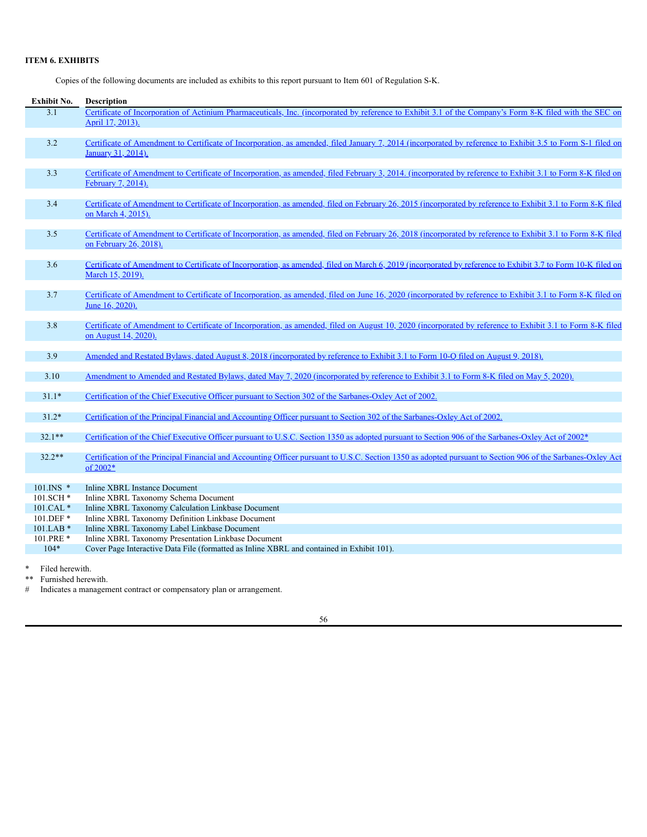# <span id="page-57-0"></span>**ITEM 6. EXHIBITS**

Copies of the following documents are included as exhibits to this report pursuant to Item 601 of Regulation S-K.

| Exhibit No.     | <b>Description</b>                                                                                                                                                                 |
|-----------------|------------------------------------------------------------------------------------------------------------------------------------------------------------------------------------|
| 3.1             | Certificate of Incorporation of Actinium Pharmaceuticals, Inc. (incorporated by reference to Exhibit 3.1 of the Company's Form 8-K filed with the SEC on                           |
|                 | April 17, 2013).                                                                                                                                                                   |
|                 |                                                                                                                                                                                    |
| 3.2             | Certificate of Amendment to Certificate of Incorporation, as amended, filed January 7, 2014 (incorporated by reference to Exhibit 3.5 to Form S-1 filed on                         |
|                 | January 31, 2014).                                                                                                                                                                 |
|                 |                                                                                                                                                                                    |
| 3.3             | Certificate of Amendment to Certificate of Incorporation, as amended, filed February 3, 2014. (incorporated by reference to Exhibit 3.1 to Form 8-K filed on<br>February 7, 2014). |
|                 |                                                                                                                                                                                    |
| 3.4             | Certificate of Amendment to Certificate of Incorporation, as amended, filed on February 26, 2015 (incorporated by reference to Exhibit 3.1 to Form 8-K filed                       |
|                 | on March 4, 2015).                                                                                                                                                                 |
|                 |                                                                                                                                                                                    |
| 3.5             | Certificate of Amendment to Certificate of Incorporation, as amended, filed on February 26, 2018 (incorporated by reference to Exhibit 3.1 to Form 8-K filed                       |
|                 | on February 26, 2018).                                                                                                                                                             |
|                 |                                                                                                                                                                                    |
| 3.6             | Certificate of Amendment to Certificate of Incorporation, as amended, filed on March 6, 2019 (incorporated by reference to Exhibit 3.7 to Form 10-K filed on                       |
|                 | March 15, 2019).                                                                                                                                                                   |
| 3.7             | Certificate of Amendment to Certificate of Incorporation, as amended, filed on June 16, 2020 (incorporated by reference to Exhibit 3.1 to Form 8-K filed on                        |
|                 | June 16, 2020).                                                                                                                                                                    |
|                 |                                                                                                                                                                                    |
| 3.8             | Certificate of Amendment to Certificate of Incorporation, as amended, filed on August 10, 2020 (incorporated by reference to Exhibit 3.1 to Form 8-K filed                         |
|                 | on August 14, 2020).                                                                                                                                                               |
|                 |                                                                                                                                                                                    |
| 3.9             | Amended and Restated Bylaws, dated August 8, 2018 (incorporated by reference to Exhibit 3.1 to Form 10-Q filed on August 9, 2018).                                                 |
| 3.10            | Amendment to Amended and Restated Bylaws, dated May 7, 2020 (incorporated by reference to Exhibit 3.1 to Form 8-K filed on May 5, 2020).                                           |
|                 |                                                                                                                                                                                    |
| $31.1*$         | Certification of the Chief Executive Officer pursuant to Section 302 of the Sarbanes-Oxley Act of 2002.                                                                            |
|                 |                                                                                                                                                                                    |
| $31.2*$         | Certification of the Principal Financial and Accounting Officer pursuant to Section 302 of the Sarbanes-Oxley Act of 2002.                                                         |
|                 |                                                                                                                                                                                    |
| $32.1**$        | Certification of the Chief Executive Officer pursuant to U.S.C. Section 1350 as adopted pursuant to Section 906 of the Sarbanes-Oxley Act of 2002*                                 |
| $32.2**$        | Certification of the Principal Financial and Accounting Officer pursuant to U.S.C. Section 1350 as adopted pursuant to Section 906 of the Sarbanes-Oxley Act                       |
|                 | of 2002*                                                                                                                                                                           |
|                 |                                                                                                                                                                                    |
| $101$ . INS $*$ | Inline XBRL Instance Document                                                                                                                                                      |
| 101.SCH*        | Inline XBRL Taxonomy Schema Document                                                                                                                                               |
| 101.CAL*        | Inline XBRL Taxonomy Calculation Linkbase Document                                                                                                                                 |
| 101.DEF*        | Inline XBRL Taxonomy Definition Linkbase Document                                                                                                                                  |
| 101.LAB*        | Inline XBRL Taxonomy Label Linkbase Document                                                                                                                                       |
| 101.PRE*        | Inline XBRL Taxonomy Presentation Linkbase Document                                                                                                                                |
| $104*$          | Cover Page Interactive Data File (formatted as Inline XBRL and contained in Exhibit 101).                                                                                          |

\* Filed herewith.

\*\* Furnished herewith.<br># Indicates a managem

Indicates a management contract or compensatory plan or arrangement.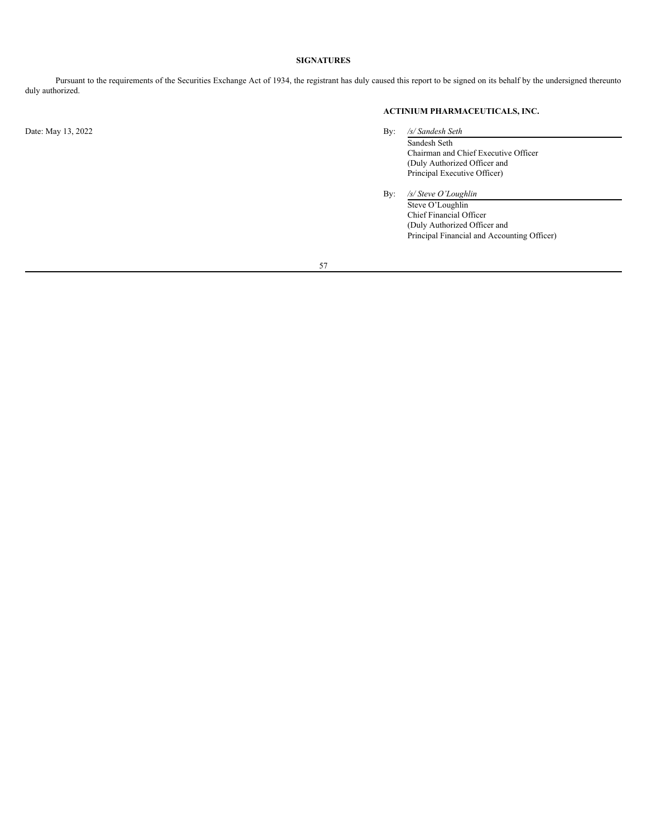## **SIGNATURES**

<span id="page-58-0"></span>Pursuant to the requirements of the Securities Exchange Act of 1934, the registrant has duly caused this report to be signed on its behalf by the undersigned thereunto duly authorized.

# **ACTINIUM PHARMACEUTICALS, INC.**

## Date: May 13, 2022 By: */s/ Sandesh Seth*

- Sandesh Seth Chairman and Chief Executive Officer (Duly Authorized Officer and Principal Executive Officer)
- By: */s/ Steve O'Loughlin* Steve O'Loughlin Chief Financial Officer (Duly Authorized Officer and Principal Financial and Accounting Officer)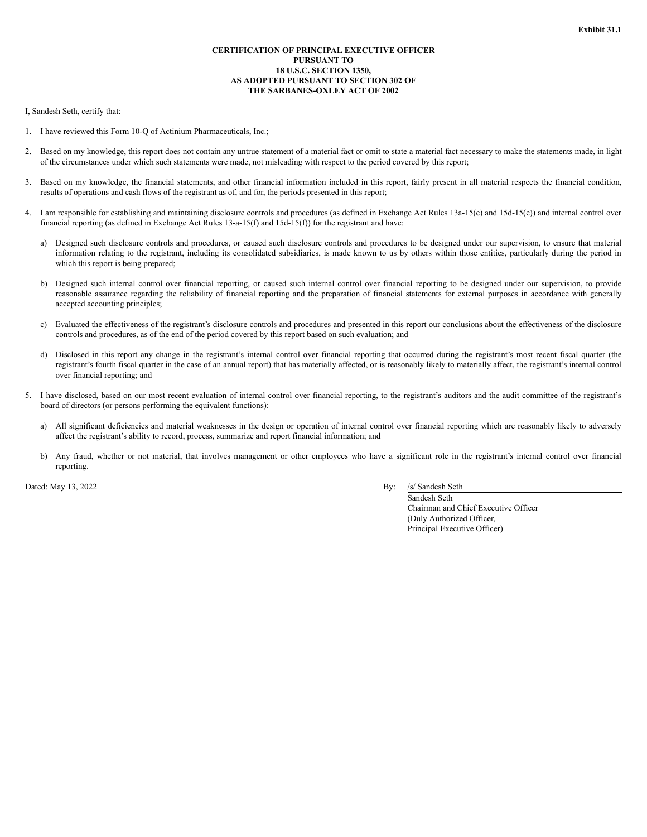## **CERTIFICATION OF PRINCIPAL EXECUTIVE OFFICER PURSUANT TO 18 U.S.C. SECTION 1350, AS ADOPTED PURSUANT TO SECTION 302 OF THE SARBANES-OXLEY ACT OF 2002**

I, Sandesh Seth, certify that:

- 1. I have reviewed this Form 10-Q of Actinium Pharmaceuticals, Inc.;
- 2. Based on my knowledge, this report does not contain any untrue statement of a material fact or omit to state a material fact necessary to make the statements made, in light of the circumstances under which such statements were made, not misleading with respect to the period covered by this report;
- 3. Based on my knowledge, the financial statements, and other financial information included in this report, fairly present in all material respects the financial condition, results of operations and cash flows of the registrant as of, and for, the periods presented in this report;
- 4. I am responsible for establishing and maintaining disclosure controls and procedures (as defined in Exchange Act Rules 13a-15(e) and 15d-15(e)) and internal control over financial reporting (as defined in Exchange Act Rules 13-a-15(f) and 15d-15(f)) for the registrant and have:
	- a) Designed such disclosure controls and procedures, or caused such disclosure controls and procedures to be designed under our supervision, to ensure that material information relating to the registrant, including its consolidated subsidiaries, is made known to us by others within those entities, particularly during the period in which this report is being prepared;
	- b) Designed such internal control over financial reporting, or caused such internal control over financial reporting to be designed under our supervision, to provide reasonable assurance regarding the reliability of financial reporting and the preparation of financial statements for external purposes in accordance with generally accepted accounting principles;
	- c) Evaluated the effectiveness of the registrant's disclosure controls and procedures and presented in this report our conclusions about the effectiveness of the disclosure controls and procedures, as of the end of the period covered by this report based on such evaluation; and
	- d) Disclosed in this report any change in the registrant's internal control over financial reporting that occurred during the registrant's most recent fiscal quarter (the registrant's fourth fiscal quarter in the case of an annual report) that has materially affected, or is reasonably likely to materially affect, the registrant's internal control over financial reporting; and
- 5. I have disclosed, based on our most recent evaluation of internal control over financial reporting, to the registrant's auditors and the audit committee of the registrant's board of directors (or persons performing the equivalent functions):
	- a) All significant deficiencies and material weaknesses in the design or operation of internal control over financial reporting which are reasonably likely to adversely affect the registrant's ability to record, process, summarize and report financial information; and
	- b) Any fraud, whether or not material, that involves management or other employees who have a significant role in the registrant's internal control over financial reporting.

Dated: May 13, 2022 By: /s/ Sandesh Seth

Sandesh Seth Chairman and Chief Executive Officer (Duly Authorized Officer, Principal Executive Officer)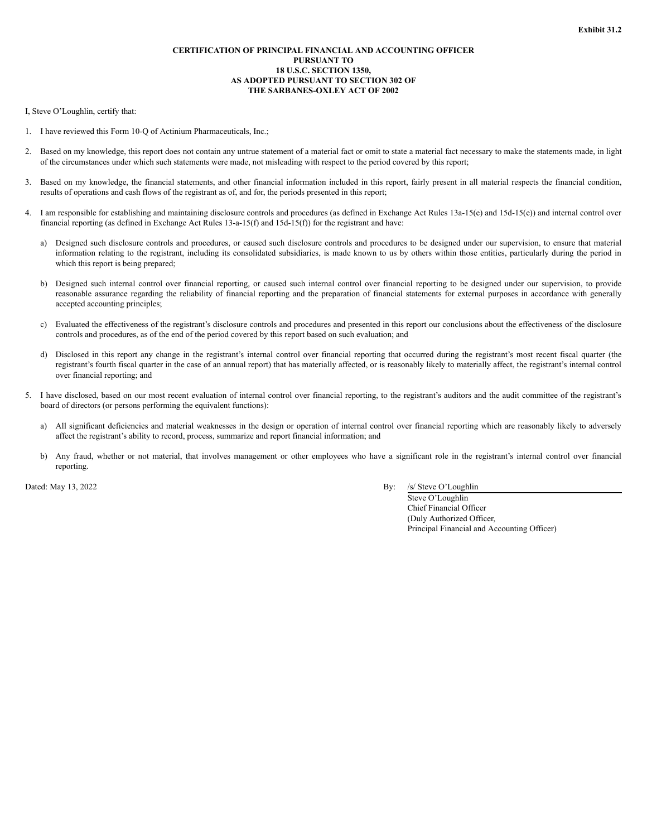#### **CERTIFICATION OF PRINCIPAL FINANCIAL AND ACCOUNTING OFFICER PURSUANT TO 18 U.S.C. SECTION 1350, AS ADOPTED PURSUANT TO SECTION 302 OF THE SARBANES-OXLEY ACT OF 2002**

I, Steve O'Loughlin, certify that:

- 1. I have reviewed this Form 10-Q of Actinium Pharmaceuticals, Inc.;
- 2. Based on my knowledge, this report does not contain any untrue statement of a material fact or omit to state a material fact necessary to make the statements made, in light of the circumstances under which such statements were made, not misleading with respect to the period covered by this report;
- 3. Based on my knowledge, the financial statements, and other financial information included in this report, fairly present in all material respects the financial condition, results of operations and cash flows of the registrant as of, and for, the periods presented in this report;
- 4. I am responsible for establishing and maintaining disclosure controls and procedures (as defined in Exchange Act Rules 13a-15(e) and 15d-15(e)) and internal control over financial reporting (as defined in Exchange Act Rules 13-a-15(f) and 15d-15(f)) for the registrant and have:
	- a) Designed such disclosure controls and procedures, or caused such disclosure controls and procedures to be designed under our supervision, to ensure that material information relating to the registrant, including its consolidated subsidiaries, is made known to us by others within those entities, particularly during the period in which this report is being prepared;
	- b) Designed such internal control over financial reporting, or caused such internal control over financial reporting to be designed under our supervision, to provide reasonable assurance regarding the reliability of financial reporting and the preparation of financial statements for external purposes in accordance with generally accepted accounting principles;
	- c) Evaluated the effectiveness of the registrant's disclosure controls and procedures and presented in this report our conclusions about the effectiveness of the disclosure controls and procedures, as of the end of the period covered by this report based on such evaluation; and
	- d) Disclosed in this report any change in the registrant's internal control over financial reporting that occurred during the registrant's most recent fiscal quarter (the registrant's fourth fiscal quarter in the case of an annual report) that has materially affected, or is reasonably likely to materially affect, the registrant's internal control over financial reporting; and
- 5. I have disclosed, based on our most recent evaluation of internal control over financial reporting, to the registrant's auditors and the audit committee of the registrant's board of directors (or persons performing the equivalent functions):
	- a) All significant deficiencies and material weaknesses in the design or operation of internal control over financial reporting which are reasonably likely to adversely affect the registrant's ability to record, process, summarize and report financial information; and
	- b) Any fraud, whether or not material, that involves management or other employees who have a significant role in the registrant's internal control over financial reporting.

## Dated: May 13, 2022 By: /s/ Steve O'Loughlin

Steve O'Loughlin Chief Financial Officer (Duly Authorized Officer, Principal Financial and Accounting Officer)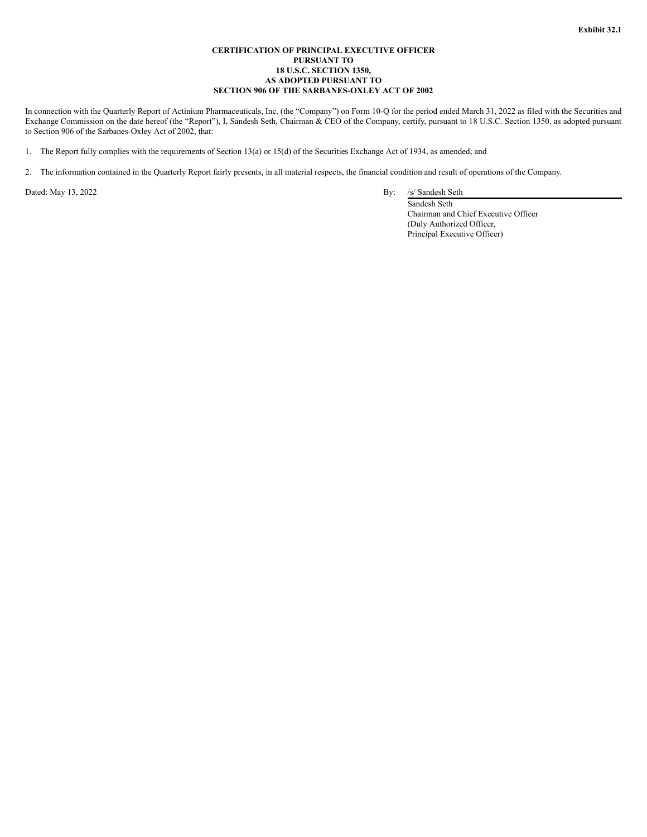## **CERTIFICATION OF PRINCIPAL EXECUTIVE OFFICER PURSUANT TO 18 U.S.C. SECTION 1350, AS ADOPTED PURSUANT TO SECTION 906 OF THE SARBANES-OXLEY ACT OF 2002**

In connection with the Quarterly Report of Actinium Pharmaceuticals, Inc. (the "Company") on Form 10-Q for the period ended March 31, 2022 as filed with the Securities and Exchange Commission on the date hereof (the "Report"), I, Sandesh Seth, Chairman & CEO of the Company, certify, pursuant to 18 U.S.C. Section 1350, as adopted pursuant to Section 906 of the Sarbanes-Oxley Act of 2002, that:

1. The Report fully complies with the requirements of Section 13(a) or 15(d) of the Securities Exchange Act of 1934, as amended; and

2. The information contained in the Quarterly Report fairly presents, in all material respects, the financial condition and result of operations of the Company.

Dated: May 13, 2022 By: /s/ Sandesh Seth

Sandesh Seth Chairman and Chief Executive Officer (Duly Authorized Officer, Principal Executive Officer)